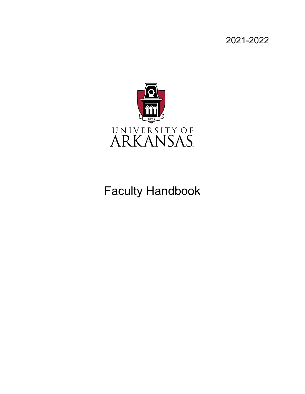2021-2022



# Faculty Handbook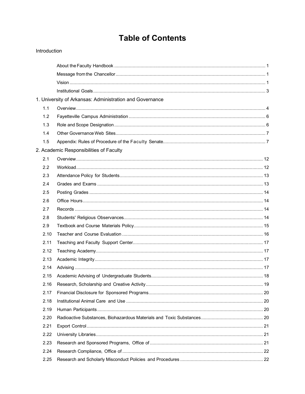## **Table of Contents**

#### Introduction

|      | 1. University of Arkansas: Administration and Governance |  |
|------|----------------------------------------------------------|--|
| 1.1  |                                                          |  |
| 1.2  |                                                          |  |
| 1.3  |                                                          |  |
| 1.4  |                                                          |  |
| 1.5  |                                                          |  |
|      | 2. Academic Responsibilities of Faculty                  |  |
| 2.1  |                                                          |  |
| 2.2  |                                                          |  |
| 2.3  |                                                          |  |
| 2.4  |                                                          |  |
| 2.5  |                                                          |  |
| 2.6  |                                                          |  |
| 2.7  |                                                          |  |
| 2.8  |                                                          |  |
| 2.9  |                                                          |  |
| 2.10 |                                                          |  |
| 2.11 |                                                          |  |
| 2.12 |                                                          |  |
| 2.13 |                                                          |  |
| 2.14 |                                                          |  |
| 2.15 |                                                          |  |
| 2.16 |                                                          |  |
| 2.17 |                                                          |  |
| 2.18 |                                                          |  |
| 2.19 |                                                          |  |
| 2.20 |                                                          |  |
| 2.21 |                                                          |  |
| 2.22 |                                                          |  |
| 2.23 |                                                          |  |
| 2.24 |                                                          |  |
| 2.25 |                                                          |  |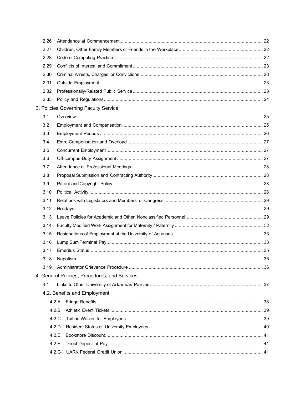| 2.26 |                                               |  |
|------|-----------------------------------------------|--|
| 2.27 |                                               |  |
| 2.28 |                                               |  |
| 2.29 |                                               |  |
| 2.30 |                                               |  |
| 2.31 |                                               |  |
| 2.32 |                                               |  |
| 2.33 |                                               |  |
|      | 3. Policies Governing Faculty Service         |  |
| 3.1  |                                               |  |
| 3.2  |                                               |  |
| 3.3  |                                               |  |
| 3.4  |                                               |  |
| 3.5  |                                               |  |
| 3.6  |                                               |  |
| 3.7  |                                               |  |
| 3.8  |                                               |  |
| 3.9  |                                               |  |
| 3.10 |                                               |  |
| 3.11 |                                               |  |
| 3.12 |                                               |  |
| 3.13 |                                               |  |
| 3.14 |                                               |  |
| 3.15 |                                               |  |
| 3.16 |                                               |  |
| 3.17 |                                               |  |
| 3.18 |                                               |  |
| 3.19 |                                               |  |
|      | 4. General Policies, Procedures, and Services |  |
| 4.1  |                                               |  |
|      | 4.2. Benefits and Employment                  |  |
|      | 4.2.A                                         |  |
|      | 4.2.B                                         |  |
|      | 4.2.C                                         |  |
|      | 4.2.D                                         |  |
|      | 4.2.E                                         |  |
|      | 4.2.F                                         |  |
|      | 4.2.G                                         |  |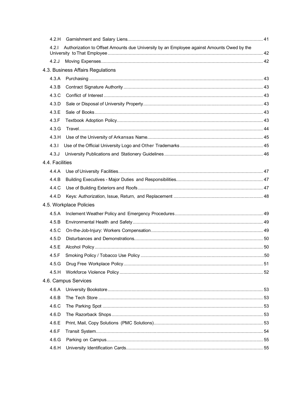| 4.2.H           |                                                                                           |  |
|-----------------|-------------------------------------------------------------------------------------------|--|
| 4.2.1           | Authorization to Offset Amounts due University by an Employee against Amounts Owed by the |  |
| 4.2J            |                                                                                           |  |
|                 | 4.3. Business Affairs Regulations                                                         |  |
| 4.3.A           |                                                                                           |  |
| 4.3.B           |                                                                                           |  |
| 4.3.C           |                                                                                           |  |
| 4.3.D           |                                                                                           |  |
| 4.3.E           |                                                                                           |  |
| 4.3.F           |                                                                                           |  |
| 4.3.G           |                                                                                           |  |
| 4.3.H           |                                                                                           |  |
| 4.3.1           |                                                                                           |  |
| 4.3J            |                                                                                           |  |
| 4.4. Facilities |                                                                                           |  |
| 4.4.A           |                                                                                           |  |
| 4.4.B           |                                                                                           |  |
| 4.4.C           |                                                                                           |  |
| 4.4.D           |                                                                                           |  |
|                 | 4.5. Workplace Policies                                                                   |  |
| 4.5.A           |                                                                                           |  |
| 4.5.B           |                                                                                           |  |
| 4.5.C           |                                                                                           |  |
| 4.5.D           |                                                                                           |  |
| 4.5.E           |                                                                                           |  |
| 4.5.F           |                                                                                           |  |
| 4.5.G           |                                                                                           |  |
| 4.5.H           |                                                                                           |  |
|                 | 4.6. Campus Services                                                                      |  |
| 4.6.A           |                                                                                           |  |
| 4.6.B           |                                                                                           |  |
| 4.6.C           |                                                                                           |  |
| 4.6.D           |                                                                                           |  |
| 4.6.E           |                                                                                           |  |
| 4.6.F           |                                                                                           |  |
| 4.6.G           |                                                                                           |  |
| 4.6.H           |                                                                                           |  |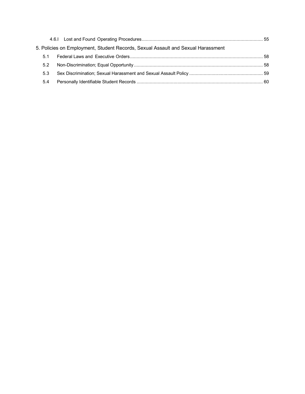|     | 5. Policies on Employment, Student Records, Sexual Assault and Sexual Harassment |  |
|-----|----------------------------------------------------------------------------------|--|
| 5.1 |                                                                                  |  |
| 5.2 |                                                                                  |  |
| 5.3 |                                                                                  |  |
| 5.4 |                                                                                  |  |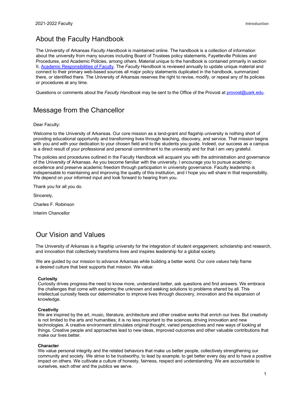### <span id="page-5-0"></span>About the Faculty Handbook

The University of Arkansas *Faculty Handbook* is maintained online. The handbook is a collection of information about the university from many sources including Board of Trustees policy statements, Fayetteville Policies and Procedures, and Academic Policies, among others. Material unique to the handbook is contained primarily in section II, [Academic Responsibilities of Faculty.](https://provost.uark.edu/faculty-handbook/index.php) The *Faculty Handbook* is reviewed annually to update unique material and connect to their primary web-based sources all major policy statements duplicated in the handbook, summarized there, or identified there. The University of Arkansas reserves the right to revise, modify, or repeal any of its policies or procedures at any time.

Questions or comments about the *Faculty Handbook* may be sent to the Office of the Provost at [provost@uark.edu.](mailto:provost@uark.edu)

#### <span id="page-5-1"></span>Message from the Chancellor

Dear Faculty:

Welcome to the University of Arkansas. Our core mission as a land-grant and flagship university is nothing short of providing educational opportunity and transforming lives through teaching, discovery, and service. That mission begins with you and with your dedication to your chosen field and to the students you guide. Indeed, our success as a campus is a direct result of your professional and personal commitment to the university and for that I am very grateful.

The policies and procedures outlined in the Faculty Handbook will acquaint you with the administration and governance of the University of Arkansas. As you become familiar with the university, I encourage you to pursue academic excellence and preserve academic freedom through participation in university governance. Faculty leadership is indispensable to maintaining and improving the quality of this institution, and I hope you will share in that responsibility. We depend on your informed input and look forward to hearing from you.

Thank you for all you do.

Sincerely,

Charles F. Robinson

Interim Chancellor

#### <span id="page-5-2"></span>Our Vision and Values

The University of Arkansas is a flagship university for the integration of student engagement, scholarship and research, and innovation that collectively transforms lives and inspires leadership for a global society.

We are guided by our mission to advance Arkansas while building a better world. Our *core values* help frame a desired culture that best supports that mission. We value:

#### **Curiosity**

Curiosity drives progress-the need to know more, understand better, ask questions and find answers. We embrace the challenges that come with exploring the unknown and seeking solutions to problems shared by all. This intellectual curiosity feeds our determination to improve lives through discovery, innovation and the expansion of knowledge.

#### **Creativity**

We are inspired by the art, music, literature, architecture and other creative works that enrich our lives. But creativity is not limited to the arts and humanities; it is no less important to the sciences, driving innovation and new technologies. A creative environment stimulates original thought, varied perspectives and new ways of looking at things. Creative people and approaches lead to new ideas, improved outcomes and other valuable contributions that make our lives better.

#### **Character**

We value personal integrity and the related behaviors that make us better people, collectively strengthening our community and society. We strive to be trustworthy, to lead by example, to get better every day and to have a positive impact on others. We cultivate a culture of honesty, fairness, respect and understanding. We are accountable to ourselves, each other and the publics we serve.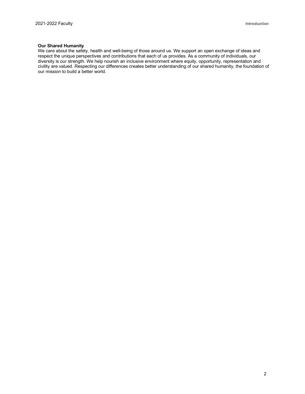#### **Our Shared Humanity**

We care about the safety, health and well-being of those around us. We support an open exchange of ideas and respect the unique perspectives and contributions that each of us provides. As a community of individuals, our diversity is our strength. We help nourish an inclusive environment where equity, opportunity, representation and civility are valued. Respecting our differences creates better understanding of our shared humanity, the foundation of our mission to build a better world.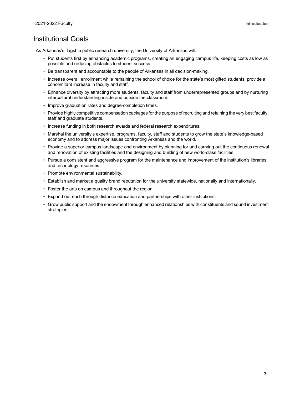#### <span id="page-7-0"></span>Institutional Goals

As Arkansas's flagship public research university, the University of Arkansas will:

- Put students first by enhancing academic programs, creating an engaging campus life, keeping costs as low as possible and reducing obstacles to student success.
- Be transparent and accountable to the people of Arkansas in all decision-making.
- Increase overall enrollment while remaining the school of choice for the state's most gifted students; provide a concomitant increase in faculty and staff.
- Enhance diversity by attracting more students, faculty and staff from underrepresented groups and by nurturing intercultural understanding inside and outside the classroom.
- Improve graduation rates and degree-completion times.
- Provide highly competitive compensation packages for the purpose of recruiting and retaining the very best faculty, staff and graduate students.
- Increase funding in both research awards and federal research expenditures.
- Marshal the university's expertise, programs, faculty, staff and students to grow the state's knowledge-based economy and to address major issues confronting Arkansas and the world.
- Provide a superior campus landscape and environment by planning for and carrying out the continuous renewal and renovation of existing facilities and the designing and building of new world-class facilities.
- Pursue a consistent and aggressive program for the maintenance and improvement of the institution's libraries and technology resources.
- Promote environmental sustainability.
- Establish and market a quality brand reputation for the university statewide, nationally and internationally.
- Foster the arts on campus and throughout the region.
- Expand outreach through distance education and partnerships with other institutions.
- Grow public support and the endowment through enhanced relationships with constituents and sound investment strategies.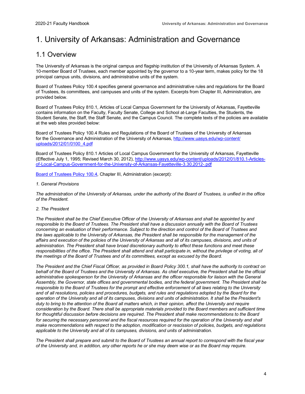### <span id="page-8-0"></span>1. University of Arkansas: Administration and Governance

#### <span id="page-8-1"></span>1.1 Overview

The University of Arkansas is the original campus and flagship institution of the University of Arkansas System. A 10-member Board of Trustees, each member appointed by the governor to a 10-year term, makes policy for the 18 principal campus units, divisions, and administrative units of the system.

Board of Trustees Policy 100.4 specifies general governance and administrative rules and regulations for the Board of Trustees, its committees, and campuses and units of the system. Excerpts from Chapter III, Administration, are provided below.

Board of Trustees Policy 810.1, Articles of Local Campus Government for the University of Arkansas, Fayetteville contains information on the Faculty, Faculty Senate, College and School at-Large Faculties, the Students, the Student Senate, the Staff, the Staff Senate, and the Campus Council. The complete texts of the policies are available at the web sites provided below:

Board of Trustees Policy 100.4 Rules and Regulations of the Board of Trustees of the University of Arkansas for the Governance and Administration of the University of Arkansas, [http://www.uasys.edu/wp-content/](http://www.uasys.edu/wp-content/uploads/2012/01/0100_4.pdf) [uploads/2012/01/0100\\_4.pdf](http://www.uasys.edu/wp-content/uploads/2012/01/0100_4.pdf)

Board of Trustees Policy 810.1 Articles of Local Campus Government for the University of Arkansas, Fayetteville (Effective July 1, 1995; Revised March 30, 2012), [http://www.uasys.edu/wp-content/uploads/2012/01/810.1-Articles](http://www.uasys.edu/wp-content/uploads/2012/01/810.1-Articles-of-Local-Campus-Government-for-the-University-of-Arkansas-Fayetteville-3.30.2012-.pdf)[of-Local-Campus-Government-for-the-University-of-Arkansas-Fayetteville-3.30.2012-.pdf](http://www.uasys.edu/wp-content/uploads/2012/01/810.1-Articles-of-Local-Campus-Government-for-the-University-of-Arkansas-Fayetteville-3.30.2012-.pdf)

[Board of Trustees Policy 100.4,](http://www.uasys.edu/wp-content/uploads/2012/01/0100_4.pdf) Chapter III, Administration (excerpt):

#### *1. General Provisions*

*The administration of the University of Arkansas, under the authority of the Board of Trustees, is unified in the office of the President.*

#### *2. The President*

*The President shall be the Chief Executive Officer of the University of Arkansas and shall be appointed by and responsible to the Board of Trustees. The President shall have a discussion annually with the Board of Trustees concerning an evaluation of their performance. Subject to the direction and control of the Board of Trustees and the laws applicable to the University of Arkansas, the President shall be responsible for the management of the affairs and execution of the policies of the University of Arkansas and all of its campuses, divisions, and units of administration. The President shall have broad discretionary authority to effect these functions and meet these responsibilities of the office. The President shall attend and shall participate in, without the privilege of voting, all of the meetings of the Board of Trustees and of its committees, except as excused by the Board.*

*The President and the Chief Fiscal Officer, as provided in Board Policy 300.1, shall have the authority to contract on behalf of the Board of Trustees and the University of Arkansas. As chief executive, the President shall be the official administrative spokesperson for the University of Arkansas and the officer responsible for liaison with the General Assembly, the Governor, state offices and governmental bodies, and the federal government. The President shall be responsible to the Board of Trustees for the prompt and effective enforcement of all laws relating to the University and of all resolutions, policies and procedures, budgets, and rules and regulations adopted by the Board for the operation of the University and all of its campuses, divisions and units of administration. It shall be the President's duty to bring to the attention of the Board all matters which, in their opinion, affect the University and require consideration by the Board. There shall be appropriate materials provided to the Board members and sufficient time for thoughtful discussion before decisions are required. The President shall make recommendations to the Board* for securing the necessary personnel and the fiscal resources required for the operation of the University and shall *make recommendations with respect to the adoption, modification or rescission of policies, budgets, and regulations applicable to the University and all of its campuses, divisions, and units of administration.*

*The President shall prepare and submit to the Board of Trustees an annual report to correspond with the fiscal year of the University and, in addition, any other reports he or she may deem wise or as the Board may require.*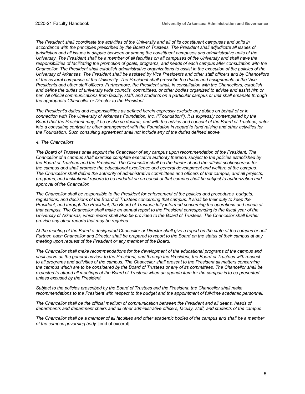*The President shall coordinate the activities of the University and all of its constituent campuses and units in accordance with the principles prescribed by the Board of Trustees. The President shall adjudicate all issues of jurisdiction and all issues in dispute between or among the constituent campuses and administrative units of the University. The President shall be a member of all faculties on all campuses of the University and shall have the responsibilities of facilitating the promotion of goals, programs, and needs of each campus after consultation with the Chancellor. The President shall establish administrative organizations to assist in the execution of the policies of the University of Arkansas. The President shall be assisted by Vice Presidents and other staff officers and by Chancellors of the several campuses of the University. The President shall prescribe the duties and assignments of the Vice Presidents and other staff officers. Furthermore, the President shall, in consultation with the Chancellors, establish and define the duties of university wide councils, committees, or other bodies organized to advise and assist him or her. All official communications from faculty, staff, and students on a particular campus or unit shall emanate through the appropriate Chancellor or Director to the President.*

*The President's duties and responsibilities as defined herein expressly exclude any duties on behalf of or in connection with The University of Arkansas Foundation, Inc. ("Foundation"). It is expressly contemplated by the Board that the President may, if he or she so desires, and with the advice and consent of the Board of Trustees, enter into a consulting contract or other arrangement with the Foundation in regard to fund raising and other activities for the Foundation. Such consulting agreement shall not include any of the duties defined above.*

#### *4. The Chancellors*

*The Board of Trustees shall appoint the Chancellor of any campus upon recommendation of the President. The Chancellor of a campus shall exercise complete executive authority thereon, subject to the policies established by the Board of Trustees and the President. The Chancellor shall be the leader of and the official spokesperson for the campus and shall promote the educational excellence and general development and welfare of the campus. The Chancellor shall define the authority of administrative committees and officers of that campus, and all projects, programs, and institutional reports to be undertaken on behalf of that campus shall be subject to authorization and approval of the Chancellor.*

*The Chancellor shall be responsible to the President for enforcement of the policies and procedures, budgets, regulations, and decisions of the Board of Trustees concerning that campus. It shall be their duty to keep the President, and through the President, the Board of Trustees fully informed concerning the operations and needs of that campus. The Chancellor shall make an annual report to the President corresponding to the fiscal year of the University of Arkansas, which report shall also be provided to the Board of Trustees. The Chancellor shall further provide any other reports that may be required.*

*At the meeting of the Board a designated Chancellor or Director shall give a report on the state of the campus or unit. Further, each Chancellor and Director shall be prepared to report to the Board on the status of their campus at any meeting upon request of the President or any member of the Board.*

*The Chancellor shall make recommendations for the development of the educational programs of the campus and shall serve as the general advisor to the President, and through the President, the Board of Trustees with respect*  to all programs and activities of the campus. The Chancellor shall present to the President all matters concerning *the campus which are to be considered by the Board of Trustees or any of its committees. The Chancellor shall be expected to attend all meetings of the Board of Trustees when an agenda item for the campus is to be presented unless excused by the President.*

*Subject to the policies prescribed by the Board of Trustees and the President, the Chancellor shall make recommendations to the President with respect to the budget and the appointment of full-time academic personnel.*

*The Chancellor shall be the official medium of communication between the President and all deans, heads of departments and department chairs and all other administrative officers, faculty, staff, and students of the campus*

*The Chancellor shall be a member of all faculties and other academic bodies of the campus and shall be a member of the campus governing body.* [end of excerpt].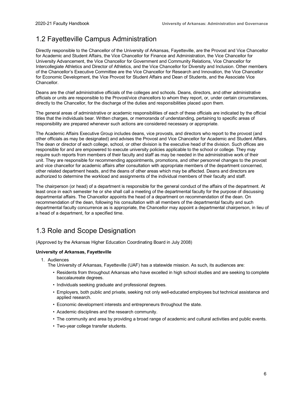### <span id="page-10-0"></span>1.2 Fayetteville Campus Administration

Directly responsible to the Chancellor of the University of Arkansas, Fayetteville, are the Provost and Vice Chancellor for Academic and Student Affairs, the Vice Chancellor for Finance and Administration, the Vice Chancellor for University Advancement, the Vice Chancellor for Government and Community Relations, Vice Chancellor for Intercollegiate Athletics and Director of Athletics, and the Vice Chancellor for Diversity and Inclusion. Other members of the Chancellor's Executive Committee are the Vice Chancellor for Research and Innovation, the Vice Chancellor for Economic Development, the Vice Provost for Student Affairs and Dean of Students, and the Associate Vice Chancellor.

Deans are the chief administrative officials of the colleges and schools. Deans, directors, and other administrative officials or units are responsible to the Provost/vice chancellors to whom they report, or, under certain circumstances, directly to the Chancellor, for the discharge of the duties and responsibilities placed upon them.

The general areas of administrative or academic responsibilities of each of these officials are indicated by the official titles that the individuals bear. Written charges, or memoranda of understanding, pertaining to specific areas of responsibility are prepared whenever such actions are considered necessary or appropriate.

The Academic Affairs Executive Group includes deans, vice provosts, and directors who report to the provost (and other officials as may be designated) and advises the Provost and Vice Chancellor for Academic and Student Affairs. The dean or director of each college, school, or other division is the executive head of the division. Such offices are responsible for and are empowered to execute university policies applicable to the school or college. They may require such reports from members of their faculty and staff as may be needed in the administrative work of their unit. They are responsible for recommending appointments, promotions, and other personnel changes to the provost and vice chancellor for academic affairs after consultation with appropriate members of the department concerned, other related department heads, and the deans of other areas which may be affected. Deans and directors are authorized to determine the workload and assignments of the individual members of their faculty and staff.

The chairperson (or head) of a department is responsible for the general conduct of the affairs of the department. At least once in each semester he or she shall call a meeting of the departmental faculty for the purpose of discussing departmental affairs. The Chancellor appoints the head of a department on recommendation of the dean. On recommendation of the dean, following his consultation with all members of the departmental faculty and such departmental faculty concurrence as is appropriate, the Chancellor may appoint a departmental chairperson, in lieu of a head of a department, for a specified time.

### <span id="page-10-1"></span>1.3 Role and Scope Designation

(Approved by the Arkansas Higher Education Coordinating Board in July 2008)

#### **University of Arkansas, Fayetteville**

1. Audiences

The University of Arkansas, Fayetteville (UAF) has a statewide mission. As such, its audiences are:

- Residents from throughout Arkansas who have excelled in high school studies and are seeking to complete baccalaureate degrees.
- Individuals seeking graduate and professional degrees.
- Employers, both public and private, seeking not only well-educated employees but technical assistance and applied research.
- Economic development interests and entrepreneurs throughout the state.
- Academic disciplines and the research community.
- The community and area by providing a broad range of academic and cultural activities and public events.
- Two-year college transfer students.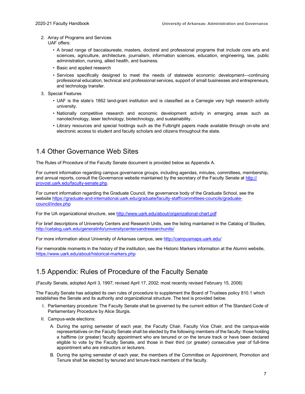#### 2. Array of Programs and Services

UAF offers:

- A broad range of baccalaureate, masters, doctoral and professional programs that include core arts and sciences, agriculture, architecture, journalism, information sciences, education, engineering, law, public administration, nursing, allied health, and business.
- Basic and applied research
- Services specifically designed to meet the needs of statewide economic development—continuing professional education, technical and professional services, support of small businesses and entrepreneurs, and technology transfer.
- 3. Special Features
	- UAF is the state's 1862 land-grant institution and is classified as a Carnegie very high research activity university.
	- Nationally competitive research and economic development activity in emerging areas such as nanotechnology, laser technology, biotechnology, and sustainability.
	- Library resources and special holdings such as the Fulbright papers made available through on-site and electronic access to student and faculty scholars and citizens throughout the state.

#### <span id="page-11-0"></span>1.4 Other Governance Web Sites

The Rules of Procedure of the Faculty Senate document is provided below as Appendix A.

For current information regarding campus governance groups, including agendas, minutes, committees, membership, and annual reports, consult the Governance website maintained by the secretary of the Faculty Senate at [http://](https://provost.uark.edu/campus-governance/faculty.php) [provost.uark.edu/faculty-senate.php.](https://provost.uark.edu/campus-governance/faculty.php)

For current information regarding the Graduate Council, the governance body of the Graduate School, see the website [https://graduate-and-international.uark.edu/graduate/faculty-staff/committees-councils/graduate](https://graduate-and-international.uark.edu/graduate/faculty-staff/committees-councils/graduate-council/index.php)[council/index.php](https://graduate-and-international.uark.edu/graduate/faculty-staff/committees-councils/graduate-council/index.php)

For the UA organizational structure, se[e http://www.uark.edu/about/organizational-chart.pdf](http://www.uark.edu/about/organizational-chart.pdf)

For brief descriptions of University Centers and Research Units, see the listing maintained in the Catalog of Studies, <http://catalog.uark.edu/generalinfo/universitycentersandresearchunits/>

For more information about University of Arkansas campus, se[e http://campusmaps.uark.edu/](http://campusmaps.uark.edu/)

For memorable moments in the history of the institution, see the Historic Markers information at the Alumni website, <https://www.uark.edu/about/historical-markers.php>

#### <span id="page-11-1"></span>1.5 Appendix: Rules of Procedure of the Faculty Senate

(Faculty Senate, adopted April 3, 1997; revised April 17, 2002; most recently revised February 15, 2006)

The Faculty Senate has adopted its own rules of procedure to supplement the Board of Trustees policy 810.1 which establishes the Senate and its authority and organizational structure. The text is provided below.

- I. Parliamentary procedure: The Faculty Senate shall be governed by the current edition of The Standard Code of Parliamentary Procedure by Alice Sturgis.
- II. Campus-wide elections:
	- A. During the spring semester of each year, the Faculty Chair, Faculty Vice Chair, and the campus-wide representatives on the Faculty Senate shall be elected by the following members of the faculty: those holding a halftime (or greater) faculty appointment who are tenured or on the tenure track or have been declared eligible to vote by the Faculty Senate, and those in their third (or greater) consecutive year of full-time appointment who are instructors or lecturers.
	- B. During the spring semester of each year, the members of the Committee on Appointment, Promotion and Tenure shall be elected by tenured and tenure-track members of the faculty.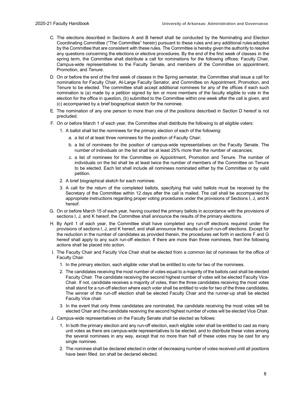- C. The elections described in Sections A and B hereof shall be conducted by the Nominating and Election Coordinating Committee ("The Committee" herein) pursuant to these rules and any additional rulesadopted by the Committee that are consistent with these rules. The Committee is hereby given the authority to resolve any questions concerning the elections or elective procedures. By the end of the first week of classes in the spring term, the Committee shall distribute a call for nominations for the following offices: Faculty Chair, Campus-wide representatives to the Faculty Senate, and members of the Committee on appointment, Promotion, and Tenure.
- D. On or before the end of the first week of classes in the Spring semester, the Committee shall issue a call for nominations for Faculty Chair, At-Large Faculty Senator, and Committee on Appointment, Promotion, and Tenure to be elected. The committee shall accept additional nominees for any of the offices if each such nomination is (a) made by a petition signed by ten or more members of the faculty eligible to vote in the election for the office in question, (b) submitted to the Committee within one week after the call is given, and (c) accompanied by a brief biographical sketch for the nominee.
- E. The nomination of any one person to more than one of the positions described in Section D hereof is not precluded.
- F. On or before March 1 of each year, the Committee shall distribute the following to all eligible voters:
	- 1. A ballot shall list the nominees for the primary election of each of the following:
		- a. a list of at least three nominees for the position of Faculty Chair;
		- b. a list of nominees for the position of campus-wide representatives on the Faculty Senate. The number of individuals on the list shall be at least 25% more than the number of vacancies;
		- c. a list of nominees for the Committee on Appointment, Promotion and Tenure. The number of individuals on the list shall be at least twice the number of members of the Committee on Tenure to be elected. Each list shall include all nominees nominated either by the Committee or by valid petition.
	- 2. A brief biographical sketch for each nominee.
	- 3. A call for the return of the completed ballots, specifying that valid ballots must be received by the Secretary of the Committee within 12 days after the call is mailed. The call shall be accompanied by appropriate instructions regarding proper voting procedures under the provisions of Sections I, J, and K hereof.
- G. On or before March 15 of each year, having counted the primary ballots in accordance with the provisions of sections I, J, and K hereof, the Committee shall announce the results of the primary elections.
- H. By April 1 of each year, the Committee shall have completed any run-off elections required under the provisions of sections I, J, and K hereof, and shall announce the results of such run-off elections. Except for the reduction in the number of candidates as provided therein, the procedures set forth in sections F and G hereof shall apply to any such run-off election. If there are more than three nominees, then the following actions shall be placed into action.
- I. The Faculty Chair and Faculty Vice Chair shall be elected from a common list of nominees for the office of Faculty Chair.
	- 1. In the primary election, each eligible voter shall be entitled to vote for two of the nominees.
	- 2. The candidates receiving the most number of votes equal to a majority of the ballots cast shall be elected Faculty Chair. The candidate receiving the second highest number of votes will be elected Faculty Vice-Chair. If not, candidate receives a majority of votes, then the three candidates receiving the most votes shall stand for a run-off election where each voter shall be entitled to vote for two of the three candidates. The winner of the run-off election shall be elected Faculty Chair and the runner-up shall be elected Faculty Vice chair.
	- 3. In the event that only three candidates are nominated, the candidate receiving the most votes will be elected Chair and the candidate receiving the second highest number of votes will be elected Vice Chair.
- J. Campus-wide representatives on the Faculty Senate shall be elected as follows:
	- 1. In both the primary election and any run-off election, each eligible voter shall be entitled to cast as many unit votes as there are campus-wide representatives to be elected, and to distribute these votes among the several nominees in any way, except that no more than half of these votes may be cast for any single nominee.
	- 2. The nominee shall be declared elected in order of decreasing number of votes received until all positions have been filled. ion shall be declared elected.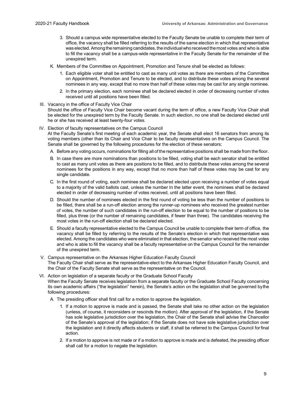- 3. Should a campus wide representative elected to the Faculty Senate be unable to complete their term of office, the vacancy shall be filled referring to the results of the same election in which that representative was elected. Among the remaining candidates, the individual who received the most votes and who is able to fill the vacancy shall be a campus-wide representative in the Faculty Senate for the remainder of the unexpired term.
- K. Members of the Committee on Appointment, Promotion and Tenure shall be elected as follows:
	- 1. Each eligible voter shall be entitled to cast as many unit votes as there are members of the Committee on Appointment, Promotion and Tenure to be elected, and to distribute these votes among the several nominees in any way, except that no more than half of these votes may be cast for any single nominee.
	- 2. In the primary election, each nominee shall be declared elected in order of decreasing number of votes received until all positions have been filled.

#### III. Vacancy in the office of Faculty Vice Chair

Should the office of Faculty Vice Chair become vacant during the term of office, a new Faculty Vice Chair shall be elected for the unexpired term by the Faculty Senate. In such election, no one shall be declared elected until he or she has received at least twenty-four votes.

#### IV. Election of faculty representatives on the Campus Council

At the Faculty Senate's first meeting of each academic year, the Senate shall elect 16 senators from among its voting members (other than its Chair and Vice Chair to be faculty representatives on the Campus Council. The Senate shall be governed by the following procedures for the election of these senators:

- A. Before any voting occurs, nominations for filling all of the representative positions shall be made from the floor.
- B. In case there are more nominations than positions to be filled, voting shall be each senator shall be entitled to cast as many unit votes as there are positions to be filled, and to distribute these votes among the several nominees for the positions in any way, except that no more than half of these votes may be cast for any single candidate.
- C. In the first round of voting, each nominee shall be declared elected upon receiving a number of votes equal to a majority of the valid ballots cast, unless the number In the latter event, the nominees shall be declared elected in order of decreasing number of votes received, until all positions have been filled.
- D. Should the number of nominees elected in the first round of voting be less than the number of positions to be filled, there shall be a run-off election among the runner-up nominees who received the greatest number of votes, the number of such candidates in the run-off election to be equal to the number of positions to be filled, plus three (or the number of remaining candidates, if fewer than three). The candidates receiving the most votes in the run-off election shall be declared elected.
- E. Should a faculty representative elected to the Campus Council be unable to complete their term of office, the vacancy shall be filled by referring to the results of the Senate's election in which that representative was elected. Among the candidates who were eliminated in that election, the senator who received the most votes and who is able to fill the vacancy shall be a faculty representative on the Campus Council for the remainder of the unexpired term.
- V. Campus representative on the Arkansas Higher Education Faculty Council The Faculty Chair shall serve as the representative-elect to the Arkansas Higher Education Faculty Council, and the Chair of the Faculty Senate shall serve as the representative on the Council.
- VI. Action on legislation of a separate faculty or the Graduate School Faculty When the Faculty Senate receives legislation from a separate faculty or the Graduate School Faculty concerning its own academic affairs ("the legislation" herein), the Senate's action on the legislation shall be governed bythe following procedures:
	- A. The presiding officer shall first call for a motion to approve the legislation.
		- 1. If a motion to approve is made and is passed, the Senate shall take no other action on the legislation (unless, of course, it reconsiders or rescinds the motion). After approval of the legislation, if the Senate has sole legislative jurisdiction over the legislation, the Chair of the Senate shall advise the Chancellor of the Senate's approval of the legislation; if the Senate does not have sole legislative jurisdiction over the legislation and it directly affects students or staff, it shall be referred to the Campus Council forfinal action.
		- 2. If a motion to approve is not made or if a motion to approve is made and is defeated, the presiding officer shall call for a motion to negate the legislation.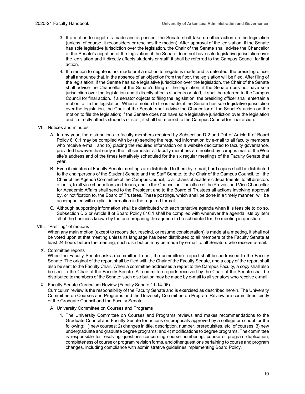- 3. If a motion to negate is made and is passed, the Senate shall take no other action on the legislation (unless, of course, it reconsiders or rescinds the motion). After approval of the legislation, if the Senate has sole legislative jurisdiction over the legislation, the Chair of the Senate shall advise the Chancellor of the Senate's negation of the legislation; if the Senate does not have sole legislative jurisdiction over the legislation and it directly affects students or staff, it shall be referred to the Campus Council forfinal action.
- 4. If a motion to negate is not made or if a motion to negate is made and is defeated, the presiding officer shall announce that, in the absence of an objection from the floor, the legislation will be filed. After filing of the legislation, if the Senate has sole legislative jurisdiction over the legislation, the Chair of the Senate shall advise the Chancellor of the Senate's filing of the legislation; if the Senate does not have sole jurisdiction over the legislation and it directly affects students or staff, it shall be referred to theCampus Council for final action. If a senator objects to filing the legislation, the presiding officer shall entertain a motion to file the legislation. When a motion to file is made, if the Senate has sole legislative jurisdiction over the legislation, the Chair of the Senate shall advise the Chancellor of the Senate's action on the motion to file the legislation; if the Senate does not have sole legislative jurisdiction over the legislation and it directly affects students or staff, it shall be referred to the Campus Council for final action.
- VII. Notices and minutes
	- A. In any year, the distributions to faculty members required by Subsection D.2 and D.4 of Article II of Board Policy 810.1 may be complied with by (a) sending the required information by e-mail to all faculty members who receive e-mail, and (b) placing the required information on a website dedicated to faculty governance, provided however that early in the fall semester all faculty members are notified by campus mail of theWeb site's address and of the times tentatively scheduled for the six regular meetings of the Faculty Senate that year.
	- B. Even if minutes of Faculty Senate meetings are distributed to them by e-mail, hard copies shall be distributed to the chairpersons of the Student Senate and the Staff Senate, to the Chair of the Campus Council, to the Chair of the Agenda Committee of the Campus Council, to all chairs of academic departments, to all directors of units, to all vice chancellors and deans, and to the Chancellor. The office of the Provost and Vice Chancellor for Academic Affairs shall send to the President and to the Board of Trustees all actions involving approval by, or notification to, the Board of Trustees. These postings, which shall be done in a timely manner, will be accompanied with explicit information in the required format.
	- C. Although supporting information shall be distributed with each tentative agenda when it is feasible to do so, Subsection D.2 or Article II of Board Policy 810.1 shall be complied with whenever the agenda lists by item all of the business known by the one preparing the agenda to be scheduled for the meeting in question.
- VIII. "Prefiling" of motions

When any main motion (except to reconsider, rescind, or resume consideration) is made at a meeting, it shall not be voted upon at that meeting unless its language has been distributed to all members of the Faculty Senate at least 24 hours before the meeting; such distribution may be made by e-mail to all Senators who receive e-mail.

IX. Committee reports

When the Faculty Senate asks a committee to act, the committee's report shall be addressed to the Faculty Senate. The original of the report shall be filed with the Chair of the Faculty Senate, and a copy of the report shall also be sent to the Faculty Chair. When a committee addresses a report to the Campus Faculty, a copy shall also be sent to the Chair of the Faculty Senate. All committee reports received by the Chair of the Senate shall be distributed to members of the Senate; such distribution may be made by e-mail to all senators who receive e-mail.

X. Faculty Senate Curriculum Review (Faculty Senate 11-14-96)

Curriculum review is the responsibility of the Faculty Senate and is exercised as described herein. The University Committee on Courses and Programs and the University Committee on Program Review are committees jointly of the Graduate Council and the Faculty Senate.

- A. University Committee on Courses and Programs
	- 1. The University Committee on Courses and Programs reviews and makes recommendations to the Graduate Council and Faculty Senate for actions on proposals approved by a college or school for the following: 1) new courses; 2) changes in title, description, number, prerequisites, etc. of courses; 3) new undergraduate and graduate degree programs; and 4) modifications to degree programs. The committee is responsible for resolving questions concerning course numbering, course or program duplication, completeness of course or program revision forms, and other questions pertaining to course and program changes, including compliance with administrative guidelines implementing Board Policy.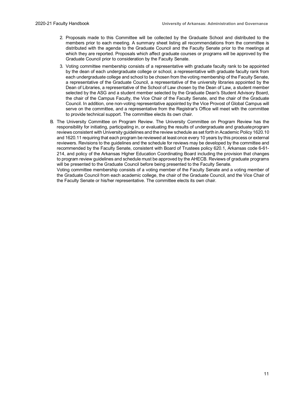- 2. Proposals made to this Committee will be collected by the Graduate School and distributed to the members prior to each meeting. A summary sheet listing all recommendations from the committee is distributed with the agenda to the Graduate Council and the Faculty Senate prior to the meetings at which they are reported. Proposals which affect graduate courses or programs will be approved by the Graduate Council prior to consideration by the Faculty Senate.
- 3. Voting committee membership consists of a representative with graduate faculty rank to be appointed by the dean of each undergraduate college or school, a representative with graduate faculty rank from each undergraduate college and school to be chosen from the voting membership of the Faculty Senate, a representative of the Graduate Council, a representative of the university libraries appointed by the Dean of Libraries, a representative of the School of Law chosen by the Dean of Law, a student member selected by the ASG and a student member selected by the Graduate Dean's Student Advisory Board, the chair of the Campus Faculty, the Vice Chair of the Faculty Senate, and the chair of the Graduate Council. In addition, one non-voting representative appointed by the Vice Provost of Global Campus will serve on the committee, and a representative from the Registrar's Office will meet with the committee to provide technical support. The committee elects its own chair.
- B. The University Committee on Program Review. The University Committee on Program Review has the responsibility for initiating, participating in, or evaluating the results of undergraduate and graduateprogram reviews consistent with University guidelines and the review schedule as set forth in Academic Policy 1620.10 and 1620.11 requiring that each program be reviewed at least once every 10 years by this process or external reviewers. Revisions to the guidelines and the schedule for reviews may be developed by the committee and recommended by the Faculty Senate, consistent with Board of Trustees policy 620.1, Arkansas code 6-61- 214, and policy of the Arkansas Higher Education Coordinating Board including the provision that changes to program review guidelines and schedule must be approved by the AHECB. Reviews of graduate programs will be presented to the Graduate Council before being presented to the Faculty Senate.

Voting committee membership consists of a voting member of the Faculty Senate and a voting member of the Graduate Council from each academic college, the chair of the Graduate Council, and the Vice Chair of the Faculty Senate or his/her representative. The committee elects its own chair.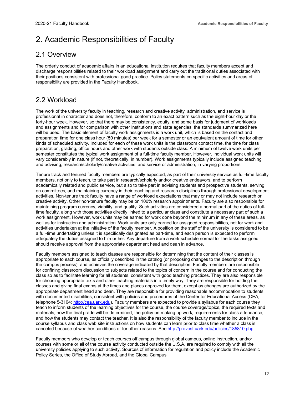### <span id="page-16-0"></span>2. Academic Responsibilities of Faculty

#### <span id="page-16-1"></span>2.1 Overview

The orderly conduct of academic affairs in an educational institution requires that faculty members accept and discharge responsibilities related to their workload assignment and carry out the traditional duties associated with their positions consistent with professional good practice. Policy statements on specific activities and areas of responsibility are provided in the Faculty Handbook.

### <span id="page-16-2"></span>2.2 Workload

The work of the university faculty in teaching, research and creative activity, administration, and service is professional in character and does not, therefore, conform to an exact pattern such as the eight-hour day or the forty-hour week. However, so that there may be consistency, equity, and some basis for judgment of workloads and assignments and for comparison with other institutions and state agencies, the standards summarized here will be used. The basic element of faculty work assignments is a work unit, which is based on the contact and preparation time for one class hour (50 minutes) per week for a semester or an equivalent amount of time for other kinds of scheduled activity. Included for each of these work units is the classroom contact time, the time for class preparation, grading, office hours and other work with students outside class. A minimum of twelve work units per semester constitutes the typical work assignment of a full-time faculty member. However, individual work units will vary considerably in nature (if not, theoretically, in number). Work assignments typically include assigned teaching and advising, research/scholarly/creative activities, and service or administration, in varying proportions.

Tenure track and tenured faculty members are typically expected, as part of their university service as full-time faculty members, not only to teach, to take part in research/scholarly and/or creative endeavors, and to perform academically related and public service, but also to take part in advising students and prospective students, serving on committees, and maintaining currency in their teaching and research disciplines through professional development activities. Non-tenure track faculty have a range of workload expectations that may or may not include research or creative activity. Other non-tenure faculty may be on 100% research appointments. Faculty are also responsible for maintaining program currency, viability, and quality. Such activities are considered a normal part of the duties of fulltime faculty, along with those activities directly linked to a particular class and constitute a necessary part of such a work assignment. However, work units may be earned for work done beyond the minimum in any of these areas, as well as for instruction and administration. Work units are only earned for assigned responsibilities, not for work and activities undertaken at the initiative of the faculty member. A position on the staff of the university is considered to be a full-time undertaking unless it is specifically designated as part-time, and each person is expected to perform adequately the duties assigned to him or her. Any departure from a work schedule normal for the tasks assigned should receive approval from the appropriate department head and dean in advance.

Faculty members assigned to teach classes are responsible for determining that the content of their classes is appropriate to each course, as officially described in the catalog (or proposing changes to the description through the campus process), and achieves the coverage indicated by that description. Faculty members are responsible for confining classroom discussion to subjects related to the topics of concern in the course and for conducting the class so as to facilitate learning for all students, consistent with good teaching practices. They are also responsible for choosing appropriate texts and other teaching materials in a timely way. They are responsible for holding the classes and giving final exams at the times and places approved for them, except as changes are authorized by the appropriate department head and dean. They are responsible for providing reasonable accommodation to students with documented disabilities, consistent with policies and procedures of the Center for Educational Access (CEA, telephone 5-3104; [http://cea.uark.edu\)](http://cea.uark.edu/). Faculty members are expected to provide a syllabus for each course they teach to inform students of the learning objectives for the course, the course coverage/topics, the required texts and materials, how the final grade will be determined, the policy on making up work, requirements for class attendance, and how the students may contact the teacher. It is also the responsibility of the faculty member to include in the course syllabus and class web site instructions on how students can learn prior to class time whether a class is canceled because of weather conditions or for other reasons. See [http://provost.uark.edu/policies/185810.php.](https://provost.uark.edu/policies/185810.php)

Faculty members who develop or teach courses off campus through global campus, online instruction, and/or courses with some or all of the course activity conducted outside the U.S.A. are required to comply with all the university policies applying to such activity. Sources of information for regulation and policy include the Academic Policy Series, the Office of Study Abroad, and the Global Campus.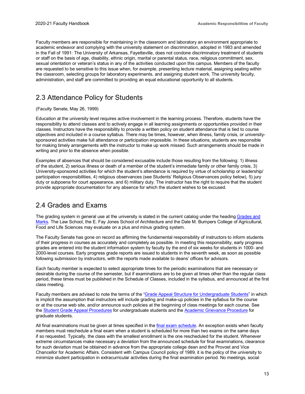Faculty members are responsible for maintaining in the classroom and laboratory an environment appropriate to academic endeavor and complying with the university statement on discrimination, adopted in 1983 and amended in the Fall of 1991: The University of Arkansas, Fayetteville, does not condone discriminatory treatment of students or staff on the basis of age, disability, ethnic origin, marital or parental status, race, religious commitment, sex, sexual orientation or veteran's status in any of the activities conducted upon this campus. Members of the faculty are requested to be sensitive to this issue when, for example, presenting lecture material, assigning seating within the classroom, selecting groups for laboratory experiments, and assigning student work. The university faculty, administration, and staff are committed to providing an equal educational opportunity to all students.

#### <span id="page-17-0"></span>2.3 Attendance Policy for Students

#### (Faculty Senate, May 26, 1999)

Education at the university level requires active involvement in the learning process. Therefore, students have the responsibility to attend classes and to actively engage in all learning assignments or opportunities provided in their classes. Instructors have the responsibility to provide a written policy on student attendance that is tied to course objectives and included in a course syllabus. There may be times, however, when illness, family crisis, or universitysponsored activities make full attendance or participation impossible. In these situations, students are responsible for making timely arrangements with the instructor to make up work missed. Such arrangements should be made in writing and prior to the absence when possible.

Examples of absences that should be considered excusable include those resulting from the following: 1) illness of the student, 2) serious illness or death of a member of the student's immediate family or other family crisis, 3) University-sponsored activities for which the student's attendance is required by virtue of scholarship or leadership/ participation responsibilities, 4) religious observances (see Students' Religious Observances policy below), 5) jury duty or subpoena for court appearance, and 6) military duty. The instructor has the right to require that the student provide appropriate documentation for any absence for which the student wishes to be excused.

#### <span id="page-17-1"></span>2.4 Grades and Exams

The grading system in general use at the university is stated in the current catalog under the headin[g Grades and](https://registrar.uark.edu/faculty-staff/grading.php) [Marks.](https://registrar.uark.edu/faculty-staff/grading.php) The Law School, the E. Fay Jones School of Architecture and the Dale M. Bumpers College of Agricultural, Food and Life Sciences may evaluate on a plus and minus grading system.

The Faculty Senate has gone on record as affirming the fundamental responsibility of instructors to inform students of their progress in courses as accurately and completely as possible. In meeting this responsibility, early progress grades are entered into the student information system by faculty by the end of six weeks for students in 1000- and 2000-level courses. Early progress grade reports are issued to students in the seventh week, as soon as possible following submission by instructors, with the reports made available to deans' offices for advisors.

Each faculty member is expected to select appropriate times for the periodic examinations that are necessary or desirable during the course of the semester, but if examinations are to be given at times other than the regular class period, these times must be published in the Schedule of Classes, included in the syllabus, and announced at the first class meeting.

Faculty members are advised to note the terms of the ["Grade Appeal Structure for Undergraduate Students"](http://catalog.uark.edu/undergraduatecatalog/academicregulations/studentacademicappeals/) in which is implicit the assumption that instructors will include grading and make-up policies in the syllabus for the course or at the course web site, and/or announce such policies at the beginning of class meetings for each course. See the [Student Grade Appeal Procedures](https://catalog.uark.edu/undergraduatecatalog/academicregulations/studentacademicappeals/) for undergraduate students and the [Academic Grievance Procedure](https://catalog.uark.edu/graduatecatalog/objectivesandregulations/#grievanceprocedurestext) for graduate students.

All final examinations must be given at times specified in the [final exam schedule.](http://registrar.uark.edu/registration/final-exam-schedule/index.php) An exception exists when faculty members must reschedule a final exam when a student is scheduled for more than two exams on the same days if so requested. Typically, the class with the smallest enrollment is the one rescheduled for the student. Whenever extreme circumstances make necessary a deviation from the announced schedule for final examinations, clearance for such deviation must be obtained in advance from the appropriate college dean and the Provost and Vice Chancellor for Academic Affairs. Consistent with Campus Council policy of 1989, it is the policy of the university to minimize student participation in extracurricular activities during the final examination period. No meetings, social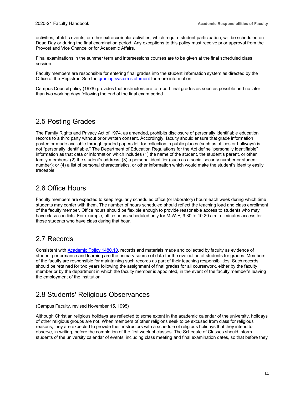activities, athletic events, or other extracurricular activities, which require student participation, will be scheduled on Dead Day or during the final examination period. Any exceptions to this policy must receive prior approval from the Provost and Vice Chancellor for Academic Affairs.

Final examinations in the summer term and intersessions courses are to be given at the final scheduled class session.

Faculty members are responsible for entering final grades into the student information system as directed by the Office of the Registrar. See the [grading system statement](https://catalog.uark.edu/undergraduatecatalog/academicregulations/#gradesandmarkstext) for more information.

Campus Council policy (1978) provides that instructors are to report final grades as soon as possible and no later than two working days following the end of the final exam period.

#### <span id="page-18-0"></span>2.5 Posting Grades

The Family Rights and Privacy Act of 1974, as amended, prohibits disclosure of personally identifiable education records to a third party without prior written consent. Accordingly, faculty should ensure that grade information posted or made available through graded papers left for collection in public places (such as offices or hallways) is not "personally identifiable." The Department of Education Regulations for the Act define "personally identifiable" information as that data or information which includes (1) the name of the student, the student's parent, or other family members; (2) the student's address; (3) a personal identifier (such as a social security number or student number); or (4) a list of personal characteristics, or other information which would make the student's identity easily traceable.

#### <span id="page-18-1"></span>2.6 Office Hours

Faculty members are expected to keep regularly scheduled office (or laboratory) hours each week during which time students may confer with them. The number of hours scheduled should reflect the teaching load and class enrollment of the faculty member. Office hours should be flexible enough to provide reasonable access to students who may have class conflicts. For example, office hours scheduled only for M-W-F, 9:30 to 10:20 a.m. eliminates access for those students who have class during that hour.

#### <span id="page-18-2"></span>2.7 Records

Consistent wit[h Academic Policy 1480.10,](https://provost.uark.edu/policies/148010.php) records and materials made and collected by faculty as evidence of student performance and learning are the primary source of data for the evaluation of students for grades. Members of the faculty are responsible for maintaining such records as part of their teaching responsibilities. Such records should be retained for two years following the assignment of final grades for all coursework, either by the faculty member or by the department in which the faculty member is appointed, in the event of the faculty member's leaving the employment of the institution.

#### <span id="page-18-3"></span>2.8 Students' Religious Observances

(Campus Faculty, revised November 15, 1995)

Although Christian religious holidays are reflected to some extent in the academic calendar of the university, holidays of other religious groups are not. When members of other religions seek to be excused from class for religious reasons, they are expected to provide their instructors with a schedule of religious holidays that they intend to observe, in writing, before the completion of the first week of classes. The Schedule of Classes should inform students of the university calendar of events, including class meeting and final examination dates, so that before they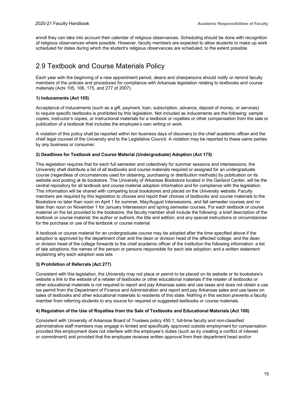enroll they can take into account their calendar of religious observances. Scheduling should be done with recognition of religious observances where possible. However, faculty members are expected to allow students to make up work scheduled for dates during which the student's religious observances are scheduled, to the extent possible.

#### <span id="page-19-0"></span>2.9 Textbook and Course Materials Policy

Each year with the beginning of a new appointment period, deans and chairpersons should notify or remind faculty members of the policies and procedures for compliance with Arkansas legislation relating to textbooks and course materials (Acts 105, 106, 175, and 277 of 2007).

#### **1) Inducements (Act 105)**

Acceptance of inducements (such as a gift, payment, loan, subscription, advance, deposit of money, or services) to require specific textbooks is prohibited by this legislation. Not included as inducements are the following: sample copies, instructor's copies, or instructional materials for a textbook or royalties or other compensation from the sale or publication of a textbook that includes the employee's own writing or work.

A violation of this policy shall be reported within ten business days of discovery to the chief academic officer and the chief legal counsel of the University and to the Legislative Council. A violation may be reported to these same parties by any business or consumer.

#### **2) Deadlines for Textbook and Course Material (Undergraduate) Adoption (Act 175)**

This legislation requires that for each full semester and collectively for summer sessions and intersessions, the University shall distribute a list of all textbooks and course materials required or assigned for an undergraduate course (regardless of circumstances used for obtaining, purchasing or distribution methods) by publication on its website and posting at its bookstore. The University of Arkansas Bookstore located in the Garland Center, will be the central repository for all textbook and course material adoption information and for compliance with the legislation. This information will be shared with competing local bookstores and placed on the University website. Faculty members are required by this legislation to choose and report their choices of textbooks and course materials to the Bookstore no later than noon on April 1 for summer, May/August Intersessions, and fall semester courses and no later than noon on November 1 for January Intersession and spring semester courses. For each textbook or course material on the list provided to the bookstore, the faculty member shall include the following: a brief description of the textbook or course material; the author or authors; the title and edition; and any special instructions or circumstances for the purchase or use of the textbook or course material.

A textbook or course material for an undergraduate course may be adopted after the time specified above if the adoption is approved by the department chair and the dean or division head of the affected college; and the dean or division head of the college forwards to the chief academic officer of the institution the following information: a list of late adoptions; the names of the person or persons responsible for each late adoption; and a written statement explaining why each adoption was late.

#### **3) Prohibition of Referrals (Act 277)**

Consistent with this legislation, the University may not place or permit to be placed on its website or its bookstore's website a link to the website of a retailer of textbooks or other educational materials if the retailer of textbooks or other educational materials is not required to report and pay Arkansas sales and use taxes and does not obtain a use tax permit from the Department of Finance and Administration and report and pay Arkansas sales and use taxes on sales of textbooks and other educational materials to residents of this state. Nothing in this section prevents a faculty member from referring students to any source for required or suggested textbooks or course materials.

#### **4) Regulation of the Use of Royalties from the Sale of Textbooks and Educational Materials (Act 106)**

Consistent with University of Arkansas Board of Trustees policy 450.1, full-time faculty and non-classified administrative staff members may engage in limited and specifically approved outside employment for compensation provided this employment does not interfere with the employee's duties (such as by creating a conflict of interest or commitment) and provided that the employee receives written approval from their department head and/or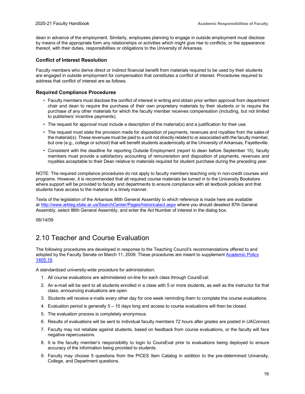dean in advance of the employment. Similarly, employees planning to engage in outside employment must disclose by means of the appropriate form any relationships or activities which might give rise to conflicts, or the appearance thereof, with their duties, responsibilities or obligations to the University of Arkansas.

#### **Conflict of Interest Resolution**

Faculty members who derive direct or indirect financial benefit from materials required to be used by their students are engaged in outside employment for compensation that constitutes a conflict of interest. Procedures required to address that conflict of interest are as follows.

#### **Required Compliance Procedures**

- Faculty members must disclose the conflict of interest in writing and obtain prior written approval from department chair and dean to require the purchase of their own proprietary materials by their students or to require the purchase of any other materials for which the faculty member receives compensation (including, but not limited to publishers' incentive payments).
- The request for approval must include a description of the material(s) and a justification for their use.
- The request must state the provision made for disposition of payments, revenues and royalties from the sales of the material(s). These revenues must be paid to a unit not directly related to or associated with the faculty member, but one (e.g., college or school) that will benefit students academically at the University of Arkansas, Fayetteville.
- Consistent with the deadline for reporting Outside Employment (report to dean before September 15), faculty members must provide a satisfactory accounting of remuneration and disposition of payments, revenues and royalties acceptable to their Dean relative to materials required for student purchase during the preceding year.

NOTE: The required compliance procedures do not apply to faculty members teaching only in non-credit courses and programs. However, it is recommended that all required course materials be turned in to the University Bookstore where support will be provided to faculty and departments to ensure compliance with all textbook policies and that students have access to the material in a timely manner.

Texts of the legislation of the Arkansas 86th General Assembly to which reference is made here are available at<http://www.arkleg.state.ar.us/SearchCenter/Pages/historicalact.aspx> where you should deselect 87th General Assembly, select 86th General Assembly, and enter the Act Number of interest in the dialog box.

08/14/09

#### <span id="page-20-0"></span>2.10 Teacher and Course Evaluation

The following procedures are developed in response to the Teaching Council's recommendations offered to and adopted by the Faculty Senate on March 11, 2009. These procedures are meant to supplemen[t Academic Policy](https://provost.uark.edu/policies/140515.php) [1405.15.](https://provost.uark.edu/policies/140515.php)

A standardized university-wide procedure for administration:

- 1. All course evaluations are administered on-line for each class through CoursEval.
- 2. An e-mail will be sent to all students enrolled in a class with 5 or more students, as well as the instructor for that class, announcing evaluations are open.
- 3. Students will receive e-mails every other day for one week reminding them to complete the course evaluations.
- 4. Evaluation period is generally 5 10 days long and access to course evaluations will then be closed.
- 5. The evaluation process is completely anonymous.
- 6. Results of evaluations will be sent to individual faculty members 72 hours after grades are posted in UAConnect.
- 7. Faculty may not retaliate against students, based on feedback from course evaluations, or the faculty will face negative repercussions.
- 8. It is the faculty member's responsibility to login to CoursEval prior to evaluations being deployed to ensure accuracy of the information being provided to students.
- 9. Faculty may choose 5 questions from the PICES Item Catalog in addition to the pre-determined University, College, and Department questions.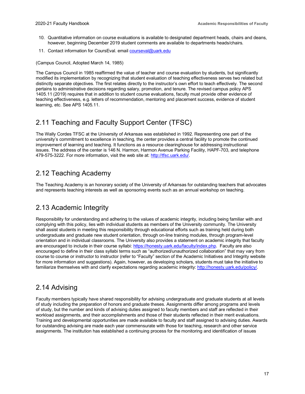- 10. Quantitative information on course evaluations is available to designated department heads, chairs and deans, however, beginning December 2019 student comments are available to departments heads/chairs.
- 11. Contact information for CoursEval. email [courseval@uark.edu](mailto:courseval@uark.edu)

(Campus Council, Adopted March 14, 1985)

The Campus Council in 1985 reaffirmed the value of teacher and course evaluation by students, but significantly modified its implementation by recognizing that student evaluation of teaching effectiveness serves two related but distinctly separate objectives. The first relates directly to the instructor's own effort to teach effectively. The second pertains to administrative decisions regarding salary, promotion, and tenure. The revised campus policy APS 1405.11 (2019) requires that in addition to student course evaluations, faculty must provide other evidence of teaching effectiveness, e.g. letters of recommendation, mentoring and placement success, evidence of student learning, etc. See APS 1405.11.

### <span id="page-21-0"></span>2.11 Teaching and Faculty Support Center (TFSC)

The Wally Cordes TFSC at the University of Arkansas was established in 1992. Representing one part of the university's commitment to excellence in teaching, the center provides a central facility to promote the continued improvement of learning and teaching. It functions as a resource clearinghouse for addressing instructional issues. The address of the center is 146 N. Harmon, Harmon Avenue Parking Facility, HAPF-703, and telephone 479-575-3222. For more information, visit the web site at[: http://tfsc.uark.edu/.](http://tfsc.uark.edu/)

### <span id="page-21-1"></span>2.12 Teaching Academy

The Teaching Academy is an honorary society of the University of Arkansas for outstanding teachers that advocates and represents teaching interests as well as sponsoring events such as an annual workshop on teaching.

#### <span id="page-21-2"></span>2.13 Academic Integrity

Responsibility for understanding and adhering to the values of academic integrity, including being familiar with and complying with this policy, lies with individual students as members of the University community. The University shall assist students in meeting this responsibility through educational efforts such as training held during both undergraduate and graduate new student orientation, through on-line training modules, through program-level orientation and in individual classrooms. The University also provides a statement on academic integrity that faculty are encouraged to include in their course syllabi[: https://honesty.uark.edu/faculty/index.php.](https://honesty.uark.edu/faculty/index.php) Faculty are also encouraged to define in their class syllabi terms such as "authorized/unauthorized collaboration" that may vary from course to course or instructor to instructor (refer to "Faculty" section of the Academic Initiatives and Integrity website for more information and suggestions). Again, however, as developing scholars, students must take the initiative to familiarize themselves with and clarify expectations regarding academic integrity: [http://honesty.uark.edu/policy/.](http://honesty.uark.edu/policy/)

#### <span id="page-21-3"></span>2.14 Advising

Faculty members typically have shared responsibility for advising undergraduate and graduate students at all levels of study including the preparation of honors and graduate theses. Assignments differ among programs and levels of study, but the number and kinds of advising duties assigned to faculty members and staff are reflected in their workload assignments, and their accomplishments and those of their students reflected in their merit evaluations. Training and developmental opportunities are made available to faculty and staff assigned to advising duties. Awards for outstanding advising are made each year commensurate with those for teaching, research and other service assignments. The institution has established a continuing process for the monitoring and identification of issues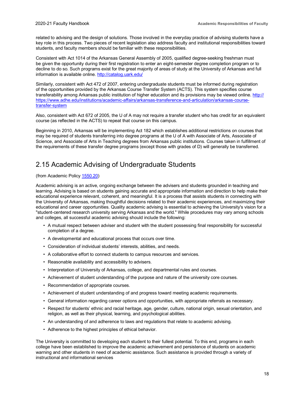related to advising and the design of solutions. Those involved in the everyday practice of advising students have a key role in this process. Two pieces of recent legislation also address faculty and institutional responsibilities toward students, and faculty members should be familiar with these responsibilities.

Consistent with Act 1014 of the Arkansas General Assembly of 2005, qualified degree-seeking freshman must be given the opportunity during their first registration to enter an eight-semester degree completion program or to decline to do so. Such programs exist for the great majority of areas of study at the University of Arkansas and full information is available online.<http://catalog.uark.edu/>

Similarly, consistent with Act 472 of 2007, entering undergraduate students must be informed during registration of the opportunities provided by the Arkansas Course Transfer System (ACTS). This system specifies course transferability among Arkansas public institution of higher education and its provisions may be viewed online. [http://](https://www.adhe.edu/institutions/academic-affairs/arkansas-transference-and-articulation/arkansas-course-transfer-system) [https://www.adhe.edu/institutions/academic-affairs/arkansas-transference-and-articulation/arkansas-course](https://www.adhe.edu/institutions/academic-affairs/arkansas-transference-and-articulation/arkansas-course-transfer-system)[transfer-system](https://www.adhe.edu/institutions/academic-affairs/arkansas-transference-and-articulation/arkansas-course-transfer-system)

Also, consistent with Act 672 of 2005, the U of A may not require a transfer student who has credit for an equivalent course (as reflected in the ACTS) to repeat that course on this campus.

Beginning in 2010, Arkansas will be implementing Act 182 which establishes additional restrictions on courses that may be required of students transferring into degree programs at the U of A with Associate of Arts, Associate of Science, and Associate of Arts in Teaching degrees from Arkansas public institutions. Courses taken in fulfillment of the requirements of these transfer degree programs (except those with grades of D) will generally be transferred.

#### <span id="page-22-0"></span>2.15 Academic Advising of Undergraduate Students

#### (from Academic Policy [1550.20\)](https://provost.uark.edu/policies/155020.php)

Academic advising is an active, ongoing exchange between the advisers and students grounded in teaching and learning. Advising is based on students gaining accurate and appropriate information and direction to help make their educational experience relevant, coherent, and meaningful. It is a process that assists students in connecting with the University of Arkansas, making thoughtful decisions related to their academic experiences, and maximizing their educational and career opportunities. Quality academic advising is essential to achieving the University's vision for a "student-centered research university serving Arkansas and the world." While procedures may vary among schools and colleges, all successful academic advising should include the following:

- A mutual respect between adviser and student with the student possessing final responsibility for successful completion of a degree.
- A developmental and educational process that occurs over time.
- Consideration of individual students' interests, abilities, and needs.
- A collaborative effort to connect students to campus resources and services.
- Reasonable availability and accessibility to advisers.
- Interpretation of University of Arkansas, college, and departmental rules and courses.
- Achievement of student understanding of the purpose and nature of the university core courses.
- Recommendation of appropriate courses.
- Achievement of student understanding of and progress toward meeting academic requirements.
- General information regarding career options and opportunities, with appropriate referrals as necessary.
- Respect for students' ethnic and racial heritage, age, gender, culture, national origin, sexual orientation, and religion, as well as their physical, learning, and psychological abilities.
- An understanding of and adherence to laws and regulations that relate to academic advising.
- Adherence to the highest principles of ethical behavior.

The University is committed to developing each student to their fullest potential. To this end, programs in each college have been established to improve the academic achievement and persistence of students on academic warning and other students in need of academic assistance. Such assistance is provided through a variety of instructional and informational services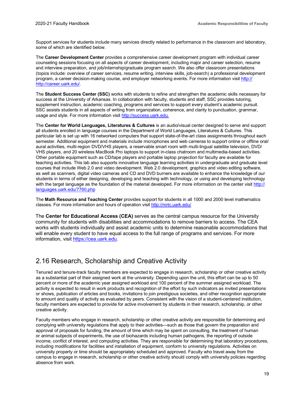Support services for students include many services directly related to performance in the classroom and laboratory, some of which are identified below.

The **Career Development Center** provides a comprehensive career development program with individual career counseling sessions focusing on all aspects of career development, including major and career selection, resume and interview preparation, and job/internship/graduate program search. We also offer classroom presentations (topics include: overview of career services, resume writing, interview skills, job-search) a professional development program, a career decision-making course, and employer networking events. For more information visit [http://](http://career.uark.edu/) [http://career.uark.edu/.](http://career.uark.edu/)

The **Student Success Center (SSC)** works with students to refine and strengthen the academic skills necessary for success at the University of Arkansas. In collaboration with faculty, students and staff, SSC provides tutoring, supplement instruction, academic coaching, programs and services to support every student's academic pursuit. SSC assists students in all aspects of writing from organization, coherence, and clarity to punctuation, grammar, usage and style. For more information visit [http://success.uark.edu.](http://success.uark.edu/)

The **Center for World Languages, Literatures & Cultures** is an audio/visual center designed to serve and support all students enrolled in language courses in the Department of World Languages, Literatures & Cultures. This particular lab is set up with 16 networked computers that support state-of-the-art class assignments throughout each semester. Additional equipment and materials include microphones and web cameras to support online or offline oral/ aural activities, multi-region DVD/VHS players, a reservable smart room with multi-lingual satellite television, DVD/ VHS players, and 20 wireless MacBook Pro laptops to support in-class chatroom and multimedia-based activities. Other portable equipment such as CD/tape players and portable laptop projection for faculty are available for teaching activities. This lab also supports innovative language learning activities in undergraduate and graduate level courses that include Web 2.0 and video development. Web 2.0 development, graphics and video editing software, as well as scanners, digital video cameras and CD and DVD burners are available to enhance the knowledge of our students in terms of either designing, developing and teaching with technology, or using and developing technology with the target language as the foundation of the material developed. For more information on the center visit [http://](https://fulbright.uark.edu/departments/world-languages/center-for-world-languages.php) [languages.uark.edu/7760.php](http://languages.uark.edu/7760.php)

The **Math Resource and Teaching Center** provides support for students in all 1000 and 2000 level mathematics classes. For more information and hours of operation visi[t http://mrtc.uark.edu/](http://mrtc.uark.edu/)

The **Center for Educational Access (CEA)** serves as the central campus resource for the University community for students with disabilities and accommodations to remove barriers to access. The CEA works with students individually and assist academic units to determine reasonable accommodations that will enable every student to have equal access to the full range of programs and services. For more information, visit [https://cea.uark.edu.](https://cea.uark.edu/)

#### <span id="page-23-0"></span>2.16 Research, Scholarship and Creative Activity

Tenured and tenure-track faculty members are expected to engage in research, scholarship or other creative activity as a substantial part of their assigned work at the university. Depending upon the unit, this effort can be up to 50 percent or more of the academic year assigned workload and 100 percent of the summer assigned workload. The activity is expected to result in work products and recognition of the effort by such indicators as invited presentations or shows, publication of articles and books, invitations to join prestigious societies, and other recognition appropriate to amount and quality of activity as evaluated by peers. Consistent with the vision of a student-centered institution, faculty members are expected to provide for active involvement by students in their research, scholarship, or other creative activity.

Faculty members who engage in research, scholarship or other creative activity are responsible for determining and complying with university regulations that apply to their activities—such as those that govern the preparation and approval of proposals for funding, the amount of time which may be spent on consulting, the treatment of human or animal subjects of experiments, the use of biohazards including human pathogens, the reporting of outside income, conflict of interest, and computing activities. They are responsible for determining that laboratory procedures, including modifications for facilities and installation of equipment, conform to university regulations. Activities on university property or time should be appropriately scheduled and approved. Faculty who travel away from the campus to engage in research, scholarship or other creative activity should comply with university policies regarding absence from work.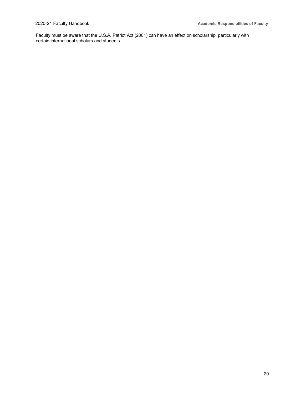Faculty must be aware that the U.S.A. Patriot Act (2001) can have an effect on scholarship, particularly with certain international scholars and students.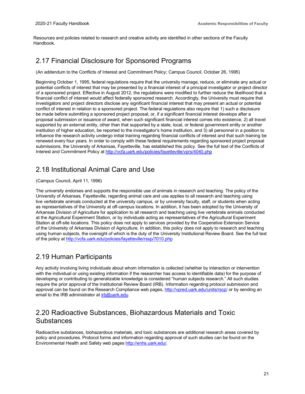Resources and policies related to research and creative activity are identified in other sections of the Faculty Handbook.

### <span id="page-25-0"></span>2.17 Financial Disclosure for Sponsored Programs

(An addendum to the Conflicts of Interest and Commitment Policy; Campus Council, October 26, 1995)

Beginning October 1, 1995, federal regulations require that the university manage, reduce, or eliminate any actual or potential conflicts of interest that may be presented by a financial interest of a principal investigator or project director of a sponsored project. Effective in August 2012, the regulations were modified to further reduce the likelihood that a financial conflict of interest would affect federally sponsored research. Accordingly, the University must require that investigators and project directors disclose any significant financial interest that may present an actual or potential conflict of interest in relation to a sponsored project. The federal regulations also require that 1) such a disclosure be made before submitting a sponsored project proposal, or, if a significant financial interest develops after a proposal submission or issuance of award, when such significant financial interest comes into existence, 2) all travel supported by an external entity, other than that supported by a state, local, or federal government entity or another institution of higher education, be reported to the investigator's home institution, and 3) all personnel in a position to influence the research activity undergo initial training regarding financial conflicts of interest and that such training be renewed every four years. In order to comply with these federal requirements regarding sponsored project proposal submissions, the University of Arkansas, Fayetteville, has established this policy. See the full text of the Conflicts of Interest and Commitment Policy at<http://vcfa.uark.edu/policies/fayetteville/vprs/4040.php>

### <span id="page-25-1"></span>2.18 Institutional Animal Care and Use

#### (Campus Council, April 11, 1996)

The university endorses and supports the responsible use of animals in research and teaching. The policy of the University of Arkansas, Fayetteville, regarding animal care and use applies to all research and teaching using live vertebrate animals conducted at the university campus, or by university faculty, staff, or students when acting as representatives of the University at off-campus locations. In addition, it has been adopted by the University of Arkansas Division of Agriculture for application to all research and teaching using live vertebrate animals conducted at the Agricultural Experiment Station, or by individuals acting as representatives of the Agricultural Experiment Station at off-site locations. This policy does not apply to services provided by the Cooperative Extension Service of the University of Arkansas Division of Agriculture. In addition, this policy does not apply to research and teaching using human subjects, the oversight of which is the duty of the University Institutional Review Board. See the full text of the policy a[t http://vcfa.uark.edu/policies/fayetteville/rssp/7010.php](http://vcfa.uark.edu/policies/fayetteville/rssp/7010.php)

#### <span id="page-25-2"></span>2.19 Human Participants

Any activity involving living individuals about whom information is collected (whether by interaction or intervention with the individual or using existing information if the researcher has access to identifiable data) for the purpose of developing or contributing to generalizable knowledge is considered "human subjects research." All such studies require the prior approval of the Institutional Review Board (IRB). Information regarding protocol submission and approval can be found on the Research Compliance web pages[, http://vpred.uark.edu/units/rscp/](http://vpred.uark.edu/units/rscp/humans-as-subjects-in-research.php) or by sending an email to the IRB administrator at [irb@uark.edu.](mailto:irb@uark.edu)

### <span id="page-25-3"></span>2.20 Radioactive Substances, Biohazardous Materials and Toxic **Substances**

Radioactive substances, biohazardous materials, and toxic substances are additional research areas covered by policy and procedures. Protocol forms and information regarding approval of such studies can be found on the Environmental Health and Safety web pages [http://enhs.uark.edu/.](http://enhs.uark.edu/)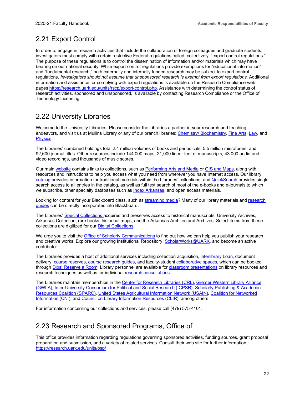### <span id="page-26-0"></span>2.21 Export Control

In order to engage in research activities that include the collaboration of foreign colleagues and graduate students, investigators must comply with certain restrictive Federal regulations called, collectively, "export control regulations." The purpose of these regulations is to control the dissemination of information and/or materials which may have bearing on our national security. While export control regulations provide exemptions for "educational information" and "fundamental research," both externally and internally funded research may be subject to export control regulations. *Investigators should not assume that unsponsored research is exempt from export regulations.* Additional information and assistance for complying with export regulations is available on the Research Compliance web pages [https://research.uark.edu/units/rscp/export-control.php.](https://research.uark.edu/units/rscp/export-control.php) Assistance with determining the control status of research activities, sponsored and unsponsored, is available by contacting Research Compliance or the Office of Technology Licensing.

### <span id="page-26-1"></span>2.22 University Libraries

Welcome to the University Libraries! Please consider the Libraries a partner in your research and teaching endeavors, and visit us at Mullins Library or any of our branch libraries[: Chemistry/ Biochemistry,](http://libraries.uark.edu/chemistry/) [Fine Arts,](http://libraries.uark.edu/fal/default.asp) [Law,](http://law.uark.edu/library/) and [Physics.](http://libraries.uark.edu/physics/)

The Libraries' combined holdings total 2.4 million volumes of books and periodicals, 5.5 million microforms, and 92,600 journal titles. Other resources include 144,000 maps, 21,000 linear feet of manuscripts, 43,000 audio and video recordings, and thousands of music scores.

Our mai[n website](http://libraries.uark.edu/) contains links to collections, such a[s Performing Arts and Media](http://libraries.uark.edu/AV/default.asp) o[r GIS and Maps,](https://libraries.uark.edu/eresources/findmaps.asp) along with resources and instructions to help you access what you need from wherever you have Internet access. Our library [catalog p](http://library.uark.edu/)rovides information for traditional materials within the Libraries' collections, an[d QuickSearch p](http://uark.libanswers.com/faq/139405)rovides single search access to all entries in the catalog, as well as full text search of most of the e-books and e-journals to which we subscribe, other specialty databases such a[s Index Arkansas,](http://arkindex.uark.edu/) and open access materials.

Looking for content for your Blackboard class, such a[s streaming media?](https://libraries.uark.edu/eresources/findvideo.asp) Many of our library materials and [research](http://uark.libguides.com/) [guides](http://uark.libguides.com/) can be directly incorporated into Blackboard.

The Libraries' [Special Collections a](http://libraries.uark.edu/SpecialCollections/)cquires and preserves access to historical manuscripts, University Archives, Arkansas Collection, rare books, historical maps, and the Arkansas Architectural Archives. Select items from these collections are digitized for our [Digital Collections.](http://digitalcollections.uark.edu/)

We urge you to visit th[e Office of Scholarly Communications](http://libraries.uark.edu/scholarlycommunications/) to find out how we can help you publish your research and creative works. Explore our growing Institutional Repository[, ScholarWorks@UARK,](http://scholarworks.uark.edu/) and become an active contributor.

The Libraries provides a host of additional services including collection acquisition[, interlibrary](http://libraries.uark.edu/ill/default.asp) Loan, document delivery, [course reserves,](http://libraries.uark.edu/circulation/reserves.asp) [course research guides,](http://uark.libguides.com/) and faculty-student [collaborative spaces,](http://libraries.uark.edu/rooms/default.asp) which can be booked through [Dibs! Reserve a Room.](https://uark.libanswers.com/faq/112519) Library personnel are available for [classroom presentations](http://libraries.uark.edu/reference/instruction.asp) on library resources and research techniques as well as for individua[l research consultations.](http://libraries.uark.edu/mailforms/requestclass.asp)

The Libraries maintain memberships in th[e Center for Research Libraries \(CRL\),](http://www.crl.edu/) [Greater Western Library Alliance](http://www.gwla.org/) [\(GWLA\),](http://www.gwla.org/) [Inter-University Consortium for Political and Social Research \(ICPSR\),](https://www.icpsr.umich.edu/icpsrweb/) [Scholarly Publishing & Academic](https://sparcopen.org/) [Resources Coalition \(SPARC\),](https://sparcopen.org/) [United States Agricultural Information Network \(USAIN\),](https://usain.org/) [Coalition for Networked](https://www.cni.org/) [Information \(CNI\),](https://www.cni.org/) an[d Council on Library Information Resources \(CLIR\),](https://www.clir.org/) among others.

For information concerning our collections and services, please call (479) 575-4101.

### <span id="page-26-2"></span>2.23 Research and Sponsored Programs, Office of

This office provides information regarding regulations governing sponsored activities, funding sources, grant proposal preparation and submission, and a variety of related services. Consult their web site for further information, <https://research.uark.edu/units/osp/>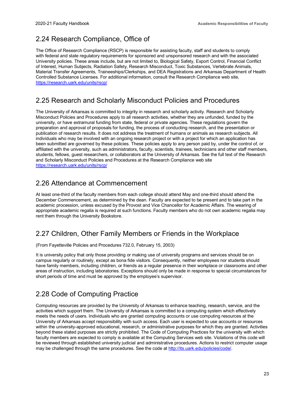### <span id="page-27-0"></span>2.24 Research Compliance, Office of

The Office of Research Compliance (RSCP) is responsible for assisting faculty, staff and students to comply with federal and state regulatory requirements for sponsored and unsponsored research and with the associated University policies. These areas include, but are not limited to, Biological Safety, Export Control, Financial Conflict of Interest, Human Subjects, Radiation Safety, Research Misconduct, Toxic Substances, Vertebrate Animals, Material Transfer Agreements, Traineeships/Clerkships, and DEA Registrations and Arkansas Department of Health Controlled Substance Licenses. For additional information, consult the Research Compliance web site, <https://research.uark.edu/units/rscp/>

### <span id="page-27-1"></span>2.25 Research and Scholarly Misconduct Policies and Procedures

The University of Arkansas is committed to integrity in research and scholarly activity. Research and Scholarly Misconduct Policies and Procedures apply to all research activities, whether they are unfunded, funded by the university, or have extramural funding from state, federal or private agencies. These regulations govern the preparation and approval of proposals for funding, the process of conducting research, and the presentation or publication of research results. It does not address the treatment of humans or animals as research subjects. All individuals who may be involved with an ongoing research project or with a project for which an application has been submitted are governed by these policies. These policies apply to any person paid by, under the control of, or affiliated with the university, such as administrators, faculty, scientists, trainees, technicians and other staff members, students, fellows, guest researchers, or collaborators at the University of Arkansas. See the full text of the Research and Scholarly Misconduct Policies and Procedures at the Research Compliance web site <https://research.uark.edu/units/rscp/>

#### <span id="page-27-2"></span>2.26 Attendance at Commencement

At least one-third of the faculty members from each college should attend May and one-third should attend the December Commencement, as determined by the dean. Faculty are expected to be present and to take part in the academic procession, unless excused by the Provost and Vice Chancellor for Academic Affairs. The wearing of appropriate academic regalia is required at such functions. Faculty members who do not own academic regalia may rent them through the University Bookstore.

#### <span id="page-27-3"></span>2.27 Children, Other Family Members or Friends in the Workplace

(From Fayetteville Policies and Procedures 732.0, February 15, 2003)

It is university policy that only those providing or making use of university programs and services should be on campus regularly or routinely, except as bona fide visitors. Consequently, neither employees nor students should have family members, including children, or friends as a regular presence in their workplace or classrooms and other areas of instruction, including laboratories. Exceptions should only be made in response to special circumstances for short periods of time and must be approved by the employee's supervisor.

### <span id="page-27-4"></span>2.28 Code of Computing Practice

Computing resources are provided by the University of Arkansas to enhance teaching, research, service, and the activities which support them. The University of Arkansas is committed to a computing system which effectively meets the needs of users. Individuals who are granted computing accounts or use computing resources at the University of Arkansas accept responsibility with such access. Each user is expected to use accounts or resources within the university-approved educational, research, or administrative purposes for which they are granted. Activities beyond these stated purposes are strictly prohibited. The Code of Computing Practices for the university with which faculty members are expected to comply is available at the Computing Services web site. Violations of this code will be reviewed through established university judicial and administrative procedures. Actions to restrict computer usage may be challenged through the same procedures. See the code at [http://its.uark.edu/policies/code/.](https://its.uark.edu/policies/code/index.php)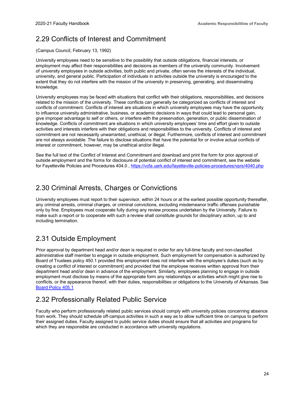### <span id="page-28-0"></span>2.29 Conflicts of Interest and Commitment

(Campus Council, February 13, 1992)

University employees need to be sensitive to the possibility that outside obligations, financial interests, or employment may affect their responsibilities and decisions as members of the university community. Involvement of university employees in outside activities, both public and private, often serves the interests of the individual, university, and general public. Participation of individuals in activities outside the university is encouraged to the extent that they do not interfere with the mission of the university in preserving, generating, and disseminating knowledge.

University employees may be faced with situations that conflict with their obligations, responsibilities, and decisions related to the mission of the university. These conflicts can generally be categorized as conflicts of interest and conflicts of commitment. Conflicts of interest are situations in which university employees may have the opportunity to influence university administrative, business, or academic decisions in ways that could lead to personal gain, give improper advantage to self or others, or interfere with the preservation, generation, or public dissemination of knowledge. Conflicts of commitment are situations in which university employees' time and effort given to outside activities and interests interfere with their obligations and responsibilities to the university. Conflicts of interest and commitment are not necessarily unwarranted, unethical, or illegal. Furthermore, conflicts of interest and commitment are not always avoidable. The failure to disclose situations that have the potential for or involve actual conflicts of interest or commitment, however, may be unethical and/or illegal.

See the full text of the Conflict of Interest and Commitment and download and print the form for prior approval of outside employment and the forms for disclosure of potential conflict of interest and commitment, see the webstie for Fayetteville Policies and Procedures 404.0 [, https://vcfa.uark.edu/fayetteville-policies-procedures/vprs/4040.php](https://vcfa.uark.edu/fayetteville-policies-procedures/vprs/4040.php)

### <span id="page-28-1"></span>2.30 Criminal Arrests, Charges or Convictions

University employees must report to their supervisor, within 24 hours or at the earliest possible opportunity thereafter, any criminal arrests, criminal charges, or criminal convictions, excluding misdemeanor traffic offenses punishable only by fine. Employees must cooperate fully during any review process undertaken by the University. Failure to make such a report or to cooperate with such a review shall constitute grounds for disciplinary action, up to and including termination.

### <span id="page-28-2"></span>2.31 Outside Employment

Prior approval by department head and/or dean is required in order for any full-time faculty and non-classified administrative staff member to engage in outside employment. Such employment for compensation is authorized by Board of Trustees policy 450.1 provided this employment does not interfere with the employee's duties (such as by creating a conflict of interest or commitment) and provided that the employee receives written approval from their department head and/or dean in advance of the employment. Similarly, employees planning to engage in outside employment must disclose by means of the appropriate form any relationships or activities which might give rise to conflicts, or the appearance thereof, with their duties, responsibilities or obligations to the University of Arkansas. See [Board Policy 405.1](https://www.uasys.edu/board-policy/405-1-appointments-promotion-tenure-non-reappointment-and-dismissal-of-faculty/)

### <span id="page-28-3"></span>2.32 Professionally Related Public Service

Faculty who perform professionally related public services should comply with university policies concerning absence from work. They should schedule off-campus activities in such a way as to allow sufficient time on campus to perform their assigned duties. Faculty assigned to public service duties should ensure that all activities and programs for which they are responsible are conducted in accordance with university regulations.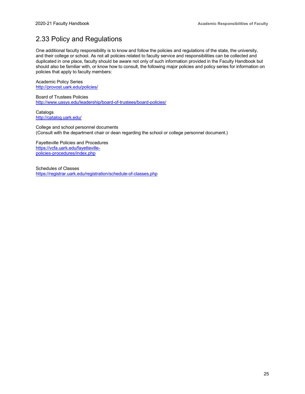### <span id="page-29-0"></span>2.33 Policy and Regulations

One additional faculty responsibility is to know and follow the policies and regulations of the state, the university, and their college or school. As not all policies related to faculty service and responsibilities can be collected and duplicated in one place, faculty should be aware not only of such information provided in the Faculty Handbook but should also be familiar with, or know how to consult, the following major policies and policy series for information on policies that apply to faculty members:

Academic Policy Series [http://provost.uark.edu/policies/](https://provost.uark.edu/policies/index.php)

Board of Trustees Policies <http://www.uasys.edu/leadership/board-of-trustees/board-policies/>

**Catalogs** <http://catalog.uark.edu/>

College and school personnel documents (Consult with the department chair or dean regarding the school or college personnel document.)

Fayetteville Policies and Procedures [https://vcfa.uark.edu/fayetteville](https://vcfa.uark.edu/fayetteville-policies-procedures/index.php)[policies-procedures/index.php](https://vcfa.uark.edu/fayetteville-policies-procedures/index.php)

Schedules of Classes <https://registrar.uark.edu/registration/schedule-of-classes.php>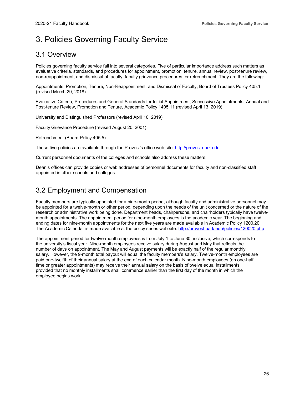### <span id="page-30-0"></span>3. Policies Governing Faculty Service

#### <span id="page-30-1"></span>3.1 Overview

Policies governing faculty service fall into several categories. Five of particular importance address such matters as evaluative criteria, standards, and procedures for appointment, promotion, tenure, annual review, post-tenure review, non-reappointment, and dismissal of faculty; faculty grievance procedures, or retrenchment. They are the following:

Appointments, Promotion, Tenure, Non-Reappointment, and Dismissal of Faculty, Board of Trustees Policy 405.1 (revised March 29, 2018)

Evaluative Criteria, Procedures and General Standards for Initial Appointment, Successive Appointments, Annual and Post-tenure Review, Promotion and Tenure, Academic Policy 1405.11 (revised April 13, 2019)

University and Distinguished Professors (revised April 10, 2019)

Faculty Grievance Procedure (revised August 20, 2001)

Retrenchment (Board Policy 405.5)

These five policies are available through the Provost's office web site: [http://provost.uark.edu](https://provost.uark.edu/)

Current personnel documents of the colleges and schools also address these matters:

Dean's offices can provide copies or web addresses of personnel documents for faculty and non-classified staff appointed in other schools and colleges.

#### <span id="page-30-2"></span>3.2 Employment and Compensation

Faculty members are typically appointed for a nine-month period, although faculty and administrative personnel may be appointed for a twelve-month or other period, depending upon the needs of the unit concerned or the nature of the research or administrative work being done. Department heads, chairpersons, and chairholders typically have twelvemonth appointments. The appointment period for nine-month employees is the academic year. The beginning and ending dates for nine-month appointments for the next five years are made available in Academic Policy 1200.20. The Academic Calendar is made available at the policy series web site: [http://provost.uark.edu/policies/120020.php](https://provost.uark.edu/policies/120020.php)

The appointment period for twelve-month employees is from July 1 to June 30, inclusive, which corresponds to the university's fiscal year. Nine-month employees receive salary during August and May that reflects the number of days on appointment. The May and August payments will be exactly half of the regular monthly salary. However, the 9-month total payout will equal the faculty members's salary. Twelve-month employees are paid one-twelfth of their annual salary at the end of each calendar month. Nine-month employees (on one-half time or greater appointments) may receive their annual salary on the basis of twelve equal installments, provided that no monthly installments shall commence earlier than the first day of the month in which the employee begins work.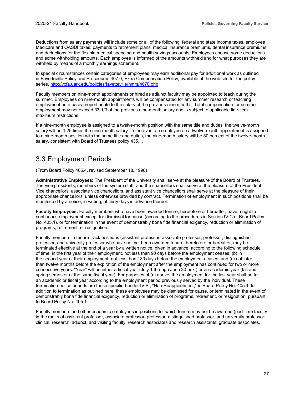Deductions from salary payments will include some or all of the following: federal and state income taxes, employee Medicare and OASDI taxes, payments to retirement plans, medical insurance premiums, dental insurance premiums, and deductions for the flexible medical spending and health savings accounts. Employees choose some deductions and some withholding amounts. Each employee is informed of the amounts withheld and for what purposes they are withheld by means of a monthly earnings statement.

In special circumstances certain categories of employees may earn additional pay for additional work as outlined in Fayetteville Policy and Procedures 407.0, Extra Compensation Policy, available at the web site for the policy series,<http://vcfa.uark.edu/policies/fayetteville/hmrs/4070.php>

Faculty members on nine-month appointments or hired as adjunct faculty may be appointed to teach during the summer. Employees on nine-month appointments will be compensated for any summer research or teaching employment on a basis proportionate to the salary of the previous nine months. Total compensation for summer employment may not exceed 33-1/3 of the previous nine-month salary and is subject to applicable line-item maximum restrictions.

If a nine-month employee is assigned to a twelve-month position with the same title and duties, the twelve-month salary will be 1.25 times the nine-month salary. In the event an employee on a twelve-month appointment is assigned to a nine-month position with the same title and duties, the nine-month salary will be 80 percent of the twelve-month salary, consistent with Board of Trustees policy 435.1.

#### <span id="page-31-0"></span>3.3 Employment Periods

(From Board Policy 405.4, revised September 18, 1998)

**Administrative Employees:** The President of the University shall serve at the pleasure of the Board of Trustees. The vice presidents, members of the system staff, and the chancellors shall serve at the pleasure of the President. Vice chancellors, associate vice chancellors, and assistant vice chancellors shall serve at the pleasure of their appropriate chancellors, unless otherwise provided by contract. Termination of employment in such positions shall be manifested by a notice, in writing, of thirty days in advance thereof.

**Faculty Employees:** Faculty members who have been awarded tenure, heretofore or hereafter, have a right to continuous employment except for dismissal for cause (according to the procedures in Section IV.C of Board Policy No. 405.1), or for termination in the event of demonstrably bona fide financial exigency, reduction or elimination of programs, retirement, or resignation.

Faculty members in tenure-track positions (assistant professor, associate professor, professor, distinguished professor, and university professor who have not yet been awarded tenure, heretofore or hereafter, may be terminated effective at the end of a year by a written notice, given in advance, according to the following schedule of time: in the first year of their employment, not less than 90 days before the employment ceases; (b) in the second year of their employment, not less than 180 days before the employment ceases; and (c) not later than twelve months before the expiration of the employment after the employment has continued for two or more consecutive years. "Year" will be either a fiscal year (July 1 through June 30 next) or an academic year (fall and spring semester of the same fiscal year). For purposes of (c) above, the employment for the last year shall be for an academic or fiscal year according to the employment period previously served by the individual. These termination notice periods are those specified under IV.B., "Non-Reappointment," in Board Policy No. 405.1. In addition to termination as outlined here, these employees may be dismissed for cause, or terminated in the event of demonstrably bona fide financial exigency, reduction or elimination of programs, retirement, or resignation, pursuant to Board Policy No. 405.1.

Faculty members and other academic employees in positions for which tenure may not be awarded (part-time faculty in the ranks of assistant professor, associate professor, professor, distinguished professor, and university professor; clinical, research, adjunct, and visiting faculty; research associates and research assistants; graduate associates,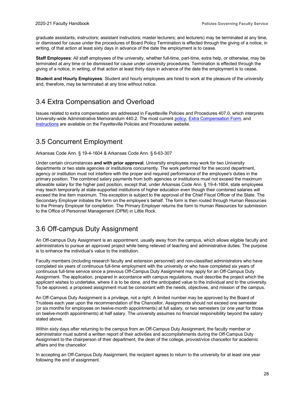graduate assistants, instructors; assistant instructors; master lecturers; and lecturers) may be terminated at any time, or dismissed for cause under the procedures of Board Policy Termination is effected through the giving of a notice, in writing, of that action at least sixty days in advance of the date the employment is to cease.

**Staff Employees**: All staff employees of the university, whether full-time, part-time, extra help, or otherwise, may be terminated at any time or be dismissed for cause under university procedures. Termination is effected through the giving of a notice, in writing, of that action at least thirty days in advance of the date the employment is to cease.

**Student and Hourly Employees**: Student and hourly employees are hired to work at the pleasure of the university and, therefore, may be terminated at any time without notice.

### <span id="page-32-0"></span>3.4 Extra Compensation and Overload

Issues related to extra compensation are addressed in Fayetteville Policies and Procedures 407.0, which interprets University-wide Administrative Memorandum 440.2. The most curren[t policy,](http://vcfa.uark.edu/policies/fayetteville/hmrs/4070.php) [Extra Compensation Form,](http://vcfa.uark.edu/policies/fayetteville/hmrs/4070-form.pdf) and [instructions](http://vcfa.uark.edu/policies/fayetteville/hmrs/4070-instructions.pdf) are available on the Fayetteville Policies and Procedures website.

### <span id="page-32-1"></span>3.5 Concurrent Employment

Arkansas Code Ann. § 19-4-1604 & Arkansas Code Ann. § 6-63-307

Under certain circumstances **and with prior approval**, University employees may work for two University departments or two state agencies or institutions concurrently. The work performed for the second department, agency or institution must not interfere with the proper and required performance of the employee's duties in the primary position. The combined salary payments from both agencies or institutions must not exceed the maximum allowable salary for the higher paid position, except that, under Arkansas Code Ann. § 19-4-1604, state employees may teach temporarily at state-supported institutions of higher education even though their combined salaries will exceed the line item maximum. This exception is subject to the approval of the Chief Fiscal Officer of the State. The Secondary Employer initiates the form on the employee's behalf. The form is then routed through Human Resources to the Primary Employer for completion. The Primary Employer returns the form to Human Resources for submission to the Office of Personnel Management (OPM) in Little Rock.

#### <span id="page-32-2"></span>3.6 Off-campus Duty Assignment

An Off-campus Duty Assignment is an appointment, usually away from the campus, which allows eligible faculty and administrators to pursue an approved project while being relieved of teaching and administrative duties. The purpose is to enhance the individual's value to the institution.

Faculty members (including research faculty and extension personnel) and non-classified administrators who have completed six years of continuous full-time employment with the university or who have completed six years of continuous full-time service since a previous Off-Campus Duty Assignment may apply for an Off-Campus Duty Assignment. The application, prepared in accordance with campus regulations, must describe the project which the applicant wishes to undertake, where it is to be done, and the anticipated value to the individual and to the university. To be approved, a proposed assignment must be consonant with the needs, objectives, and mission of the campus.

An Off-Campus Duty Assignment is a privilege, not a right. A limited number may be approved by the Board of Trustees each year upon the recommendation of the Chancellor. Assignments should not exceed one semester (or six months for employees on twelve-month appointments) at full salary, or two semesters (or one year for those on twelve-month appointments) at half salary. The university assumes no financial responsibility beyond the salary stated above.

Within sixty days after returning to the campus from an Off-Campus Duty Assignment, the faculty member or administrator must submit a written report of their activities and accomplishments during the Off-Campus Duty Assignment to the chairperson of their department, the dean of the college, provost/vice chancellor for academic affairs and the chancellor.

In accepting an Off-Campus Duty Assignment, the recipient agrees to return to the university for at least one year following the end of assignment.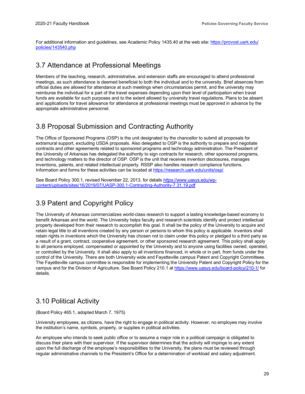For additional information and guidelines, see Academic Policy 1435.40 at the web site[: https://provost.uark.edu/](https://provost.uark.edu/policies/143540.php) [policies/143540.php](https://provost.uark.edu/policies/143540.php)

#### <span id="page-33-0"></span>3.7 Attendance at Professional Meetings

Members of the teaching, research, administrative, and extension staffs are encouraged to attend professional meetings, as such attendance is deemed beneficial to both the individual and to the university. Brief absences from official duties are allowed for attendance at such meetings when circumstances permit, and the university may reimburse the individual for a part of the travel expenses depending upon their level of participation when travel funds are available for such purposes and to the extent allowed by university travel regulations. Plans to be absent and applications for travel allowance for attendance at professional meetings must be approved in advance by the appropriate administrative personnel.

#### <span id="page-33-1"></span>3.8 Proposal Submission and Contracting Authority

The Office of Sponsored Programs (OSP) is the unit designated by the chancellor to submit all proposals for extramural support, excluding USDA proposals. Also delegated to OSP is the authority to prepare and negotiate contracts and other agreements related to sponsored programs and technology administration. The President of the University of Arkansas has delegated the authority to sign contracts for research, other sponsored programs, and technology matters to the director of OSP. OSP is the unit that receives invention disclosures, manages inventions, patents, and related intellectual property. RSSP also handles research compliance functions. Information and forms for these activities can be located a[t https://research.uark.edu/units/osp/.](https://research.uark.edu/units/osp/)

See Board Policy 300.1, revised November 22, 2013, for details [https://www.uasys.edu/wp](https://www.uasys.edu/wp-content/uploads/sites/16/2019/07/UASP-300.1-Contracting-Authority-7.31.19.pdf)[content/uploads/sites/16/2019/07/UASP-300.1-Contracting-Authority-7.31.19.pdf](https://www.uasys.edu/wp-content/uploads/sites/16/2019/07/UASP-300.1-Contracting-Authority-7.31.19.pdf)

#### <span id="page-33-2"></span>3.9 Patent and Copyright Policy

The University of Arkansas commercializes world-class research to support a lasting knowledge-based economy to benefit Arkansas and the world. The University helps faculty and research scientists identify and protect intellectual property developed from their research to accomplish this goal. It shall be the policy of the University to acquire and retain legal title to all inventions created by any person or persons to whom this policy is applicable. Inventors shall retain rights in inventions which the University has chosen not to claim under this policy or pledged to a third party as a result of a grant, contract, cooperative agreement, or other sponsored research agreement. This policy shall apply to all persons employed, compensated or appointed by the University and to anyone using facilities owned, operated, or controlled by the University. It shall also apply to all inventions financed, in whole or in part, from funds under the control of the University. There are both University wide and Fayetteville campus Patent and Copyright Committees. The Fayetteville campus committee is responsible for implementing the University Patent and Copyright Policy for the campus and for the Division of Agriculture. See Board Policy 210.1 at<https://www.uasys.edu/board-policy/210-1/> for details.

#### <span id="page-33-3"></span>3.10 Political Activity

(Board Policy 465.1, adopted March 7, 1975)

University employees, as citizens, have the right to engage in political activity. However, no employee may involve the institution's name, symbols, property, or supplies in political activities.

An employee who intends to seek public office or to assume a major role in a political campaign is obligated to discuss their plans with their supervisor. If the supervisor determines that the activity will impinge to any extent upon the full discharge of the employee's responsibilities to the University, the plans must be reviewed through regular administrative channels to the President's Office for a determination of workload and salary adjustment.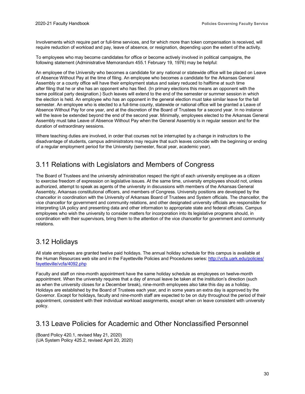Involvements which require part or full-time services, and for which more than token compensation is received, will require reduction of workload and pay, leave of absence, or resignation, depending upon the extent of the activity.

To employees who may become candidates for office or become actively involved in political campaigns, the following statement (Administrative Memorandum 455.1 February 19, 1976) may be helpful:

An employee of the University who becomes a candidate for any national or statewide office will be placed on Leave of Absence Without Pay at the time of filing. An employee who becomes a candidate for the Arkansas General Assembly or a county office will have their employment status and salary reduced to halftime at such time after filing that he or she has an opponent who has filed. (In primary elections this means an opponent with the same political party designation.) Such leaves will extend to the end of the semester or summer session in which the election is held. An employee who has an opponent in the general election must take similar leave for the fall semester. An employee who is elected to a full-time county, statewide or national office will be granted a Leave of Absence Without Pay for one year, and at the discretion of the Board of Trustees for a second year. In no instance will the leave be extended beyond the end of the second year. Minimally, employees elected to the Arkansas General Assembly must take Leave of Absence Without Pay when the General Assembly is in regular session and for the duration of extraordinary sessions.

Where teaching duties are involved, in order that courses not be interrupted by a change in instructors to the disadvantage of students, campus administrators may require that such leaves coincide with the beginning or ending of a regular employment period for the University (semester, fiscal year, academic year).

#### <span id="page-34-0"></span>3.11 Relations with Legislators and Members of Congress

The Board of Trustees and the university administration respect the right of each university employee as a citizen to exercise freedom of expression on legislative issues. At the same time, university employees should not, unless authorized, attempt to speak as agents of the university in discussions with members of the Arkansas General Assembly, Arkansas constitutional officers, and members of Congress. University positions are developed by the chancellor in coordination with the University of Arkansas Board of Trustees and System officials. The chancellor, the vice chancellor for government and community relations, and other designated university officials are responsible for interpreting UA policy and presenting data and other information to appropriate state and federal officials. Campus employees who wish the university to consider matters for incorporation into its legislative programs should, in coordination with their supervisors, bring them to the attention of the vice chancellor for government and community relations.

#### <span id="page-34-1"></span>3.12 Holidays

All state employees are granted twelve paid holidays. The annual holiday schedule for this campus is available at the Human Resources web site and in the Fayetteville Policies and Procedures series: [http://vcfa.uark.edu/policies/](http://vcfa.uark.edu/policies/fayetteville/vcfa/4092.php) [fayetteville/vcfa/4092.php](http://vcfa.uark.edu/policies/fayetteville/vcfa/4092.php)

Faculty and staff on nine-month appointment have the same holiday schedule as employees on twelve-month appointment. When the university requires that a day of annual leave be taken at the institution's direction (such as when the university closes for a December break), nine-month employees also take this day as a holiday. Holidays are established by the Board of Trustees each year, and in some years an extra day is approved by the Governor. Except for holidays, faculty and nine-month staff are expected to be on duty throughout the period of their appointment, consistent with their individual workload assignments, except when on leave consistent with university policy.

#### <span id="page-34-2"></span>3.13 Leave Policies for Academic and Other Nonclassified Personnel

(Board Policy 420.1, revised May 21, 2020) (UA System Policy 425.2, revised April 20, 2020)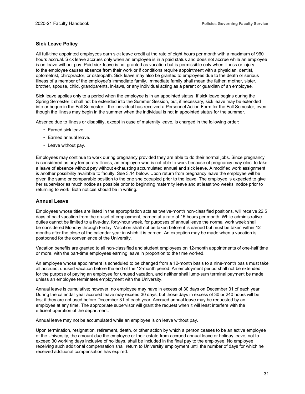#### **Sick Leave Policy**

All full-time appointed employees earn sick leave credit at the rate of eight hours per month with a maximum of 960 hours accrual. Sick leave accrues only when an employee is in a paid status and does not accrue while an employee is on leave without pay. Paid sick leave is not granted as vacation but is permissible only when illness or injury to the employee causes absence from their work or if conditions require appointment with a physician, dentist, optometrist, chiropractor, or osteopath. Sick leave may also be granted to employees due to the death or serious illness of a member of the employee's immediate family. Immediate family shall mean the father, mother, sister, brother, spouse, child, grandparents, in-laws, or any individual acting as a parent or guardian of an employee.

Sick leave applies only to a period when the employee is in an appointed status. If sick leave begins during the Spring Semester it shall not be extended into the Summer Session, but, if necessary, sick leave may be extended into or begun in the Fall Semester if the individual has received a Personnel Action Form for the Fall Semester, even though the illness may begin in the summer when the individual is not in appointed status for the summer.

Absence due to illness or disability, except in case of maternity leave, is charged in the following order:

- Earned sick leave.
- Earned annual leave.
- Leave without pay.

Employees may continue to work during pregnancy provided they are able to do their normal jobs. Since pregnancy is considered as any temporary illness, an employee who is not able to work because of pregnancy may elect to take a leave of absence without pay without exhausting accumulated annual and sick leave. A modified work assignment is another possibility available to faculty. See 3.14 below. Upon return from pregnancy leave the employee will be given the same or comparable position to the one she occupied prior to the leave. The employee is expected to give her supervisor as much notice as possible prior to beginning maternity leave and at least two weeks' notice prior to returning to work. Both notices should be in writing.

#### **Annual Leave**

Employees whose titles are listed in the appropriation acts as twelve-month non-classified positions, will receive 22.5 days of paid vacation from the on-set of employment, earned at a rate of 15 hours per month. While administrative duties cannot be limited to a five-day, forty-hour week, for purposes of annual leave the normal work week shall be considered Monday through Friday. Vacation shall not be taken before it is earned but must be taken within 12 months after the close of the calendar year in which it is earned. An exception may be made when a vacation is postponed for the convenience of the University.

Vacation benefits are granted to all non-classified and student employees on 12-month appointments of one-half time or more, with the part-time employees earning leave in proportion to the time worked.

An employee whose appointment is scheduled to be changed from a 12-month basis to a nine-month basis must take all accrued, unused vacation before the end of the 12-month period. An employment period shall not be extended for the purpose of paying an employee for unused vacation, and neither shall lump-sum terminal payment be made unless an employee terminates employment with the University.

Annual leave is cumulative; however, no employee may have in excess of 30 days on December 31 of each year. During the calendar year accrued leave may exceed 30 days, but those days in excess of 30 or 240 hours will be lost if they are not used before December 31 of each year. Accrued annual leave may be requested by an employee at any time. The appropriate supervisor will grant the request when it will least interfere with the efficient operation of the department.

Annual leave may not be accumulated while an employee is on leave without pay.

Upon termination, resignation, retirement, death, or other action by which a person ceases to be an active employee of the University, the amount due the employee or their estate from accrued annual leave or holiday leave, not to exceed 30 working days inclusive of holidays, shall be included in the final pay to the employee. No employee receiving such additional compensation shall return to University employment until the number of days for which he received additional compensation has expired.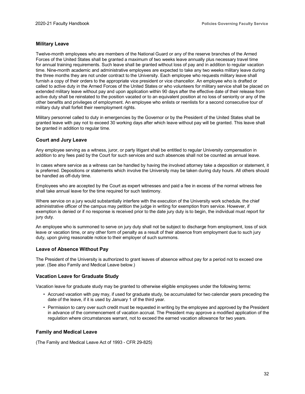#### **Military Leave**

Twelve-month employees who are members of the National Guard or any of the reserve branches of the Armed Forces of the United States shall be granted a maximum of two weeks leave annually plus necessary travel time for annual training requirements. Such leave shall be granted without loss of pay and in addition to regular vacation time. Nine-month academic and administrative employees are expected to take any two weeks military leave during the three months they are not under contract to the University. Each employee who requests military leave shall furnish a copy of their orders to the appropriate vice president or vice chancellor. An employee who is drafted or called to active duty in the Armed Forces of the United States or who volunteers for military service shall be placed on extended military leave without pay and upon application within 90 days after the effective date of their release from active duty shall be reinstated to the position vacated or to an equivalent position at no loss of seniority or any of the other benefits and privileges of employment. An employee who enlists or reenlists for a second consecutive tour of military duty shall forfeit their reemployment rights.

Military personnel called to duty in emergencies by the Governor or by the President of the United States shall be granted leave with pay not to exceed 30 working days after which leave without pay will be granted. This leave shall be granted in addition to regular time.

#### **Court and Jury Leave**

Any employee serving as a witness, juror, or party litigant shall be entitled to regular University compensation in addition to any fees paid by the Court for such services and such absences shall not be counted as annual leave.

In cases where service as a witness can be handled by having the involved attorney take a deposition or statement, it is preferred. Depositions or statements which involve the University may be taken during duty hours. All others should be handled as off-duty time.

Employees who are accepted by the Court as expert witnesses and paid a fee in excess of the normal witness fee shall take annual leave for the time required for such testimony.

Where service on a jury would substantially interfere with the execution of the University work schedule, the chief administrative officer of the campus may petition the judge in writing for exemption from service. However, if exemption is denied or if no response is received prior to the date jury duty is to begin, the individual must report for jury duty.

An employee who is summoned to serve on jury duty shall not be subject to discharge from employment, loss of sick leave or vacation time, or any other form of penalty as a result of their absence from employment due to such jury duty, upon giving reasonable notice to their employer of such summons.

#### **Leave of Absence Without Pay**

The President of the University is authorized to grant leaves of absence without pay for a period not to exceed one year. (See also Family and Medical Leave below.)

#### **Vacation Leave for Graduate Study**

Vacation leave for graduate study may be granted to otherwise eligible employees under the following terms:

- Accrued vacation with pay may, if used for graduate study, be accumulated for two calendar years preceding the date of the leave, if it is used by January 1 of the third year.
- Permission to carry over such credit must be requested in writing by the employee and approved by the President in advance of the commencement of vacation accrual. The President may approve a modified application of the regulation where circumstances warrant, not to exceed the earned vacation allowance for two years.

#### **Family and Medical Leave**

(The Family and Medical Leave Act of 1993 - CFR 29-825)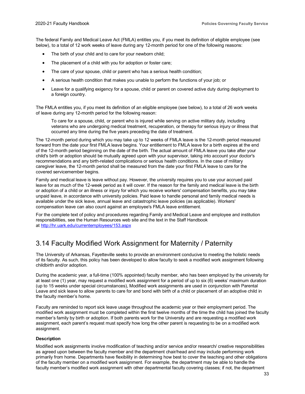The federal Family and Medical Leave Act (FMLA) entitles you, if you meet its definition of eligible employee (see below), to a total of 12 work weeks of leave during any 12-month period for one of the following reasons:

- The birth of your child and to care for your newborn child;
- The placement of a child with you for adoption or foster care;
- The care of your spouse, child or parent who has a serious health condition;
- A serious health condition that makes you unable to perform the functions of your job; or
- Leave for a qualifying exigency for a spouse, child or parent on covered active duty during deployment to a foreign country.

The FMLA entitles you, if you meet its definition of an eligible employee (see below), to a total of 26 work weeks of leave during any 12-month period for the following reason:

To care for a spouse, child, or parent who is injured while serving on active military duty, including veterans who are undergoing medical treatment, recuperation, or therapy for serious injury or illness that occurred any time during the five years preceding the date of treatment.

The 12-month period during which you may take up to 12 weeks of FMLA leave is the 12-month period measured forward from the date your first FMLA leave begins. Your entitlement to FMLA leave for a birth expires at the end of the 12-month period beginning on the date of the birth. The actual amount of FMLA leave you take after your child's birth or adoption should be mutually agreed upon with your supervisor, taking into account your doctor's recommendations and any birth-related complications or serious health conditions. In the case of military caregiver leave, the 12-month period shall be measured from the date your first FMLA leave to care for the covered servicemember begins.

Family and medical leave is leave without pay. However, the university requires you to use your accrued paid leave for as much of the 12-week period as it will cover. If the reason for the family and medical leave is the birth or adoption of a child or an illness or injury for which you receive workers' compensation benefits, you may take unpaid leave, in accordance with university policies. Paid leave to handle personal and family medical needs is available under the sick leave, annual leave and catastrophic leave policies (as applicable). Workers' compensation leave can also count against an employee's FMLA leave entitlement.

For the complete text of policy and procedures regarding Family and Medical Leave and employee and institution responsibilities, see the Human Resources web site and the text in the Staff Handbook at <http://hr.uark.edu/currentemployees/153.aspx>

#### <span id="page-37-0"></span>3.14 Faculty Modified Work Assignment for Maternity / Paternity

The University of Arkansas, Fayetteville seeks to provide an environment conducive to meeting the holistic needs of its faculty. As such, this policy has been developed to allow faculty to seek a modified work assignment following childbirth and/or adoption.

During the academic year, a full-time (100% appointed) faculty member, who has been employed by the university for at least one (1) year, may request a modified work assignment for a period of up to six (6) weeks' maximum duration (up to 15 weeks under special circumstances), Modified work assignments are used in conjunction with Parental Leave and sick leave to allow parents to care for and bond with birth of a child or placement of an adoptive child in the faculty member's home.

Faculty are reminded to report sick leave usage throughout the academic year or their employment period. The modified work assignment must be completed within the first twelve months of the time the child has joined the faculty member's family by birth or adoption. If both parents work for the University and are requesting a modified work assignment, each parent's request must specify how long the other parent is requesting to be on a modified work assignment.

#### **Description**

Modified work assignments involve modification of teaching and/or service and/or research/ creative responsibilities as agreed upon between the faculty member and the department chair/head and may include performing work primarily from home. Departments have flexibility in determining how best to cover the teaching and other obligations of the faculty member on a modified work assignment. For example, the department may be able to handle the faculty member's modified work assignment with other departmental faculty covering classes; if not, the department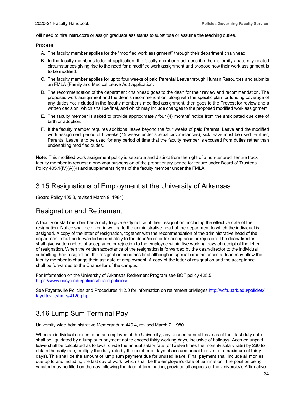will need to hire instructors or assign graduate assistants to substitute or assume the teaching duties.

#### **Process**

- A. The faculty member applies for the "modified work assignment" through their department chair/head.
- B. In the faculty member's letter of application, the faculty member must describe the maternity-/ paternity-related circumstances giving rise to the need for a modified work assignment and propose how their work assignment is to be modified.
- C. The faculty member applies for up to four weeks of paid Parental Leave through Human Resources and submits an FMLA (Family and Medical Leave Act) application.
- D. The recommendation of the department chair/head goes to the dean for their review and recommendation. The proposed work assignment and the dean's recommendation, along with the specific plan for funding coverage of any duties not included in the faculty member's modified assignment, then goes to the Provost for review and a written decision, which shall be final, and which may include changes to the proposed modified work assignment.
- E. The faculty member is asked to provide approximately four (4) months' notice from the anticipated due date of birth or adoption.
- F. If the faculty member requires additional leave beyond the four weeks of paid Parental Leave and the modified work assignment period of 6 weeks (15 weeks under special circumstances), sick leave must be used. Further, Parental Leave is to be used for any period of time that the faculty member is excused from duties rather than undertaking modified duties.

**Note:** This modified work assignment policy is separate and distinct from the right of a non-tenured, tenure track faculty member to request a one-year suspension of the probationary period for tenure under Board of Trustees Policy 405.1(IV)(A)(4) and supplements rights of the faculty member under the FMLA

#### <span id="page-38-0"></span>3.15 Resignations of Employment at the University of Arkansas

(Board Policy 405.3, revised March 9, 1984)

#### Resignation and Retirement

A faculty or staff member has a duty to give early notice of their resignation, including the effective date of the resignation. Notice shall be given in writing to the administrative head of the department to which the individual is assigned. A copy of the letter of resignation, together with the recommendation of the administrative head of the department, shall be forwarded immediately to the dean/director for acceptance or rejection. The dean/director shall give written notice of acceptance or rejection to the employee within five working days of receipt of the letter of resignation. When the written acceptance of the resignation is forwarded by the dean/director to the individual submitting their resignation, the resignation becomes final although in special circumstances a dean may allow the faculty member to change their last date of employment. A copy of the letter of resignation and the acceptance shall be forwarded to the Chancellor of the campus.

For information on the University of Arkansas Retirement Program see BOT policy 425.5 <https://www.uasys.edu/policies/board-policies/>

See Fayetteville Policies and Procedures 412.0 for information on retirement privileges [http://vcfa.uark.edu/policies/](http://vcfa.uark.edu/policies/fayetteville/hmrs/4120.php) [fayetteville/hmrs/4120.php](http://vcfa.uark.edu/policies/fayetteville/hmrs/4120.php)

### <span id="page-38-1"></span>3.16 Lump Sum Terminal Pay

University wide Administrative Memorandum 440.4, revised March 7, 1980

When an individual ceases to be an employee of the University, any unused annual leave as of their last duty date shall be liquidated by a lump sum payment not to exceed thirty working days, inclusive of holidays. Accrued unpaid leave shall be calculated as follows: divide the annual salary rate (or twelve times the monthly salary rate) by 260 to obtain the daily rate; multiply the daily rate by the number of days of accrued unpaid leave (to a maximum of thirty days). This shall be the amount of lump sum payment due for unused leave. Final payment shall include all monies due up to and including the last day of work, which shall be the employee's date of termination. The position being vacated may be filled on the day following the date of termination, provided all aspects of the University's Affirmative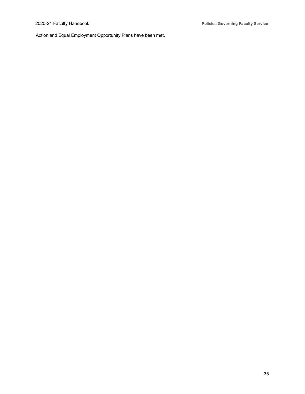Action and Equal Employment Opportunity Plans have been met.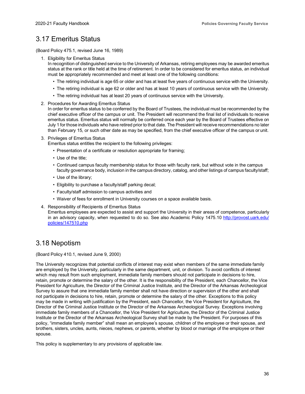#### <span id="page-40-0"></span>3.17 Emeritus Status

(Board Policy 475.1, revised June 16, 1989)

1. Eligibility for Emeritus Status

In recognition of distinguished service to the University of Arkansas, retiring employees may be awarded emeritus status at the rank or title held at the time of retirement. In order to be considered for emeritus status, an individual must be appropriately recommended and meet at least one of the following conditions:

- The retiring individual is age 65 or older and has at least five years of continuous service with the University.
- The retiring individual is age 62 or older and has at least 10 years of continuous service with the University.
- The retiring individual has at least 20 years of continuous service with the University.
- 2. Procedures for Awarding Emeritus Status

In order for emeritus status to be conferred by the Board of Trustees, the individual must be recommended by the chief executive officer of the campus or unit. The President will recommend the final list of individuals to receive emeritus status. Emeritus status will normally be conferred once each year by the Board of Trustees effective on July 1 for those individuals who have retired prior to that date. The President will receive recommendations no later than February 15, or such other date as may be specified, from the chief executive officer of the campus or unit.

3. Privileges of Emeritus Status

Emeritus status entitles the recipient to the following privileges:

- Presentation of a certificate or resolution appropriate for framing;
- Use of the title;
- Continued campus faculty membership status for those with faculty rank, but without vote in the campus faculty governance body, inclusion in the campus directory, catalog, and other listings of campus faculty/staff;
- Use of the library;
- Eligibility to purchase a faculty/staff parking decal;
- Faculty/staff admission to campus activities and
- Waiver of fees for enrollment in University courses on a space available basis.
- 4. Responsibility of Recipients of Emeritus Status

Emeritus employees are expected to assist and support the University in their areas of competence, particularly in an advisory capacity, when requested to do so. See also Academic Policy 1475.10 [http://provost.uark.edu/](https://provost.uark.edu/policies/147510.php) [policies/147510.php](https://provost.uark.edu/policies/147510.php)

#### <span id="page-40-1"></span>3.18 Nepotism

(Board Policy 410.1, revised June 9, 2000)

The University recognizes that potential conflicts of interest may exist when members of the same immediate family are employed by the University, particularly in the same department, unit, or division. To avoid conflicts of interest which may result from such employment, immediate family members should not participate in decisions to hire, retain, promote or determine the salary of the other. It is the responsibility of the President, each Chancellor, the Vice President for Agriculture, the Director of the Criminal Justice Institute, and the Director of the Arkansas Archeological Survey to assure that one immediate family member shall not have direction or supervision of the other and shall not participate in decisions to hire, retain, promote or determine the salary of the other. Exceptions to this policy may be made in writing with justification by the President, each Chancellor, the Vice President for Agriculture, the Director of the Criminal Justice Institute or the Director of the Arkansas Archeological Survey. Exceptions involving immediate family members of a Chancellor, the Vice President for Agriculture, the Director of the Criminal Justice Institute or the Director of the Arkansas Archeological Survey shall be made by the President. For purposes of this policy, "immediate family member" shall mean an employee's spouse, children of the employee or their spouse, and brothers, sisters, uncles, aunts, nieces, nephews, or parents, whether by blood or marriage of the employee or their spouse.

This policy is supplementary to any provisions of applicable law.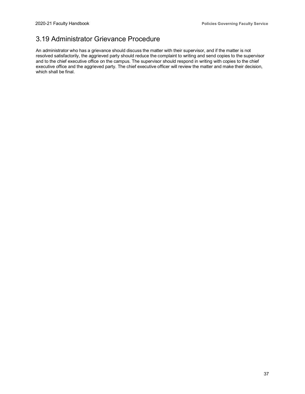### <span id="page-41-0"></span>3.19 Administrator Grievance Procedure

An administrator who has a grievance should discuss the matter with their supervisor, and if the matter is not resolved satisfactorily, the aggrieved party should reduce the complaint to writing and send copies to the supervisor and to the chief executive office on the campus. The supervisor should respond in writing with copies to the chief executive office and the aggrieved party. The chief executive officer will review the matter and make their decision, which shall be final.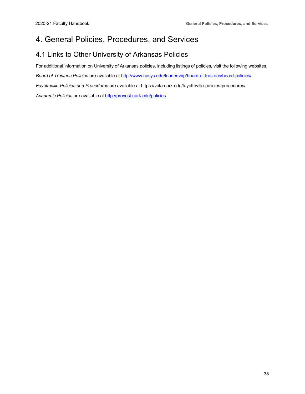### <span id="page-42-0"></span>4. General Policies, Procedures, and Services

#### <span id="page-42-1"></span>4.1 Links to Other University of Arkansas Policies

For additional information on University of Arkansas policies, including listings of policies, visit the following websites.

*Board of Trustees Policies* are available at<http://www.uasys.edu/leadership/board-of-trustees/board-policies/>

*Fayetteville Policies and Procedures* are available at https://vcfa.uark.edu/fayetteville-policies-procedures/

*Academic Policies* are available at [http://provost.uark.edu/policies](https://provost.uark.edu/policies/index.php)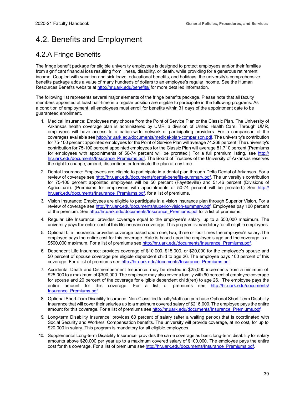### <span id="page-43-0"></span>4.2. Benefits and Employment

#### <span id="page-43-1"></span>4.2.A Fringe Benefits

The fringe benefit package for eligible university employees is designed to protect employees and/or their families from significant financial loss resulting from illness, disability, or death, while providing for a generous retirement income. Coupled with vacation and sick leave, educational benefits, and holidays, the university's comprehensive benefits package adds a value of many hundreds of dollars to an employee's regular income. See the Human Resources Benefits website a[t http://hr.uark.edu/benefits/](http://hr.uark.edu/benefits/) for more detailed information.

The following list represents several major elements of the fringe benefits package. Please note that all faculty members appointed at least half-time in a regular position are eligible to participate in the following programs. As a condition of employment, all employees must enroll for benefits within 31 days of the appointment date to be guaranteed enrollment.

- 1. Medical Insurance: Employees may choose from the Point of Service Plan or the Classic Plan. The University of Arkansas health coverage plan is administered by UMR, a division of United Health Care. Through UMR, employees will have access to a nation-wide network of participating providers. For a comparison of the coverages available see [http://hr.uark.edu/documents/medical-plan-comparison.pdf.](http://hr.uark.edu/documents/medical-plan-comparison.pdf) The university's contribution for 75-100 percent appointed employees for the Point of Service Plan will average 74.268 percent. The university's contribution for 75-100 percent appointed employees for the Classic Plan will average 81.710 percent (Premiums for employees with appointments of 50-74 percent will be prorated.) For a full premium listing, see [http://](https://hr.uark.edu/documents/Insurance_Premiums.pdf) [hr.uark.edu/documents/Insurance\\_Premiums.pdf.](https://hr.uark.edu/documents/Insurance_Premiums.pdf) The Board of Trustees of the University of Arkansas reserves the right to change, amend, discontinue or terminate the plan at any time.
- 2. Dental Insurance: Employees are eligible to participate in a dental plan through Delta Dental of Arkansas. For a review of coverage see [http://hr.uark.edu/documents/dental-benefits-summary.pdf.](https://hr.uark.edu/documents/dental-benefits-summary.pdf) The university's contribution for 75-100 percent appointed employees will be 50 percent (Fayetteville) and 51.46 percent (Divisions of Agriculture). (Premiums for employees with appointments of 50-74 percent will be prorated.) See [http://](https://hr.uark.edu/documents/Insurance_Premiums.pdf) hr.uark.edu/documents/Insurance Premiums.pdf. for a list of premiums.
- 3. Vision Insurance: Employees are eligible to participate in a vision insurance plan through Superior Vision. For a review of coverage see [http://hr.uark.edu/documents/superior-vision-summary.pdf.](http://hr.uark.edu/documents/superior-vision-summary.pdf) Employees pay 100 percent of the premium. See [http://hr.uark.edu/documents/Insurance\\_Premiums.pdf](https://hr.uark.edu/documents/Insurance_Premiums.pdf) for a list of premiums.
- 4. Regular Life Insurance: provides coverage equal to the employee's salary, up to a \$50,000 maximum. The university pays the entire cost of this life insurance coverage. This program is mandatory for all eligible employees.
- 5. Optional Life Insurance: provides coverage based upon one, two, three or four times the employee's salary.The employee pays the entire cost for this coverage. Rate is based upon the employee's age and the coverage is a \$500,000 maximum. For a list of premiums see [http://hr.uark.edu/documents/Insurance\\_Premiums.pdf.](https://hr.uark.edu/documents/Insurance_Premiums.pdf)
- 6. Dependent Life Insurance: provides coverage of \$10,000, \$15,000, or \$20,000 for the employee's spouse and 50 percent of spouse coverage per eligible dependent child to age 26. The employee pays 100 percent of this coverage. For a list of premiums see [http://hr.uark.edu/documents/Insurance\\_Premiums.pdf.](https://hr.uark.edu/documents/Insurance_Premiums.pdf)
- 7. Accidental Death and Dismemberment Insurance: may be elected in \$25,000 increments from a minimum of \$25,000 to a maximum of \$300,000. The employee may also cover a family with 60 percent of employee coverage for spouse and 20 percent of the coverage for eligible dependent child(ren) to age 26. The employee pays the entire amount for this coverage. For a list of premiums see [http://hr.uark.edu/documents/](https://hr.uark.edu/documents/Insurance_Premiums.pdf) [Insurance\\_Premiums.pdf.](https://hr.uark.edu/documents/Insurance_Premiums.pdf)
- 8. Optional Short-Term Disability Insurance: Non-Classified faculty/staff can purchase Optional Short Term Disability Insurance that will cover their salaries up to a maximum covered salary of \$216,000. The employee pays the entire amount for this coverage. For a list of premiums see [http://hr.uark.edu/documents/Insurance\\_Premiums.pdf.](https://hr.uark.edu/documents/Insurance_Premiums.pdf)
- 9. Long-term Disability Insurance: provides 60 percent of salary (after a waiting period) that is coordinated with Social Security and Workers' Compensation benefits. The university will provide coverage, at no cost, for up to \$20,000 in salary. This program is mandatory for all eligible employees.
- 10. Supplemental Long-term Disability Insurance: provides the same coverage as basic long-term disability for salary amounts above \$20,000 per year up to a maximum covered salary of \$100,000. The employee pays the entire cost for this coverage. For a list of premiums see [http://hr.uark.edu/documents/Insurance\\_Premiums.pdf.](https://hr.uark.edu/documents/Insurance_Premiums.pdf)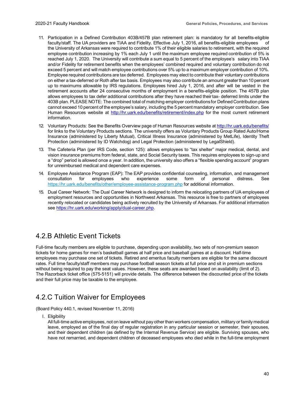- 11. Participation in a Defined Contribution 403B/457B plan retirement plan: is mandatory for all benefits-eligible faculty/staff. The UA providers are TIAA and Fidelity. Effective July 1, 2016, all benefits-eligible employees of the University of Arkansas were required to contribute 1% of their eligible salaries to retirement, with the required employee contribution increasing by 1% each July 1 until the maximum employee required contribution of 5% is reached July 1, 2020. The University will contribute a sum equal to 5 percent of the employee's salary into TIAA and/or Fidelity for retirement benefits when the employees' combined required and voluntary contribution do not exceed 5 percent and will match employee contributions over 5% up to a maximum employer contribution of 10%. Employee required contributions are tax deferred. Employees may elect to contribute their voluntary contributions on either a tax-deferred or Roth after tax basis. Employees may also contribute an amount greater than 10 percent up to maximums allowable by IRS regulations. Employees hired July 1, 2016, and after will be vested in the retirement accounts after 24 consecutive months of employment in a benefits-eligible position. The 457B plan allows employees to tax defer additional contributions after they have reached theirtax- deferred limits under the 403B plan. PLEASE NOTE: The combined total of matching employer contributionsfor Defined Contribution plans cannot exceed 10 percent of the employee's salary, including the 5 percent mandatory employer contribution. See Human Resources website at <http://hr.uark.edu/benefits/retirement/index.php> for the most current retirement information.
- 12. Voluntary Products: See the Benefits Overview page of Human Resources website at <http://hr.uark.edu/benefits/> for links to the Voluntary Products sections. The university offers as Voluntary Products Group Rated Auto/Home Insurance (administered by Liberty Mutual), Critical Illness Insurance (administered by MetLife), Identity Theft Protection (administered by ID Watchdog) and Legal Protection (administered by LegalShield).
- 13. The Cafeteria Plan (per IRS Code, section 125): allows employees to "tax shelter" major medical, dental, and vision insurance premiums from federal, state, and Social Security taxes. This requires employees to sign-up and a "drop" period is allowed once a year. In addition, the university also offers a "flexible spending account" program for unreimbursed medical and dependent care expenses.
- 14. Employee Assistance Program (EAP): The EAP provides confidential counseling, information, and management consultation for employees who experience some form of personal distress. See consultation for employees who experience some form of personal distress. See <https://hr.uark.edu/benefits/other/employee-assistance-program.php> for additional information.
- 15. Dual Career Network: The Dual Career Network is designed to inform the relocating partners of UA employees of employment resources and opportunities in Northwest Arkansas. This resource is free to partners of employees recently relocated or candidates being actively recruited by the University of Arkansas. For additional information see [https://hr.uark.edu/working/apply/dual-career.php.](https://hr.uark.edu/working/apply/dual-career.php)

#### <span id="page-44-0"></span>4.2.B Athletic Event Tickets

Full-time faculty members are eligible to purchase, depending upon availability, two sets of non-premium season tickets for home games for men's basketball games at half price and baseball games at a discount. Half-time employees may purchase one set of tickets. Retired and emeritus faculty members are eligible for the same discount rates. Full time faculty/staff members may purchase football season tickets at full price and sit in premium sections without being required to pay the seat values. However, these seats are awarded based on availability (limit of 2). The Razorback ticket office (575-5151) will provide details. The difference between the discounted price of the tickets and their full price may be taxable to the employee.

#### <span id="page-44-1"></span>4.2.C Tuition Waiver for Employees

(Board Policy 440.1, revised November 11, 2016)

I. Eligibility

All full-time active employees, not on leave without pay other than workers compensation, military or family medical leave, employed as of the final day of regular registration in any particular session or semester, their spouses, and their dependent children (as defined by the Internal Revenue Service) are eligible. Surviving spouses, who have not remarried, and dependent children of deceased employees who died while in the full-time employment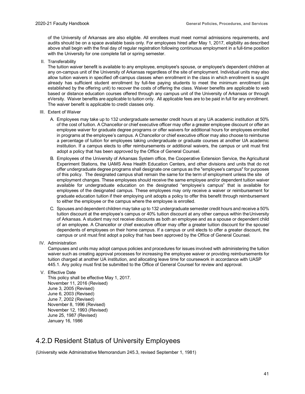of the University of Arkansas are also eligible. All enrollees must meet normal admissions requirements, and audits should be on a space available basis only. For employees hired after May 1, 2017, eligibility as described above shall begin with the final day of regular registration following continuous employment in a full-time position with the University for one complete fall or spring semester.

II. Transferability

The tuition waiver benefit is available to any employee, employee's spouse, or employee's dependent children at any on-campus unit of the University of Arkansas regardless of the site of employment. Individual units may also allow tuition waivers in specified off-campus classes when enrollment in the class in which enrollment is sought already has sufficient student enrollment by full-fee paying students to meet the minimum enrollment (as established by the offering unit) to recover the costs of offering the class. Waiver benefits are applicable to web based or distance education courses offered through any campus unit of the University of Arkansas or through eVersity. Waiver benefits are applicable to tuition only. All applicable fees are to be paid in full for any enrollment. The waiver benefit is applicable to credit classes only.

- III. Extent of Waiver
	- A. Employees may take up to 132 undergraduate semester credit hours at any UA academic institution at 50% of the cost of tuition. A Chancellor or chief executive officer may offer a greater employee discount or offer an employee waiver for graduate degree programs or offer waivers for additional hours for employees enrolled in programs at the employee's campus. A Chancellor or chief executive officer may also choose to reimburse a percentage of tuition for employees taking undergraduate or graduate courses at another UA academic institution. If a campus elects to offer reimbursements or additional waivers, the campus or unit must first adopt a policy that has been approved by the Office of General Counsel.
	- B. Employees of the University of Arkansas System office, the Cooperative Extension Service, the Agricultural Experiment Stations, the UAMS Area Health Education Centers, and other divisions and units that do not offer undergraduate degree programs shall designate one campus as the "employee's campus" for purposes of this policy. The designated campus shall remain the same for the term of employment unless the site of employment changes. These employees should receive the same employee and/or dependent tuition waiver available for undergraduate education on the designated "employee's campus" that is available for employees of the designated campus. These employees may only receive a waiver or reimbursement for graduate education tuition if their employing unit adopts a policy to offer this benefit through reimbursement to either the employee or the campus where the employee is enrolled.
	- C. Spouses and dependent children may take up to 132 undergraduate semester credit hours and receive a 50% tuition discount at the employee's campus or 40% tuition discount at any other campus within theUniversity of Arkansas. A student may not receive discounts as both an employee and as a spouse or dependent child of an employee. A Chancellor or chief executive officer may offer a greater tuition discount for the spouse/ dependents of employees on their home campus. If a campus or unit elects to offer a greater discount, the campus or unit must first adopt a policy that has been approved by the Office of General Counsel.
- IV. Administration

Campuses and units may adopt campus policies and procedures for issues involved with administering the tuition waiver such as creating approval processes for increasing the employee waiver or providing reimbursements for tuition charged at another UA institution, and allocating leave time for coursework in accordance with UASP 445.1. Any policy must first be submitted to the Office of General Counsel for review and approval.

V. Effective Date

This policy shall be effective May 1, 2017. November 11, 2016 (Revised) June 3, 2005 (Revised) June 6, 2003 (Revised) June 7, 2002 (Revised) November 8, 1996 (Revised) November 12, 1993 (Revised) June 25, 1987 (Revised) January 16, 1986

#### <span id="page-45-0"></span>4.2.D Resident Status of University Employees

(University wide Administrative Memorandum 245.3, revised September 1, 1981)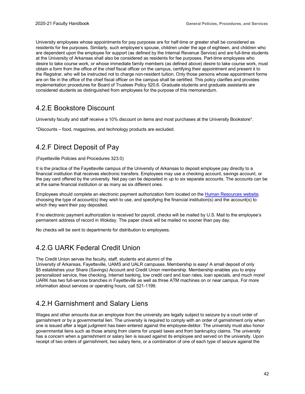University employees whose appointments for pay purposes are for half-time or greater shall be considered as residents for fee purposes. Similarly, such employee's spouse, children under the age of eighteen, and children who are dependent upon the employee for support (as defined by the Internal Revenue Service) and are full-time students at the University of Arkansas shall also be considered as residents for fee purposes. Part-time employees who desire to take course work, or whose immediate family members (as defined above) desire to take course work, must obtain a form from the office of the chief fiscal officer on the campus, certifying their appointment and present it to the Registrar, who will be instructed not to charge non-resident tuition. Only those persons whose appointment forms are on file in the office of the chief fiscal officer on the campus shall be certified. This policy clarifies and provides implementation procedures for Board of Trustees Policy 520.6. Graduate students and graduate assistants are considered students as distinguished from employees for the purpose of this memorandum.

#### <span id="page-46-0"></span>4.2.E Bookstore Discount

University faculty and staff receive a 10% discount on items and most purchases at the University Bookstore\*.

\*Discounts – food, magazines, and technology products are excluded.

### <span id="page-46-1"></span>4.2.F Direct Deposit of Pay

(Fayetteville Policies and Procedures 323.0)

It is the practice of the Fayetteville campus of the University of Arkansas to deposit employee pay directly to a financial institution that receives electronic transfers. Employees may use a checking account, savings account, or the pay card offered by the university. Net pay can be deposited in up to six separate accounts. The accounts can be at the same financial institution or as many as six different ones.

Employees should complete an electronic payment authorization form located on the [Human Resources](http://hr.uark.edu/working/pay/index.php) website, choosing the type of account(s) they wish to use, and specifying the financial institution(s) and the account(s) to which they want their pay deposited.

If no electronic payment authorization is received for payroll, checks will be mailed by U.S. Mail to the employee's permanent address of record in Wokday. The paper check will be mailed no sooner than pay day.

No checks will be sent to departments for distribution to employees.

#### <span id="page-46-2"></span>4.2.G UARK Federal Credit Union

The Credit Union serves the faculty, staff, students and alumni of the

University of Arkansas, Fayetteville, UAMS and UALR campuses. Membership is easy! A small deposit of only \$5 establishes your Share (Savings) Account and Credit Union membership. Membership enables you to enjoy personalized service, free checking, Internet banking, low credit card and loan rates, loan specials, and much more! UARK has two full-service branches in Fayetteville as well as three ATM machines on or near campus. For more information about services or operating hours, call 521-1199.

#### <span id="page-46-3"></span>4.2.H Garnishment and Salary Liens

Wages and other amounts due an employee from the university are legally subject to seizure by a court order of garnishment or by a governmental lien. The university is required to comply with an order of garnishment only when one is issued after a legal judgment has been entered against the employee-debtor. The university must also honor governmental liens such as those arising from claims for unpaid taxes and from bankruptcy claims. The university has a concern when a garnishment or salary lien is issued against its employee and served on the university. Upon receipt of two orders of garnishment, two salary liens, or a combination of one of each type of seizure against the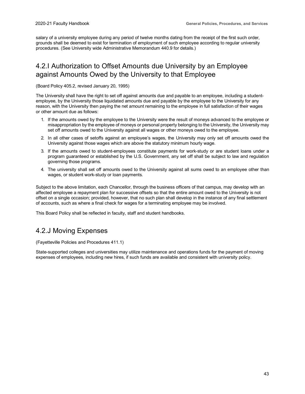salary of a university employee during any period of twelve months dating from the receipt of the first such order, grounds shall be deemed to exist for termination of employment of such employee according to regular university procedures. (See University wide Administrative Memorandum 440.9 for details.)

### <span id="page-47-0"></span>4.2.I Authorization to Offset Amounts due University by an Employee against Amounts Owed by the University to that Employee

(Board Policy 405.2, revised January 20, 1995)

The University shall have the right to set off against amounts due and payable to an employee, including a studentemployee, by the University those liquidated amounts due and payable by the employee to the University for any reason, with the University then paying the net amount remaining to the employee in full satisfaction of their wages or other amount due as follows:

- 1. If the amounts owed by the employee to the University were the result of moneys advanced to the employee or misappropriation by the employee of moneys or personal property belonging to the University, the University may set off amounts owed to the University against all wages or other moneys owed to the employee.
- 2. In all other cases of setoffs against an employee's wages, the University may only set off amounts owed the University against those wages which are above the statutory minimum hourly wage.
- 3. If the amounts owed to student-employees constitute payments for work-study or are student loans under a program guaranteed or established by the U.S. Government, any set off shall be subject to law and regulation governing those programs.
- 4. The university shall set off amounts owed to the University against all sums owed to an employee other than wages, or student work-study or loan payments.

Subject to the above limitation, each Chancellor, through the business officers of that campus, may develop with an affected employee a repayment plan for successive offsets so that the entire amount owed to the University is not offset on a single occasion; provided, however, that no such plan shall develop in the instance of any final settlement of accounts, such as where a final check for wages for a terminating employee may be involved.

This Board Policy shall be reflected in faculty, staff and student handbooks.

#### <span id="page-47-1"></span>4.2.J Moving Expenses

(Fayetteville Policies and Procedures 411.1)

State-supported colleges and universities may utilize maintenance and operations funds for the payment of moving expenses of employees, including new hires, if such funds are available and consistent with university policy.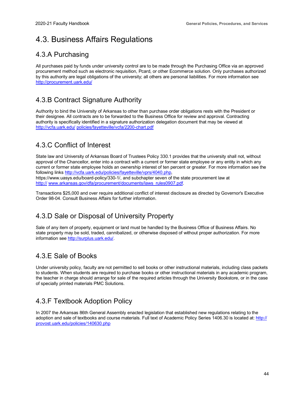### <span id="page-48-0"></span>4.3. Business Affairs Regulations

#### <span id="page-48-1"></span>4.3.A Purchasing

All purchases paid by funds under university control are to be made through the Purchasing Office via an approved procurement method such as electronic requisition, Pcard, or other Ecommerce solution. Only purchases authorized by this authority are legal obligations of the university; all others are personal liabilities. For more information see <http://procurement.uark.edu/>

### <span id="page-48-2"></span>4.3.B Contract Signature Authority

Authority to bind the University of Arkansas to other than purchase order obligations rests with the President or their designee. All contracts are to be forwarded to the Business Office for review and approval. Contracting authority is specifically identified in a signature authorization delegation document that may be viewed at [http://vcfa.uark.edu/](http://vcfa.uark.edu/policies/fayetteville/vcfa/2200-chart.pdf) [policies/fayetteville/vcfa/2200-chart.pdf](http://vcfa.uark.edu/policies/fayetteville/vcfa/2200-chart.pdf)

### <span id="page-48-3"></span>4.3.C Conflict of Interest

State law and University of Arkansas Board of Trustees Policy 330.1 provides that the university shall not, without approval of the Chancellor, enter into a contract with a current or former state employee or any entity in which any current or former state employee holds an ownership interest of ten percent or greater. For more information see the following links [http://vcfa.uark.edu/policies/fayetteville/vprs/4040.php,](http://vcfa.uark.edu/policies/fayetteville/vprs/4040.php)

https://www.uasys.edu/board-policy/330-1/, and subchapter seven of the state procurement law at [http://](http://www.arkansas.gov/dfa/procurement/documents/laws_rules0907.pdf) [www.arkansas.gov/dfa/procurement/documents/laws\\_rules0907.pdf.](http://www.arkansas.gov/dfa/procurement/documents/laws_rules0907.pdf)

Transactions \$25,000 and over require additional conflict of interest disclosure as directed by Governor's Executive Order 98-04. Consult Business Affairs for further information.

### <span id="page-48-4"></span>4.3.D Sale or Disposal of University Property

Sale of any item of property, equipment or land must be handled by the Business Office of Business Affairs. No state property may be sold, traded, cannibalized, or otherwise disposed of without proper authorization. For more information see [http://surplus.uark.edu/.](http://surplus.uark.edu/)

### <span id="page-48-5"></span>4.3.E Sale of Books

Under university policy, faculty are not permitted to sell books or other instructional materials, including class packets to students. When students are required to purchase books or other instructional materials in any academic program, the teacher in charge should arrange for sale of the required articles through the University Bookstore, or in the case of specially printed materials PMC Solutions.

### <span id="page-48-6"></span>4.3.F Textbook Adoption Policy

In 2007 the Arkansas 86th General Assembly enacted legislation that established new regulations relating to the adoption and sale of textbooks and course materials. Full text of Academic Policy Series 1406.30 is located at[: http://](https://provost.uark.edu/policies/140630.php) [provost.uark.edu/policies/140630.php](https://provost.uark.edu/policies/140630.php)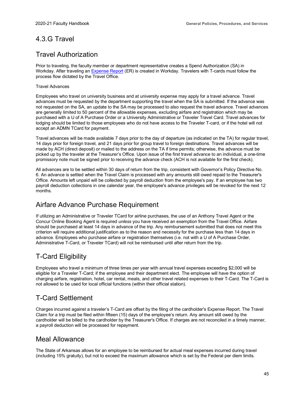#### <span id="page-49-0"></span>4.3.G Travel

#### Travel Authorization

Prior to traveling, the faculty member or department representative creates a Spend Authorization (SA) in Workday. After traveling an **Expense Report** (ER) is created in Workday. Travelers with T-cards must follow the process flow dictated by the Travel Office.

#### Travel Advances

Employees who travel on university business and at university expense may apply for a travel advance. Travel advances must be requested by the department supporting the travel when the SA is submitted. If the advance was not requested on the SA, an update to the SA may be processed to also request the travel advance. Travel advances are generally limited to 50 percent of the allowable expenses, excluding airfare and registration which may be purchased with a U of A Purchase Order or a University Administrative or Traveler Travel Card. Travel advances for lodging should be limited to those employees who do not have access to the Traveler T-card, or if the hotel will not accept an ADMN TCard for payment.

Travel advances will be made available 7 days prior to the day of departure (as indicated on the TA) for regular travel, 14 days prior for foreign travel, and 21 days prior for group travel to foreign destinations. Travel advances will be made by ACH (direct deposit) or mailed to the address on the TA if time permits; otherwise, the advance must be picked up by the traveler at the Treasurer's Office. Upon issue of the first travel advance to an individual, a one-time promissory note must be signed prior to receiving the advance check (ACH is not available for the first check).

All advances are to be settled within 30 days of return from the trip, consistent with Governor's Policy Directive No. 6. An advance is settled when the Travel Claim is processed with any amounts still owed repaid to the Treasurer's Office. Amounts left unpaid will be collected by payroll deduction from the employee's pay. If an employee has two payroll deduction collections in one calendar year, the employee's advance privileges will be revoked for the next 12 months.

#### Airfare Advance Purchase Requirement

If utilizing an Administrative or Traveler TCard for airline purchases, the use of an Anthony Travel Agent or the Concur Online Booking Agent is required *unless* you have received an exemption from the Travel Office. Airfare should be purchased at least 14 days in advance of the trip. Any reimbursement submitted that does not meet this criterion will require additional justification as to the reason and necessity for the purchase less than 14 days in advance. Employees who purchase airfare or registration themselves (i.e. not with a U of A Purchase Order, Administrative T-Card, or Traveler TCard) will not be reimbursed until after return from the trip.

### T-Card Eligibility

Employees who travel a minimum of three times per year with annual travel expenses exceeding \$2,000 will be eligible for a Traveler T-Card; if the employee and their department elect. The employee will have the option of charging airfare, registration, hotel, car rental, meals, and other travel related expenses to their T-Card. The T-Card is not allowed to be used for local official functions (within their official station).

### T-Card Settlement

Charges incurred against a traveler's T-Card are offset by the filing of the cardholder's Expense Report. The Travel Claim for a trip must be filed within fifteen (15) days of the employee's return. Any amount still owed by the cardholder will be billed to the cardholder by the Treasurer's Office. If charges are not reconciled in a timely manner, a payroll deduction will be processed for repayment.

#### Meal Allowance

The State of Arkansas allows for an employee to be reimbursed for actual meal expenses incurred during travel (including 15% gratuity), but not to exceed the maximum allowance which is set by the Federal per diem limits.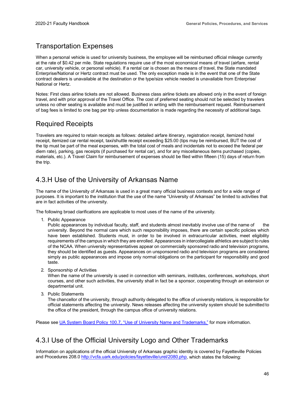#### Transportation Expenses

When a personal vehicle is used for university business, the employee will be reimbursed official mileage currently at the rate of \$0.42 per mile. State regulations require use of the most economical means of travel (airfare, rental car, university vehicle, or personal vehicle). If a rental car is chosen as the means of travel, the State mandated Enterprise/National or Hertz contract must be used. The only exception made is in the event that one of the State contract dealers is unavailable at the destination or the type/size vehicle needed is unavailable from Enterprise/ National or Hertz.

Notes: First class airline tickets are not allowed. Business class airline tickets are allowed only in the event of foreign travel, and with prior approval of the Travel Office. The cost of preferred seating should not be selected by travelers unless no other seating is available and must be justified in writing with the reimbursement request. Reimbursement of bag fees is limited to one bag per trip unless documentation is made regarding the necessity of additional bags.

#### Required Receipts

Travelers are required to retain receipts as follows: detailed airfare itinerary, registration receipt, itemized hotel receipt, itemized car rental receipt, taxi/shuttle receipt exceeding \$25.00 (tips may be reimbursed, BUT the cost of the tip must be part of the meal expenses, with the total cost of meals and incidentals not to exceed the federal per diem rate), parking, gas receipts (if purchased for rental car), and for any miscellaneous items purchased (copies, materials, etc.). A Travel Claim for reimbursement of expenses should be filed within fifteen (15) days of return from the trip.

#### <span id="page-50-0"></span>4.3.H Use of the University of Arkansas Name

The name of the University of Arkansas is used in a great many official business contexts and for a wide range of purposes. It is important to the institution that the use of the name "University of Arkansas" be limited to activities that are in fact activities of the university.

The following broad clarifications are applicable to most uses of the name of the university.

1. Public Appearance

Public appearances by individual faculty, staff, and students almost inevitably involve use of the name of the university. Beyond the normal care which such responsibility imposes, there are certain specific policies which have been established. Students must, in order to be involved in extracurricular activities, meet eligibility requirements of the campus in which they are enrolled. Appearances in intercollegiate athletics are subject to rules of the NCAA. When university representatives appear on commercially sponsored radio and television programs, they should be identified as guests. Appearances on unsponsored radio and television programs are considered simply as public appearances and impose only normal obligations on the participant for responsibility and good taste.

2. Sponsorship of Activities

When the name of the university is used in connection with seminars, institutes, conferences, workshops, short courses, and other such activities, the university shall in fact be a sponsor, cooperating through an extension or departmental unit.

3. Public Statements

The chancellor of the university, through authority delegated to the office of university relations, is responsible for official statements affecting the university. News releases affecting the university system should be submitted to the office of the president, through the campus office of university relations.

Please see [UA System Board Policy 100.7, "Use of University Name and Trademarks,"](https://www.uasys.edu/wp-content/uploads/sites/16/2017/04/0100_7-Use-of-Univ.-Name-and-Trademarks.pdf) for more information.

#### <span id="page-50-1"></span>4.3.I Use of the Official University Logo and Other Trademarks

Information on applications of the official University of Arkansas graphic identity is covered by Fayetteville Policies and Procedures 208.0 [http://vcfa.uark.edu/policies/fayetteville/urel/2080.php,](http://vcfa.uark.edu/policies/fayetteville/urel/2080.php) which states the following: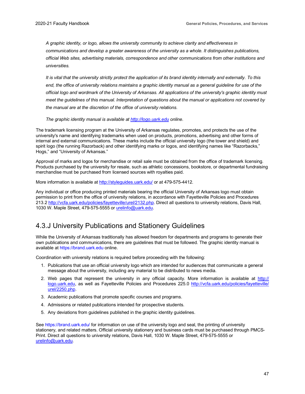*A graphic identity, or logo, allows the university community to achieve clarity and effectiveness in communications and develop a greater awareness of the university as a whole. It distinguishes publications, official Web sites, advertising materials, correspondence and other communications from other institutions and universities.*

*It is vital that the university strictly protect the application of its brand identity internally and externally. To this*  end, the office of university relations maintains a graphic identity manual as a general guideline for use of the *official logo and wordmark of the University of Arkansas. All applications of the university's graphic identity must meet the guidelines of this manual. Interpretation of questions about the manual or applications not covered by the manual are at the discretion of the office of university relations.*

*The graphic identity manual is available at [http://logo.uark.edu](http://logo.uark.edu/) online.*

The trademark licensing program at the University of Arkansas regulates, promotes, and protects the use of the university's name and identifying trademarks when used on products, promotions, advertising and other forms of internal and external communications. These marks include the official university logo (the tower and shield) and spirit logo (the running Razorback) and other identifying marks or logos, and identifying names like "Razorbacks," Hogs," and "University of Arkansas."

Approval of marks and logos for merchandise or retail sale must be obtained from the office of trademark licensing. Products purchased by the university for resale, such as athletic concessions, bookstore, or departmental fundraising merchandise must be purchased from licensed sources with royalties paid.

More information is available at [http://styleguides.uark.edu/](https://styleguides.uark.edu/graphic-identity/trademark-licensing/index.php) or at 479-575-4412.

Any individual or office producing printed materials bearing the official University of Arkansas logo must obtain permission to print from the office of university relations, in accordance with Fayetteville Policies and Procedures 213.2 [http://vcfa.uark.edu/policies/fayetteville/urel/2132.php.](http://vcfa.uark.edu/policies/fayetteville/urel/2132.php) Direct all questions to university relations, Davis Hall, 1030 W. Maple Street, 479-575-5555 or [urelinfo@uark.edu.](mailto:urelinfo@uark.edu)

#### <span id="page-51-0"></span>4.3.J University Publications and Stationery Guidelines

While the University of Arkansas traditionally has allowed freedom for departments and programs to generate their own publications and communications, there are guidelines that must be followed. The graphic identity manual is available at [https://brand.uark.edu](https://brand.uark.edu/) online.

Coordination with university relations is required before proceeding with the following:

- 1. Publications that use an official university logo which are intended for audiences that communicate a general message about the university, including any material to be distributed to news media.
- 2. Web pages that represent the university in any official capacity. More information is available at [http://](http://logo.uark.edu/) [logo.uark.edu,](http://logo.uark.edu/) as well as Fayetteville Policies and Procedures 225.0 [http://vcfa.uark.edu/policies/fayetteville/](http://vcfa.uark.edu/policies/fayetteville/urel/2250.php) [urel/2250.php.](http://vcfa.uark.edu/policies/fayetteville/urel/2250.php)
- 3. Academic publications that promote specific courses and programs.
- 4. Admissions or related publications intended for prospective students.
- 5. Any deviations from guidelines published in the graphic identity guidelines.

Se[e https://brand.uark.edu/](https://brand.uark.edu/) for information on use of the university logo and seal, the printing of university stationery, and related matters. Official university stationery and business cards must be purchased through PMCS-Print. Direct all questions to university relations, Davis Hall, 1030 W. Maple Street, 479-575-5555 or [urelinfo@uark.edu.](mailto:urelinfo@uark.edu)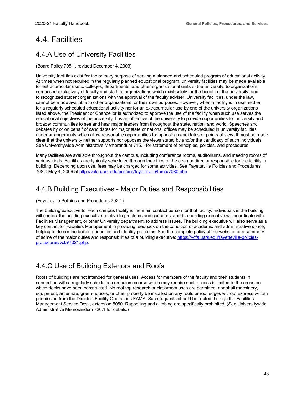### <span id="page-52-0"></span>4.4. Facilities

### <span id="page-52-1"></span>4.4.A Use of University Facilities

(Board Policy 705.1, revised December 4, 2003)

University facilities exist for the primary purpose of serving a planned and scheduled program of educational activity. At times when not required in the regularly planned educational program, university facilities may be made available for extracurricular use to colleges, departments, and other organizational units of the university; to organizations composed exclusively of faculty and staff; to organizations which exist solely for the benefit of the university; and to recognized student organizations with the approval of the faculty adviser. University facilities, under the law, cannot be made available to other organizations for their own purposes. However, when a facility is in use neither for a regularly scheduled educational activity nor for an extracurricular use by one of the university organizations listed above, the President or Chancellor is authorized to approve the use of the facility when such use serves the educational objectives of the university. It is an objective of the university to provide opportunities for university and broader communities to see and hear major leaders from throughout the state, nation, and world. Speeches and debates by or on behalf of candidates for major state or national offices may be scheduled in university facilities under arrangements which allow reasonable opportunities for opposing candidates or points of view. It must be made clear that the university neither supports nor opposes the views stated by and/or the candidacy of such individuals. See Universitywide Administrative Memorandum 715.1 for statement of principles, policies, and procedures.

Many facilities are available throughout the campus, including conference rooms, auditoriums, and meeting rooms of various kinds. Facilities are typically scheduled through the office of the dean or director responsible for the facility or building. Depending upon use, fees may be charged for some activities. See Fayetteville Policies and Procedures, 708.0 May 4, 2006 at <http://vcfa.uark.edu/policies/fayetteville/fama/7080.php>

### <span id="page-52-2"></span>4.4.B Building Executives - Major Duties and Responsibilities

#### (Fayetteville Policies and Procedures 702.1)

The building executive for each campus facility is the main contact person for that facility. Individuals in the building will contact the building executive relative to problems and concerns, and the building executive will coordinate with Facilities Management, or other University department, to address issues. The building executive will also serve as a key contact for Facilities Management in providing feedback on the condition of academic and administrative space, helping to determine building priorities and identify problems. See the complete policy at the website for a summary of some of the major duties and responsibilities of a building executive: [https://vcfa.uark.edu/fayetteville-policies](https://vcfa.uark.edu/fayetteville-policies-procedures/vcfa/7021.php)[procedures/vcfa/7021.php.](https://vcfa.uark.edu/fayetteville-policies-procedures/vcfa/7021.php)

### <span id="page-52-3"></span>4.4.C Use of Building Exteriors and Roofs

Roofs of buildings are not intended for general uses. Access for members of the faculty and their students in connection with a regularly scheduled curriculum course which may require such access is limited to the areas on which decks have been constructed. No roof top research or classroom uses are permitted, nor shall machinery, equipment, antennae, green-houses, or other property be installed on any roofs or roof edges without express written permission from the Director, Facility Operations FAMA. Such requests should be routed through the Facilities Management Service Desk, extension 5050. Rappelling and climbing are specifically prohibited. (See Universitywide Administrative Memorandum 720.1 for details.)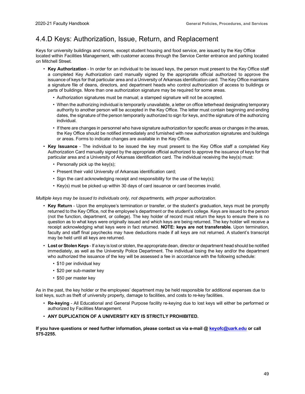### <span id="page-53-0"></span>4.4.D Keys: Authorization, Issue, Return, and Replacement

Keys for university buildings and rooms, except student housing and food service, are issued by the Key Office located within Facilities Management, with customer access through the Service Center entrance and parking located on Mitchell Street.

- **Key Authorization**  In order for an individual to be issued keys, the person must present to the Key Office staff a completed Key Authorization card manually signed by the appropriate official authorized to approve the issuance of keys for that particular area and a University of Arkansas identification card. The Key Office maintains a signature file of deans, directors, and department heads who control authorization of access to buildings or parts of buildings. More than one authorization signature may be required for some areas.
	- Authorization signatures must be manual; a stamped signature will not be accepted.
	- When the authorizing individual is temporarily unavailable, a letter on office letterhead designating temporary authority to another person will be accepted in the Key Office. The letter must contain beginning and ending dates, the signature of the person temporarily authorized to sign for keys, and the signature of the authorizing individual.
	- If there are changes in personnel who have signature authorization for specific areas or changes in the areas, the Key Office should be notified immediately and furnished with new authorization signatures and buildings or areas. Forms to indicate changes are available in the Key Office.
- **Key Issuance**  The individual to be issued the key must present to the Key Office staff a completed Key Authorization Card manually signed by the appropriate official authorized to approve the issuance of keys for that particular area and a University of Arkansas identification card. The individual receiving the key(s) must:
	- Personally pick up the key(s);
	- Present their valid University of Arkansas identification card;
	- Sign the card acknowledging receipt and responsibility for the use of the key(s);
	- Key(s) must be picked up within 30 days of card issuance or card becomes invalid.

#### *Multiple keys may be issued to individuals only, not departments, with proper authorization.*

- **Key Return**  Upon the employee's termination or transfer, or the student's graduation, keys must be promptly returned to the Key Office, not the employee's department or the student's college. Keys are issued to the person (not the function, department, or college). The key holder of record must return the keys to ensure there is no question as to what keys were originally issued and which keys are being returned. The key holder will receive a receipt acknowledging what keys were in fact returned. **NOTE: keys are not transferable.** Upon termination, faculty and staff final paychecks may have deductions made if all keys are not returned. A student's transcript may be held until all keys are returned.
- **Lost or Stolen Keys** If a key is lost or stolen, the appropriate dean, director or department head should be notified immediately, as well as the University Police Department. The individual losing the key and/or the department who authorized the issuance of the key will be assessed a fee in accordance with the following schedule:
	- \$10 per individual key
	- \$20 per sub-master key
	- \$50 per master key

As in the past, the key holder or the employees' department may be held responsible for additional expenses due to lost keys, such as theft of university property, damage to facilities, and costs to re-key facilities.

- **Re-keying**  All Educational and General Purpose facility re-keying due to lost keys will either be performed or authorized by Facilities Management.
- **ANY DUPLICATION OF A UNIVERSITY KEY IS STRICTLY PROHIBITED.**

**If you have questions or need further information, please contact us via e-mail [@ keyofc@uark.edu](mailto:keyofc@uark.edu) or call 575-2255.**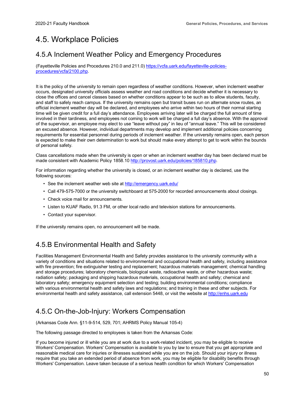## <span id="page-54-0"></span>4.5. Workplace Policies

#### <span id="page-54-1"></span>4.5.A Inclement Weather Policy and Emergency Procedures

(Fayetteville Policies and Procedures 210.0 and 211.0) [https://vcfa.uark.edu/fayetteville-policies](https://vcfa.uark.edu/fayetteville-policies-procedures/vcfa/2100.php)[procedures/vcfa/2100.php.](https://vcfa.uark.edu/fayetteville-policies-procedures/vcfa/2100.php)

It is the policy of the university to remain open regardless of weather conditions. However, when inclement weather occurs, designated university officials assess weather and road conditions and decide whether it is necessary to close the offices and cancel classes based on whether conditions appear to be such as to allow students, faculty, and staff to safely reach campus. If the university remains open but transit buses run on alternate snow routes, an official inclement weather day will be declared, and employees who arrive within two hours of their normal starting time will be given credit for a full day's attendance. Employees arriving later will be charged the full amount of time involved in their tardiness, and employees not coming to work will be charged a full day's absence. With the approval of the supervisor, an employee may elect to use "leave without pay" in lieu of "annual leave." This will be considered an excused absence. However, individual departments may develop and implement additional policies concerning requirements for essential personnel during periods of inclement weather. If the university remains open, each person is expected to make their own determination to work but should make every attempt to get to work within the bounds of personal safety.

Class cancellations made when the university is open or when an inclement weather day has been declared must be made consistent with Academic Policy 1858.10 [http://provost.uark.edu/policies/185810.php.](https://provost.uark.edu/policies/185810.php)

For information regarding whether the university is closed, or an inclement weather day is declared, use the following sources:

- See the inclement weather web site at <http://emergency.uark.edu/>
- Call 479-575-7000 or the university switchboard at 575-2000 for recorded announcements about closings.
- Check voice mail for announcements.
- Listen to KUAF Radio, 91.3 FM, or other local radio and television stations for announcements.
- Contact your supervisor.

If the university remains open, no announcement will be made.

### <span id="page-54-2"></span>4.5.B Environmental Health and Safety

Facilities Management Environmental Health and Safety provides assistance to the university community with a variety of conditions and situations related to environmental and occupational health and safety, including assistance with fire prevention; fire extinguisher testing and replacement; hazardous materials management; chemical handling and storage procedures; laboratory chemicals, biological waste, radioactive waste, or other hazardous waste; radiation safety; packaging and shipping hazardous materials, occupational health and safety; chemical and laboratory safety; emergency equipment selection and testing; building environmental conditions; compliance with various environmental health and safety laws and regulations; and training in these and other subjects. For environmental health and safety assistance, call extension 5448, or visit the website at [http://enhs.uark.edu](http://enhs.uark.edu/)

### <span id="page-54-3"></span>4.5.C On-the-Job-Injury: Workers Compensation

(Arkansas Code Ann. §11-9-514, 529, 701; AHRMS Policy Manual 105-4)

The following passage directed to employees is taken from the Arkansas Code:

If you become injured or ill while you are at work due to a work-related incident, you may be eligible to receive Workers' Compensation. Workers' Compensation is available to you by law to ensure that you get appropriate and reasonable medical care for injuries or illnesses sustained while you are on the job. Should your injury or illness require that you take an extended period of absence from work, you may be eligible for disability benefits through Workers' Compensation. Leave taken because of a serious health condition for which Workers' Compensation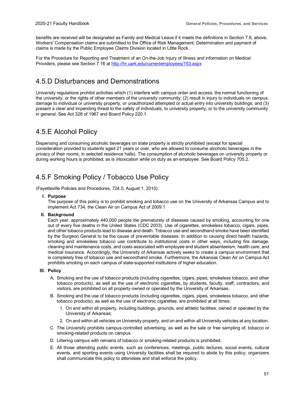benefits are received will be designated as Family and Medical Leave if it meets the definitions in Section 7.6, above. Workers' Compensation claims are submitted to the Office of Risk Management. Determination and payment of claims is made by the Public Employee Claims Division located in Little Rock.

For the Procedure for Reporting and Treatment of an On-the-Job Injury of Illness and information on Medical Providers, please see Section 7.16 a[t http://hr.uark.edu/currentemployees/153.aspx](http://hr.uark.edu/currentemployees/153.aspx)

#### <span id="page-55-0"></span>4.5.D Disturbances and Demonstrations

University regulations prohibit activities which (1) interfere with campus order and access, the normal functioning of the university, or the rights of other members of the university community; (2) result in injury to individuals on campus, damage to individual or university property, or unauthorized attempted or actual entry into university buildings; and (3) present a clear and impending threat to the safety of individuals, to university property, or to the university community in general. See Act 328 of 1967 and Board Policy 220.1.

#### <span id="page-55-1"></span>4.5.E Alcohol Policy

Dispensing and consuming alcoholic beverages on state property is strictly prohibited (except for special consideration provided to students aged 21 years or over, who are allowed to consume alcoholic beverages in the privacy of their rooms, in selected residence halls). The consumption of alcoholic beverages on university property or during working hours is prohibited, as is intoxication while on duty as an employee. See Board Policy 705.2.

### <span id="page-55-2"></span>4.5.F Smoking Policy / Tobacco Use Policy

(Fayetteville Policies and Procedures, 724.0, August 1, 2010)

**I. Purpose**

The purpose of this policy is to prohibit smoking and tobacco use on the University of Arkansas Campus and to implement Act 734, the Clean Air on Campus Act of 2009.1

#### **II. Background**

Each year, approximately 440,000 people die prematurely of diseases caused by smoking, accounting for one out of every five deaths in the United States (CDC 2003). Use of cigarettes, smokeless tobacco, cigars, pipes, and other tobacco products lead to disease and death. Tobacco use and secondhand smoke have been identified by the Surgeon General to be the cause of preventable diseases. In addition to causing direct health hazards, smoking and smokeless tobacco use contribute to institutional costs in other ways, including fire damage, cleaning and maintenance costs, and costs associated with employee and student absenteeism, health care, and medical insurance. Accordingly, the University of Arkansas actively seeks to create a campus environment that is completely free of tobacco use and secondhand smoke. Furthermore, the Arkansas Clean Air on Campus Act prohibits smoking on each campus of state-supported institutions of higher education.

#### **III. Policy**

- A. Smoking and the use of tobacco products (including cigarettes, cigars, pipes, smokeless tobacco, and other tobacco products), as well as the use of electronic cigarettes, by students, faculty, staff, contractors, and visitors, are prohibited on all property owned or operated by the University of Arkansas.
- B. Smoking and the use of tobacco products (including cigarettes, cigars, pipes, smokeless tobacco, and other tobacco products), as well as the use of electronic cigarettes, are prohibited at all times:
	- 1. On and within all property, including buildings, grounds, and athletic facilities, owned or operated by the University of Arkansas;
	- 2. On and within all vehicles on University property, and on and within all University vehicles at any location.
- C. The University prohibits campus-controlled advertising, as well as the sale or free sampling of, tobacco or smoking-related products on campus.
- D. Littering campus with remains of tobacco or smoking-related products is prohibited.
- E. All those attending public events, such as conferences, meetings, public lectures, social events, cultural events, and sporting events using University facilities shall be required to abide by this policy; organizers shall communicate this policy to attendees and shall enforce the policy.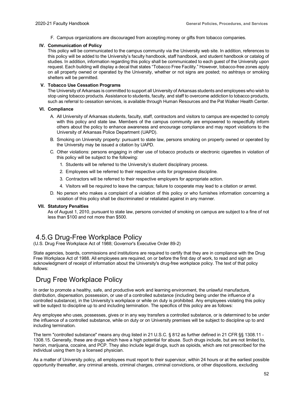F. Campus organizations are discouraged from accepting money or gifts from tobacco companies.

#### **IV. Communication of Policy**

This policy will be communicated to the campus community via the University web site. In addition, references to this policy will be added to the University's faculty handbook, staff handbook, and student handbook or catalog of studies. In addition, information regarding this policy shall be communicated to each guest of the University upon request. Each building will display a decal that states "Tobacco Free Facility." However, tobacco-free zones apply on all property owned or operated by the University, whether or not signs are posted; no ashtrays or smoking shelters will be permitted.

#### **V. Tobacco Use Cessation Programs**

The University of Arkansas is committed to support all University of Arkansas students and employees who wish to stop using tobacco products. Assistance to students, faculty, and staff to overcome addiction to tobacco products, such as referral to cessation services, is available through Human Resources and the Pat Walker Health Center.

#### **VI. Compliance**

- A. All University of Arkansas students, faculty, staff, contractors and visitors to campus are expected to comply with this policy and state law. Members of the campus community are empowered to respectfully inform others about the policy to enhance awareness and encourage compliance and may report violations to the University of Arkansas Police Department (UAPD).
- B. Smoking on University property: pursuant to state law, persons smoking on property owned or operated by the University may be issued a citation by UAPD.
- C. Other violations: persons engaging in other use of tobacco products or electronic cigarettes in violation of this policy will be subject to the following:
	- 1. Students will be referred to the University's student disciplinary process.
	- 2. Employees will be referred to their respective units for progressive discipline.
	- 3. Contractors will be referred to their respective employers for appropriate action.
	- 4. Visitors will be required to leave the campus; failure to cooperate may lead to a citation or arrest.
- D. No person who makes a complaint of a violation of this policy or who furnishes information concerning a violation of this policy shall be discriminated or retaliated against in any manner.

#### **VII. Statutory Penalties**

As of August 1, 2010, pursuant to state law, persons convicted of smoking on campus are subject to a fine of not less than \$100 and not more than \$500.

#### <span id="page-56-0"></span>4.5.G Drug-Free Workplace Policy

(U.S. Drug Free Workplace Act of 1988; Governor's Executive Order 89-2)

State agencies, boards, commissions and institutions are required to certify that they are in compliance with the Drug Free Workplace Act of 1988. All employees are required, on or before the first day of work, to read and sign an acknowledgment of receipt of information about the University's drug-free workplace policy. The text of that policy follows:

#### Drug Free Workplace Policy

In order to promote a healthy, safe, and productive work and learning environment, the unlawful manufacture, distribution, dispensation, possession, or use of a controlled substance (including being under the influence of a controlled substance), in the University's workplace or while on duty is prohibited. Any employees violating this policy will be subject to discipline up to and including termination. The specifics of this policy are as follows:

Any employee who uses, possesses, gives or in any way transfers a controlled substance, or is determined to be under the influence of a controlled substance, while on duty or on University premises will be subject to discipline up to and including termination.

The term "controlled substance" means any drug listed in 21 U.S.C. § 812 as further defined in 21 CFR §§ 1308.11 -1308.15. Generally, these are drugs which have a high potential for abuse. Such drugs include, but are not limited to, heroin, marijuana, cocaine, and PCP. They also include legal drugs, such as opioids, which are not prescribed for the individual using them by a licensed physician.

As a matter of University policy, all employees must report to their supervisor, within 24 hours or at the earliest possible opportunity thereafter, any criminal arrests, criminal charges, criminal convictions, or other dispositions, excluding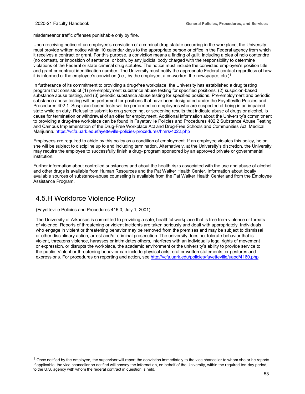misdemeanor traffic offenses punishable only by fine.

Upon receiving notice of an employee's conviction of a criminal drug statute occurring in the workplace, the University must provide written notice within 10 calendar days to the appropriate person or office in the Federal agency from which it receives a contract or grant. For this purpose, a conviction means a finding of guilt, including a plea of nolo contendre (no contest), or imposition of sentence, or both, by any judicial body charged with the responsibility to determine violations of the Federal or state criminal drug statutes. The notice must include the convicted employee's position title and grant or contract identification number. The University must notify the appropriate Federal contact regardless of how it is informed of the employee's conviction (i.e., by the employee, a co-worker, the newspaper, etc.)<sup>[1](#page-57-1)</sup>

In furtherance of its commitment to providing a drug-free workplace, the University has established a drug testing program that consists of (1) pre-employment substance abuse testing for specified positions, (2) suspicion-based substance abuse testing, and (3) periodic substance abuse testing for specified positions. Pre-employment and periodic substance abuse testing will be performed for positions that have been designated under the Fayetteville Policies and Procedures 402.1. Suspicion-based tests will be performed on employees who are suspected of being in an impaired state while on duty. Refusal to submit to drug screening, or screening results that indicate abuse of drugs or alcohol, is cause for termination or withdrawal of an offer for employment. Additional information about the University's commitment to providing a drug-free workplace can be found in Fayetteville Policies and Procedures 402.2 Substance Abuse Testing and Campus Implementation of the Drug-Free Workplace Act and Drug-Free Schools and Communities Act; Medical Marijuana[. https://vcfa.uark.edu/fayetteville-policies-procedures/hmrs/4022.php](https://vcfa.uark.edu/fayetteville-policies-procedures/hmrs/4022.php)

Employees are required to abide by this policy as a condition of employment. If an employee violates this policy, he or she will be subject to discipline up to and including termination. Alternatively, at the University's discretion, the University may require the employee to successfully finish a drug- program sponsored by an approved private or governmental institution.

Further information about controlled substances and about the health risks associated with the use and abuse of alcohol and other drugs is available from Human Resources and the Pat Walker Health Center. Information about locally available sources of substance-abuse counseling is available from the Pat Walker Health Center and from the Employee Assistance Program.

#### <span id="page-57-0"></span>4.5.H Workforce Violence Policy

(Fayetteville Policies and Procedures 416.0, July 1, 2001)

The University of Arkansas is committed to providing a safe, healthful workplace that is free from violence or threats of violence. Reports of threatening or violent incidents are taken seriously and dealt with appropriately. Individuals who engage in violent or threatening behavior may be removed from the premises and may be subject to dismissal or other disciplinary action, arrest and/or criminal prosecution. The university does not tolerate behavior that is violent, threatens violence, harasses or intimidates others, interferes with an individual's legal rights of movement or expression, or disrupts the workplace, the academic environment or the university's ability to provide service to the public. Violent or threatening behavior can include physical acts, oral or written statements, or gestures and expressions. For procedures on reporting and action, see <http://vcfa.uark.edu/policies/fayetteville/uapd/4160.php>

<span id="page-57-1"></span> $^{\text{1}}$  Once notified by the employee, the supervisor will report the conviction immediately to the vice chancellor to whom she or he reports. If applicable, the vice chancellor so notified will convey the information, on behalf of the University, within the required ten-day period, to the U.S. agency with whom the federal contract in question is held.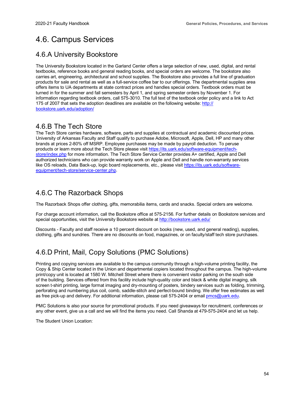### <span id="page-58-0"></span>4.6. Campus Services

#### <span id="page-58-1"></span>4.6.A University Bookstore

The University Bookstore located in the Garland Center offers a large selection of new, used, digital, and rental textbooks, reference books and general reading books, and special orders are welcome. The bookstore also carries art, engineering, architectural and school supplies. The Bookstore also provides a full line of graduation products for sale and rental as well as a full-service coffee bar to our offerings. The departmental supplies area offers items to UA departments at state contract prices and handles special orders. Textbook orders must be turned in for the summer and fall semesters by April 1, and spring semester orders by November 1. For information regarding textbook orders, call 575-3010. The full text of the textbook order policy and a link to Act 175 of 2007 that sets the adoption deadlines are available on the following website[: http://](http://bookstore.uark.edu/adoption/) [bookstore.uark.edu/adoption/](http://bookstore.uark.edu/adoption/)

#### <span id="page-58-2"></span>4.6.B The Tech Store

The Tech Store carries hardware, software, parts and supplies at contractual and academic discounted prices. University of Arkansas Faculty and Staff qualify to purchase Adobe, Microsoft, Apple, Dell, HP and many other brands at prices 2-80% off MSRP. Employee purchases may be made by payroll deduction. To peruse products or learn more about the Tech Store please visi[t https://its.uark.edu/software-equipment/tech](https://its.uark.edu/software-equipment/tech-store/index.php)[store/index.php](https://its.uark.edu/software-equipment/tech-store/index.php) for more information. The Tech Store Service Center provides A+ certified, Apple and Dell authorized technicians who can provide warranty work on Apple and Dell and handle non-warranty services like OS reloads, Data Back-up, logic board replacements, etc., please visit [https://its.uark.edu/software](https://its.uark.edu/software-equipment/tech-store/service-center.php)[equipment/tech-store/service-center.php.](https://its.uark.edu/software-equipment/tech-store/service-center.php)

### <span id="page-58-4"></span><span id="page-58-3"></span>4.6.C The Razorback Shops

The Razorback Shops offer clothing, gifts, memorabilia items, cards and snacks. Special orders are welcome.

For charge account information, call the Bookstore office at 575-2156. For further details on Bookstore services and special opportunities, visit the University Bookstore website at<http://bookstore.uark.edu/>

Discounts - Faculty and staff receive a 10 percent discount on books (new, used, and general reading), supplies, clothing, gifts and sundries. There are no discounts on food, magazines, or on faculty/staff tech store purchases.

### <span id="page-58-5"></span>4.6.D Print, Mail, Copy Solutions (PMC Solutions)

Printing and copying services are available to the campus community through a high-volume printing facility, the Copy & Ship Center located in the Union and departmental copiers located throughout the campus. The high-volume print/copy unit is located at 1580 W. Mitchell Street where there is convenient visitor parking on the south side of the building. Services offered from this facility include high-quality color and black & white digital imaging, silk screen t-shirt printing, large format imaging and dry-mounting of posters, bindery services such as folding, trimming, perforating and numbering plus coil, comb, saddle-stitch and perfect-bound binding. We offer free estimates as well as free pick-up and delivery. For additional information, please call 575-2404 or emai[l pmcs@uark.edu.](mailto:pmcs@uark.edu)

PMC Solutions is also your source for promotional products. If you need giveaways for recruitment, conferences or any other event, give us a call and we will find the items you need. Call Shanda at 479-575-2404 and let us help.

The Student Union Location: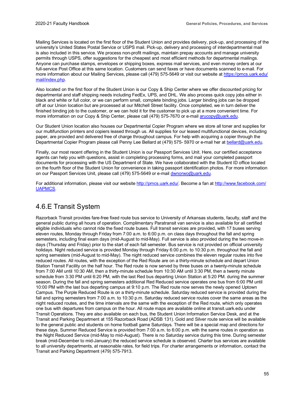Mailing Services is located on the first floor of the Student Union and provides delivery, pick-up, and processing of the university's United States Postal Service or USPS mail. Pick-up, delivery and processing of interdepartmental mail is also included in this service. We process non-profit mailings, maintain prepay accounts and manage university permits through USPS, offer suggestions for the cheapest and most efficient methods for departmental mailings. Anyone can purchase stamps, envelopes or shipping boxes, express mail services, and even money orders at our full-service Post Office at this same location. Customers can send faxes or have documents scanned to e-mail. For more information about our Mailing Services, please call (479) 575-5649 or visit our website at [https://pmcs.uark.edu/](https://pmcs.uark.edu/mail/index.php) [mail/index.php.](https://pmcs.uark.edu/mail/index.php)

Also located on the first floor of the Student Union is our Copy & Ship Center where we offer discounted pricing for departmental and staff shipping needs including FedEx, UPS, and DHL. We also process quick copy jobs either in black and white or full color, or we can perform small, complete binding jobs. Larger binding jobs can be dropped off at our Union location but are processed at our Mitchell Street facility. Once completed, we in turn deliver the finished binding job to the customer, or we can hold it for the customer to pick up at a more convenient time. For more information on our Copy & Ship Center, please call (479) 575-7670 or e-mail [arucopy@uark.edu.](mailto:arucopy@uark.edu)

Our Student Union location also houses our Departmental Copier Program where we store all toner and supplies for our multifunction printers and copiers leased through us. All supplies for our leased multifunctional devices, including paper, are provided and delivered free of charge throughout campus. For help with acquiring a copier through the Departmental Copier Program please call Penny Lee Bellard at (479) 575- 5970 or e-mail her at [bellard@uark.edu.](mailto:bellard@uark.edu)

Finally, our most recent offering in the Student Union is our Passport Services Unit. Here, our certified acceptance agents can help you with questions, assist in completing processing forms, and mail your completed passport documents for processing with the US Department of State. We have collaborated with the Student ID office located on the fourth floor of the Student Union for convenience in taking passport identification photos. For more information on our Passport Services Unit, please call (479) 575-5649 or e-mai[l dwnorwo@uark.edu.](mailto:dwnorwo@uark.edu)

For additional information, please visit our websit[e http://pmcs.uark.edu/.](http://pmcs.uark.edu/) Become a fan at [http://www.facebook.com/](http://www.facebook.com/UAPMCS) [UAPMCS.](http://www.facebook.com/UAPMCS)

#### <span id="page-59-0"></span>4.6.E Transit System

Razorback Transit provides fare-free fixed route bus service to University of Arkansas students, faculty, staff and the general public during all hours of operation. Complimentary Paratransit van service is also available for all certified eligible individuals who cannot ride the fixed route buses. Full transit services are provided, with 17 buses serving eleven routes, Monday through Friday from 7:00 a.m. to 6:00 p.m. on class days throughout the fall and spring semesters, including final exam days (mid-August to mid-May). Full service is also provided during the two move-in days (Thursday and Friday) prior to the start of each fall semester. Bus service is not provided on official university holidays. Night reduced service is provided Monday through Friday 6:00 p.m. to 10:30 p.m. throughout the fall and spring semesters (mid-August to mid-May). The night reduced service combines the eleven regular routes into five reduced routes. All routes, with the exception of the Red Route are on a thirty-minute schedule and depart Union Station Transit Facility on the half hour. The Red route is now served by three buses on a twenty-minute schedule from 7:00 AM until 10:30 AM, then a thirty-minute schedule from 10:30 AM until 3:30 PM, then a twenty minute schedule from 3:30 PM until 6:20 PM, with the last Red bus departing Union Station at 5:20 PM. during the summer season. During the fall and spring semesters additional Red Reduced service operates one bus from 6:00 PM until 10:00 PM with the last bus departing campus at 9:10 p.m. The Red route now serves the newly opened Uptown Campus. The Purple Reduced Route is on a thirty-minute schedule. Saturday reduced service is provided during the fall and spring semesters from 7:00 a.m. to 10:30 p.m. Saturday reduced service routes cover the same areas as the night reduced routes, and the time intervals are the same with the exception of the Red route, which only operates one bus with departures from campus on the hour. All route maps are available online at transit.uark.edu under Transit Operations. They are also available on each bus, the Student Union Information Service Desk, and at the Transit and Parking Department at 155 Razorback Road (ADSB 131). Gold and Silver route service will be available to the general public and students on home football game Saturdays. There will be a special map and directions for these days. Summer Reduced Service is provided from 7:00 a.m. to 6:00 p.m. with the same routes in operation as the Night Reduced Service (mid-May to mid-August). There is no Saturday service during this time. During semester break (mid-December to mid-January) the reduced service schedule is observed. Charter bus services are available to all university departments, at reasonable rates, for field trips. For charter arrangements or information, contact the Transit and Parking Department (479) 575-7913.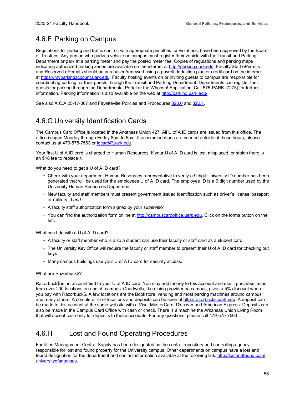### <span id="page-60-0"></span>4.6.F Parking on Campus

Regulations for parking and traffic control, with appropriate penalties for violations, have been approved by the Board of Trustees. Any person who parks a vehicle on campus must register their vehicle with the Transit and Parking Department or park at a parking meter and pay the posted meter fee. Copies of regulations and parking maps indicating authorized parking zones are available on the internet at [http://parking.uark.edu.](http://parking.uark.edu/) Faculty/Staff ePermits and Reserved ePermits should be purchased/renewed using a payroll deduction plan or credit card on the internet at [https://myparkingaccount.uark.edu.](https://myparkingaccount.uark.edu/) Faculty hosting events on or inviting guests to campus are responsible for coordinating parking for their guests through the Transit and Parking Department. Departments can register their guests for parking through the Departmental Portal or the Whoosh! Application. Call 575-PARK (7275) for further information. Parking information is also available on the web at [http://parking.uark.edu/.](http://parking.uark.edu/)

See also A.C.A 25-17-307 and Fayetteville Policies and Procedure[s 320.0](https://vcfa.uark.edu/policies/fayetteville/avcb/3200.php) an[d 320.1.](https://vcfa.uark.edu/policies/fayetteville/avcb/3201.php)

### <span id="page-60-1"></span>4.6.G University Identification Cards

The Campus Card Office is located in the Arkansas Union 427. All U of A ID cards are issued from this office. The office is open Monday through Friday 8am to 5pm. If accommodations are needed outside of these hours, please contact us at 479-575-7563 o[r idcard@uark.edu.](mailto:idcard@uark.edu)

Your first U of A ID card is charged to Human Resources. If your U of A ID card is lost, misplaced, or stolen there is an \$18 fee to replace it.

What do you need to get a U of A ID card?

- Check with your department Human Resources representative to verify a 9 digit University ID number has been generated that will be used for the employees U of A ID card. The employee ID is a 6 digit number used by the University Human Resources Department.
- New faculty and staff members must present government issued identification such as driver's license, passport or military id *and*
- A faculty staff authorization form signed by your supervisor.
- You can find the authorization form online at [http://campuscardoffice.uark.edu.](http://campuscardoffice.uark.edu/) Click on the forms button on the left.

What can I do with a U of A ID card?

- A faculty or staff member who is also a student can use their faculty or staff card as a student card.
- The University Key Office will require the faculty or staff member to present their U of A ID card for checking out keys.
- Many campus buildings use your U of A ID card for security access.

#### What are Razorbuck\$?

Razorbuck\$ is an account tied to your U of A ID card. You may add money to this account and use it purchase items from over 200 locations on and off campus. Chartwells, the dining provider on campus, gives a 5% discount when you pay with Razorbuck\$. A few locations are the Bookstore, vending and most parking machines around campus and many others. A complete list of locations and deposits can be seen at [http://razorbucks.uark.edu.](http://razorbucks.uark.edu/) A deposit can be made to this account at the same website with a Visa, MasterCard, Discover and American Express. Deposits can also be made in the Campus Card Office with cash or check. There is a machine the Arkansas Union Living Room that will accept cash only for deposits to these accounts. For any questions, please call 479-575-7563.

#### <span id="page-60-2"></span>4.6.H Lost and Found Operating Procedures

Facilities Management Central Supply has been designated as the central repository and controlling agency responsible for lost and found property for the University campus. Other departments on campus have a lost and found designation for the department and contact information available at the following link[: http://lostandfound.com/](http://lostandfound.com/universityofarkansas) [universityofarkansas.](http://lostandfound.com/universityofarkansas)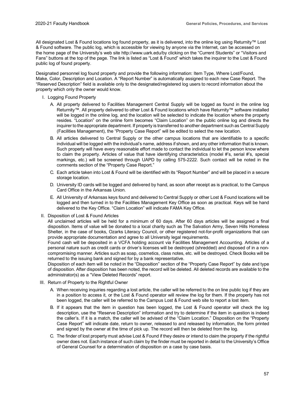All designated Lost & Found locations log found property, as it is delivered, into the online log using Returnity™ Lost & Found software. The public log, which is accessible for viewing by anyone via the Internet, can be accessed on [the home page of the University's web site http://www.uark.edu/by](http://www.uark.edu/by) clicking on the "Current Students" or "Visitors and Fans" buttons at the top of the page. The link is listed as "Lost & Found" which takes the inquirer to the Lost & Found public log of found property.

Designated personnel log found property and provide the following information: Item Type, Where Lost/Found, Make, Color, Description and Location. A "Report Number" is automatically assigned to each new Case Report. The "Reserved Description" field is available only to the designated/registered log users to record information about the property which only the owner would know.

- I. Logging Found Property
	- A. All property delivered to Facilities Management Central Supply will be logged as found in the online log Returnity™. All property delivered to other Lost & Found locations which have Returnity™ software installed will be logged in the online log, and the location will be selected to indicate the location where the property resides. "Location" on the online form becomes "Claim Location" on the public online log and directs the inquirer to the appropriate department. If property is transferred to another department such as Central Supply (Facilities Management), the "Property Case Report" will be edited to select the new location.
	- B. All articles delivered to Central Supply or the other campus locations that are identifiable to a specific individual will be logged with the individual's name, address if shown, and any other information that is known. Such property will have every reasonable effort made to contact the individual to let the person know where to claim the property. Articles of value that have identifying characteristics (model #'s, serial #'s, special markings, etc.) will be screened through UAPD by calling 575-2222. Such contact will be noted in the comments section of the "Property Case Report."
	- C. Each article taken into Lost & Found will be identified with its "Report Number" and will be placed in a secure storage location.
	- D. University ID cards will be logged and delivered by hand, as soon after receipt as is practical, to the Campus Card Office in the Arkansas Union.
	- E. All University of Arkansas keys found and delivered to Central Supply or other Lost & Found locations will be logged and then turned in to the Facilities Management Key Office as soon as practical. Keys will be hand delivered to the Key Office. "Claim Location" will indicate FAMA Key Office.
- II. Disposition of Lost & Found Articles

All unclaimed articles will be held for a minimum of 60 days. After 60 days articles will be assigned a final disposition. Items of value will be donated to a local charity such as The Salvation Army, Seven Hills Homeless Shelter, in the case of books, Ozarks Literacy Council, or other registered not-for-profit organizations that can provide appropriate documentation and agree to all University legal requirements.

Found cash will be deposited in a VCFA holding account via Facilities Management Accounting. Articles of a personal nature such as credit cards or driver's licenses will be destroyed (shredded) and disposed of in a noncompromising manner. Articles such as soap, cosmetics, class notes, etc. will be destroyed. Check Books will be returned to the issuing bank and signed for by a bank representative.

Disposition of each item will be noted in the "Disposition" section of the "Property Case Report" by date and type of disposition. After disposition has been noted, the record will be deleted. All deleted records are available to the administrator(s) as a "View Deleted Records" report.

- III. Return of Property to the Rightful Owner
	- A. When receiving inquiries regarding a lost article, the caller will be referred to the on line public log if they are in a position to access it, or the Lost & Found operator will review the log for them. If the property has not been logged, the caller will be referred to the Campus Lost & Found web site to report a lost item.
	- B. If it appears that the item in question has been logged, the Lost & Found operator will check the log description, use the "Reserve Description" information and try to determine if the item in question is indeed the caller's. If it is a match, the caller will be advised of the "Claim Location." Disposition on the "Property Case Report" will indicate date, return to owner, released to and released by information, the form printed and signed by the owner at the time of pick up. The record will then be deleted from the log.
	- C. The finder of lost property must advise Lost & Found if they desire or intend to claim the property if the rightful owner does not. Each instance of such claim by the finder must be reported in detail to the University's Office of General Counsel for a determination of disposition on a case by case basis.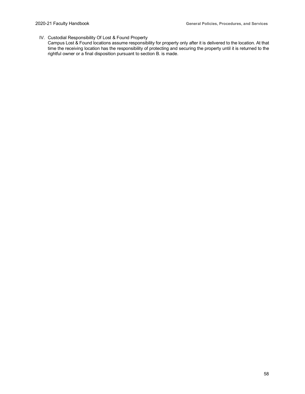#### IV. Custodial Responsibility Of Lost & Found Property

Campus Lost & Found locations assume responsibility for property only after it is delivered to the location. At that time the receiving location has the responsibility of protecting and securing the property until it is returned to the rightful owner or a final disposition pursuant to section B. is made.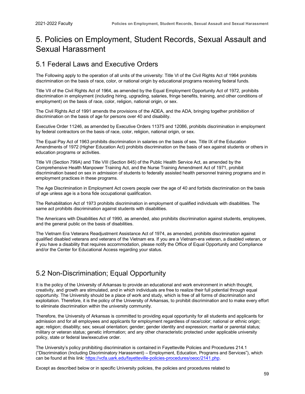### <span id="page-63-0"></span>5. Policies on Employment, Student Records, Sexual Assault and Sexual Harassment

#### <span id="page-63-1"></span>5.1 Federal Laws and Executive Orders

The Following apply to the operation of all units of the university: Title VI of the Civil Rights Act of 1964 prohibits discrimination on the basis of race, color, or national origin by educational programs receiving federal funds.

Title VII of the Civil Rights Act of 1964, as amended by the Equal Employment Opportunity Act of 1972, prohibits discrimination in employment (including hiring, upgrading, salaries, fringe benefits, training, and other conditions of employment) on the basis of race, color, religion, national origin, or sex.

The Civil Rights Act of 1991 amends the provisions of the ADEA, and the ADA, bringing together prohibition of discrimination on the basis of age for persons over 40 and disability.

Executive Order 11246, as amended by Executive Orders 11375 and 12086, prohibits discrimination in employment by federal contractors on the basis of race, color, religion, national origin, or sex.

The Equal Pay Act of 1963 prohibits discrimination in salaries on the basis of sex. Title IX of the Education Amendments of 1972 (Higher Education Act) prohibits discrimination on the basis of sex against students or others in education programs or activities.

Title VII (Section 799A) and Title VIII (Section 845) of the Public Health Service Act, as amended by the Comprehensive Health Manpower Training Act, and the Nurse Training Amendment Act of 1971, prohibit discrimination based on sex in admission of students to federally assisted health personnel training programs and in employment practices in these programs.

The Age Discrimination in Employment Act covers people over the age of 40 and forbids discrimination on the basis of age unless age is a bona fide occupational qualification.

The Rehabilitation Act of 1973 prohibits discrimination in employment of qualified individuals with disabilities. The same act prohibits discrimination against students with disabilities.

The Americans with Disabilities Act of 1990, as amended, also prohibits discrimination against students, employees, and the general public on the basis of disabilities.

The Vietnam Era Veterans Readjustment Assistance Act of 1974, as amended, prohibits discrimination against qualified disabled veterans and veterans of the Vietnam era. If you are a Vietnam-era veteran, a disabled veteran, or if you have a disability that requires accommodation, please notify the Office of Equal Opportunity and Compliance and/or the Center for Educational Access regarding your status.

### <span id="page-63-2"></span>5.2 Non-Discrimination; Equal Opportunity

It is the policy of the University of Arkansas to provide an educational and work environment in which thought, creativity, and growth are stimulated, and in which individuals are free to realize their full potential through equal opportunity. The University should be a place of work and study, which is free of all forms of discrimination and exploitation. Therefore, it is the policy of the University of Arkansas, to prohibit discrimination and to make every effort to eliminate discrimination within the university community.

Therefore, the University of Arkansas is committed to providing equal opportunity for all students and applicants for admission and for all employees and applicants for employment regardless of race/color; national or ethnic origin; age; religion; disability; sex; sexual orientation; gender; gender identity and expression; marital or parental status; military or veteran status; genetic information; and any other characteristic protected under applicable university policy, state or federal law/executive order.

The University's policy prohibiting discrimination is contained in Fayetteville Policies and Procedures 214.1 ("Discrimination (Including Discriminatory Harassment) – Employment, Education, Programs and Services"), which can be found at this link[: https://vcfa.uark.edu/fayetteville-policies-procedures/oeoc/2141.php.](https://vcfa.uark.edu/fayetteville-policies-procedures/oeoc/2141.php)

Except as described below or in specific University policies, the policies and procedures related to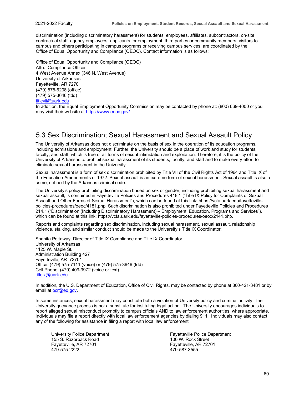discrimination (including discriminatory harassment) for students, employees, affiliates, subcontractors, on-site contractual staff, agency employees, applicants for employment, third parties or community members, visitors to campus and others participating in campus programs or receiving campus services, are coordinated by the Office of Equal Opportunity and Compliance (OEOC). Contact information is as follows:

Office of Equal Opportunity and Compliance (OEOC) Attn: Compliance Officer 4 West Avenue Annex (346 N. West Avenue) University of Arkansas Fayetteville, AR 72701 (479) 575-6208 (office) (479) 575-3646 (tdd) [titlevii@uark.edu](mailto:titlevii@uark.edu)

In addition, the Equal Employment Opportunity Commission may be contacted by phone at: (800) 669-4000 or you may visit their website a[t https://www.eeoc.gov/](https://www.eeoc.gov/)

#### <span id="page-64-0"></span>5.3 Sex Discrimination; Sexual Harassment and Sexual Assault Policy

The University of Arkansas does not discriminate on the basis of sex in the operation of its education programs, including admissions and employment. Further, the University should be a place of work and study for students, faculty, and staff, which is free of all forms of sexual intimidation and exploitation. Therefore, it is the policy of the University of Arkansas to prohibit sexual harassment of its students, faculty, and staff and to make every effort to eliminate sexual harassment in the University.

Sexual harassment is a form of sex discrimination prohibited by Title VII of the Civil Rights Act of 1964 and Title IX of the Education Amendments of 1972. Sexual assault is an extreme form of sexual harassment. Sexual assault is also a crime, defined by the Arkansas criminal code.

The University's policy prohibiting discrimination based on sex or gender, including prohibiting sexual harassment and sexual assault, is contained in Fayetteville Policies and Procedures 418.1 ("Title IX Policy for Complaints of Sexual Assault and Other Forms of Sexual Harassment"), which can be found at this link: https://vcfa.uark.edu/fayettevillepolicies-procedures/oeoc/4181.php. Such discrimination is also prohibited under Fayetteville Policies and Procedures 214.1 ("Discrimination (Including Discriminatory Harassment) – Employment, Education, Programs and Services"), which can be found at this link: https://vcfa.uark.edu/fayetteville-policies-procedures/oeoc/2141.php.

Reports and complaints regarding sex discrimination, including sexual harassment, sexual assault, relationship violence, stalking, and similar conduct should be made to the University's Title IX Coordinator:

Shanita Pettaway, Director of Title IX Compliance and Title IX Coordinator University of Arkansas 1125 W. Maple St. Administration Building 427 Fayetteville, AR 72701 Office: (479) 575-7111 (voice) or (479) 575-3646 (tdd) Cell Phone: (479) 409-9972 (voice or text) [titleix@uark.edu](mailto:titleix@uark.edu)

In addition, the U.S. Department of Education, Office of Civil Rights, may be contacted by phone at 800-421-3481 or by email at [ocr@ed.gov.](mailto:ocr@ed.gov)

In some instances, sexual harassment may constitute both a violation of University policy and criminal activity. The University grievance process is not a substitute for instituting legal action. The University encourages individuals to report alleged sexual misconduct promptly to campus officials AND to law enforcement authorities, where appropriate. Individuals may file a report directly with local law enforcement agencies by dialing 911. Individuals may also contact any of the following for assistance in filing a report with local law enforcement:

155 S. Razorback Road<br>Fayetteville, AR 72701 479-575-2222 479-587-3555

University Police Department<br>155 S. Razorback Road<br>100 W. Rock Street Fayetteville, AR 72701<br>479-587-3555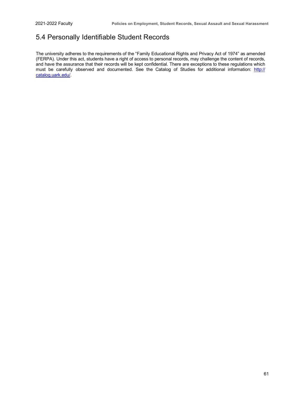#### 5.4 Personally Identifiable Student Records

The university adheres to the requirements of the "Family Educational Rights and Privacy Act of 1974" as amended (FERPA). Under this act, students have a right of access to personal records, may challenge the content of records, and have the assurance that their records will be kept confidential. There are exceptions to these regulations which must be carefully observed and documented. See the Catalog of Studies for additional information: [http://](http://catalog.uark.edu/) [catalog.uark.edu/.](http://catalog.uark.edu/)